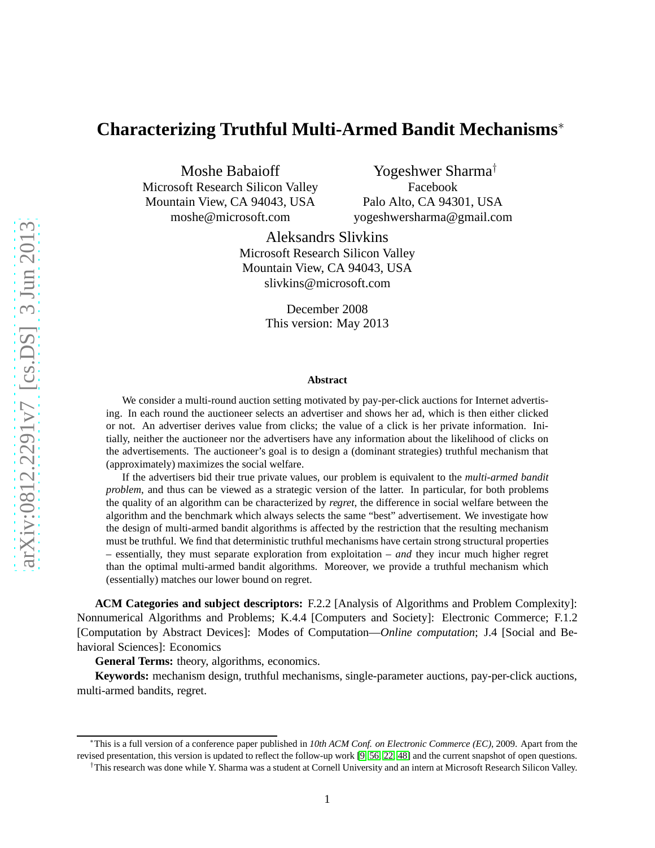# **Characterizing Truthful Multi-Armed Bandit Mechanisms**<sup>∗</sup>

Moshe Babaioff Microsoft Research Silicon Valley Mountain View, CA 94043, USA moshe@microsoft.com

Yogeshwer Sharma† Facebook Palo Alto, CA 94301, USA yogeshwersharma@gmail.com

Aleksandrs Slivkins Microsoft Research Silicon Valley Mountain View, CA 94043, USA slivkins@microsoft.com

> December 2008 This version: May 2013

#### **Abstract**

We consider a multi-round auction setting motivated by pay-per-click auctions for Internet advertising. In each round the auctioneer selects an advertiser and shows her ad, which is then either clicked or not. An advertiser derives value from clicks; the value of a click is her private information. Initially, neither the auctioneer nor the advertisers have any information about the likelihood of clicks on the advertisements. The auctioneer's goal is to design a (dominant strategies) truthful mechanism that (approximately) maximizes the social welfare.

If the advertisers bid their true private values, our problem is equivalent to the *multi-armed bandit problem*, and thus can be viewed as a strategic version of the latter. In particular, for both problems the quality of an algorithm can be characterized by *regret*, the difference in social welfare between the algorithm and the benchmark which always selects the same "best" advertisement. We investigate how the design of multi-armed bandit algorithms is affected by the restriction that the resulting mechanism must be truthful. We find that deterministic truthful mechanisms have certain strong structural properties – essentially, they must separate exploration from exploitation – *and* they incur much higher regret than the optimal multi-armed bandit algorithms. Moreover, we provide a truthful mechanism which (essentially) matches our lower bound on regret.

**ACM Categories and subject descriptors:** F.2.2 [Analysis of Algorithms and Problem Complexity]: Nonnumerical Algorithms and Problems; K.4.4 [Computers and Society]: Electronic Commerce; F.1.2 [Computation by Abstract Devices]: Modes of Computation—*Online computation*; J.4 [Social and Behavioral Sciences]: Economics

**General Terms:** theory, algorithms, economics.

**Keywords:** mechanism design, truthful mechanisms, single-parameter auctions, pay-per-click auctions, multi-armed bandits, regret.

<sup>∗</sup>This is a full version of a conference paper published in *10th ACM Conf. on Electronic Commerce (EC)*, 2009. Apart from the revised presentation, this version is updated to reflect the follow-up work [\[9,](#page-28-0) [56,](#page-30-0) [22,](#page-28-1) [48\]](#page-30-1) and the current snapshot of open questions.

<sup>†</sup>This research was done while Y. Sharma was a student at Cornell University and an intern at Microsoft Research Silicon Valley.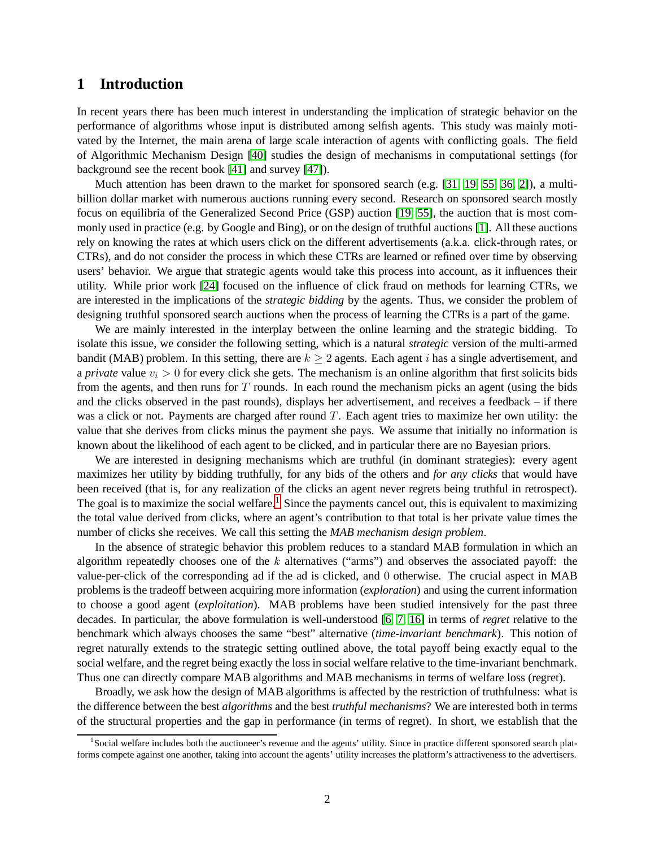## **1 Introduction**

In recent years there has been much interest in understanding the implication of strategic behavior on the performance of algorithms whose input is distributed among selfish agents. This study was mainly motivated by the Internet, the main arena of large scale interaction of agents with conflicting goals. The field of Algorithmic Mechanism Design [\[40\]](#page-29-0) studies the design of mechanisms in computational settings (for background see the recent book [\[41\]](#page-29-1) and survey [\[47\]](#page-30-2)).

Much attention has been drawn to the market for sponsored search (e.g. [\[31,](#page-29-2) [19,](#page-28-2) [55,](#page-30-3) [36,](#page-29-3) [2\]](#page-28-3)), a multibillion dollar market with numerous auctions running every second. Research on sponsored search mostly focus on equilibria of the Generalized Second Price (GSP) auction [\[19,](#page-28-2) [55\]](#page-30-3), the auction that is most commonly used in practice (e.g. by Google and Bing), or on the design of truthful auctions [\[1\]](#page-27-0). All these auctions rely on knowing the rates at which users click on the different advertisements (a.k.a. click-through rates, or CTRs), and do not consider the process in which these CTRs are learned or refined over time by observing users' behavior. We argue that strategic agents would take this process into account, as it influences their utility. While prior work [\[24\]](#page-29-4) focused on the influence of click fraud on methods for learning CTRs, we are interested in the implications of the *strategic bidding* by the agents. Thus, we consider the problem of designing truthful sponsored search auctions when the process of learning the CTRs is a part of the game.

We are mainly interested in the interplay between the online learning and the strategic bidding. To isolate this issue, we consider the following setting, which is a natural *strategic* version of the multi-armed bandit (MAB) problem. In this setting, there are  $k > 2$  agents. Each agent i has a single advertisement, and a *private* value  $v_i > 0$  for every click she gets. The mechanism is an online algorithm that first solicits bids from the agents, and then runs for  $T$  rounds. In each round the mechanism picks an agent (using the bids and the clicks observed in the past rounds), displays her advertisement, and receives a feedback – if there was a click or not. Payments are charged after round T. Each agent tries to maximize her own utility: the value that she derives from clicks minus the payment she pays. We assume that initially no information is known about the likelihood of each agent to be clicked, and in particular there are no Bayesian priors.

We are interested in designing mechanisms which are truthful (in dominant strategies): every agent maximizes her utility by bidding truthfully, for any bids of the others and *for any clicks* that would have been received (that is, for any realization of the clicks an agent never regrets being truthful in retrospect). The goal is to maximize the social welfare.<sup>[1](#page-1-0)</sup> Since the payments cancel out, this is equivalent to maximizing the total value derived from clicks, where an agent's contribution to that total is her private value times the number of clicks she receives. We call this setting the *MAB mechanism design problem*.

In the absence of strategic behavior this problem reduces to a standard MAB formulation in which an algorithm repeatedly chooses one of the  $k$  alternatives ("arms") and observes the associated payoff: the value-per-click of the corresponding ad if the ad is clicked, and 0 otherwise. The crucial aspect in MAB problems is the tradeoff between acquiring more information (*exploration*) and using the current information to choose a good agent (*exploitation*). MAB problems have been studied intensively for the past three decades. In particular, the above formulation is well-understood [\[6,](#page-28-4) [7,](#page-28-5) [16\]](#page-28-6) in terms of *regret* relative to the benchmark which always chooses the same "best" alternative (*time-invariant benchmark*). This notion of regret naturally extends to the strategic setting outlined above, the total payoff being exactly equal to the social welfare, and the regret being exactly the loss in social welfare relative to the time-invariant benchmark. Thus one can directly compare MAB algorithms and MAB mechanisms in terms of welfare loss (regret).

Broadly, we ask how the design of MAB algorithms is affected by the restriction of truthfulness: what is the difference between the best *algorithms* and the best *truthful mechanisms*? We are interested both in terms of the structural properties and the gap in performance (in terms of regret). In short, we establish that the

<span id="page-1-0"></span><sup>&</sup>lt;sup>1</sup>Social welfare includes both the auctioneer's revenue and the agents' utility. Since in practice different sponsored search platforms compete against one another, taking into account the agents' utility increases the platform's attractiveness to the advertisers.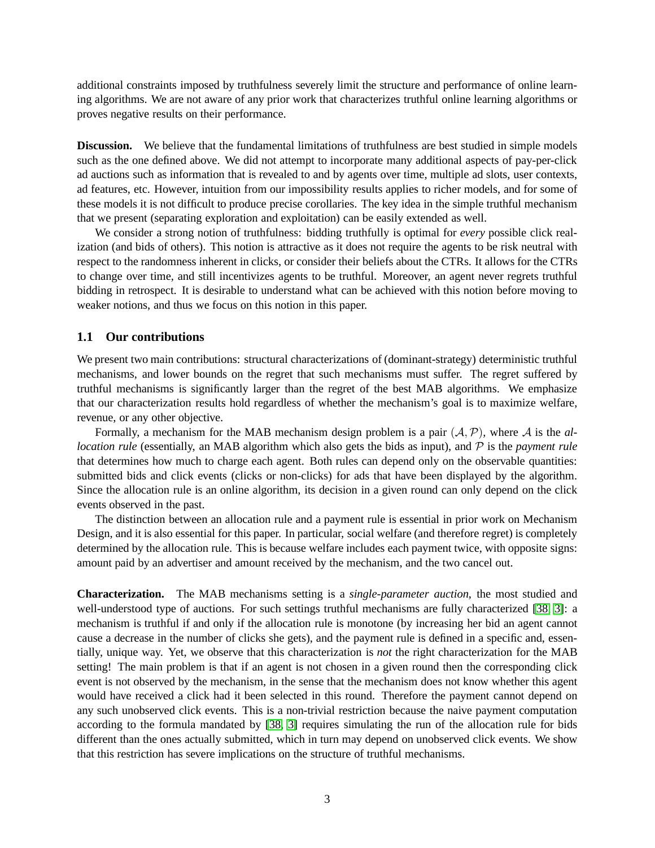additional constraints imposed by truthfulness severely limit the structure and performance of online learning algorithms. We are not aware of any prior work that characterizes truthful online learning algorithms or proves negative results on their performance.

**Discussion.** We believe that the fundamental limitations of truthfulness are best studied in simple models such as the one defined above. We did not attempt to incorporate many additional aspects of pay-per-click ad auctions such as information that is revealed to and by agents over time, multiple ad slots, user contexts, ad features, etc. However, intuition from our impossibility results applies to richer models, and for some of these models it is not difficult to produce precise corollaries. The key idea in the simple truthful mechanism that we present (separating exploration and exploitation) can be easily extended as well.

We consider a strong notion of truthfulness: bidding truthfully is optimal for *every* possible click realization (and bids of others). This notion is attractive as it does not require the agents to be risk neutral with respect to the randomness inherent in clicks, or consider their beliefs about the CTRs. It allows for the CTRs to change over time, and still incentivizes agents to be truthful. Moreover, an agent never regrets truthful bidding in retrospect. It is desirable to understand what can be achieved with this notion before moving to weaker notions, and thus we focus on this notion in this paper.

### <span id="page-2-0"></span>**1.1 Our contributions**

We present two main contributions: structural characterizations of (dominant-strategy) deterministic truthful mechanisms, and lower bounds on the regret that such mechanisms must suffer. The regret suffered by truthful mechanisms is significantly larger than the regret of the best MAB algorithms. We emphasize that our characterization results hold regardless of whether the mechanism's goal is to maximize welfare, revenue, or any other objective.

Formally, a mechanism for the MAB mechanism design problem is a pair (A,P), where A is the *allocation rule* (essentially, an MAB algorithm which also gets the bids as input), and  $\mathcal P$  is the *payment rule* that determines how much to charge each agent. Both rules can depend only on the observable quantities: submitted bids and click events (clicks or non-clicks) for ads that have been displayed by the algorithm. Since the allocation rule is an online algorithm, its decision in a given round can only depend on the click events observed in the past.

The distinction between an allocation rule and a payment rule is essential in prior work on Mechanism Design, and it is also essential for this paper. In particular, social welfare (and therefore regret) is completely determined by the allocation rule. This is because welfare includes each payment twice, with opposite signs: amount paid by an advertiser and amount received by the mechanism, and the two cancel out.

**Characterization.** The MAB mechanisms setting is a *single-parameter auction*, the most studied and well-understood type of auctions. For such settings truthful mechanisms are fully characterized [\[38,](#page-29-5) [3\]](#page-28-7): a mechanism is truthful if and only if the allocation rule is monotone (by increasing her bid an agent cannot cause a decrease in the number of clicks she gets), and the payment rule is defined in a specific and, essentially, unique way. Yet, we observe that this characterization is *not* the right characterization for the MAB setting! The main problem is that if an agent is not chosen in a given round then the corresponding click event is not observed by the mechanism, in the sense that the mechanism does not know whether this agent would have received a click had it been selected in this round. Therefore the payment cannot depend on any such unobserved click events. This is a non-trivial restriction because the naive payment computation according to the formula mandated by [\[38,](#page-29-5) [3\]](#page-28-7) requires simulating the run of the allocation rule for bids different than the ones actually submitted, which in turn may depend on unobserved click events. We show that this restriction has severe implications on the structure of truthful mechanisms.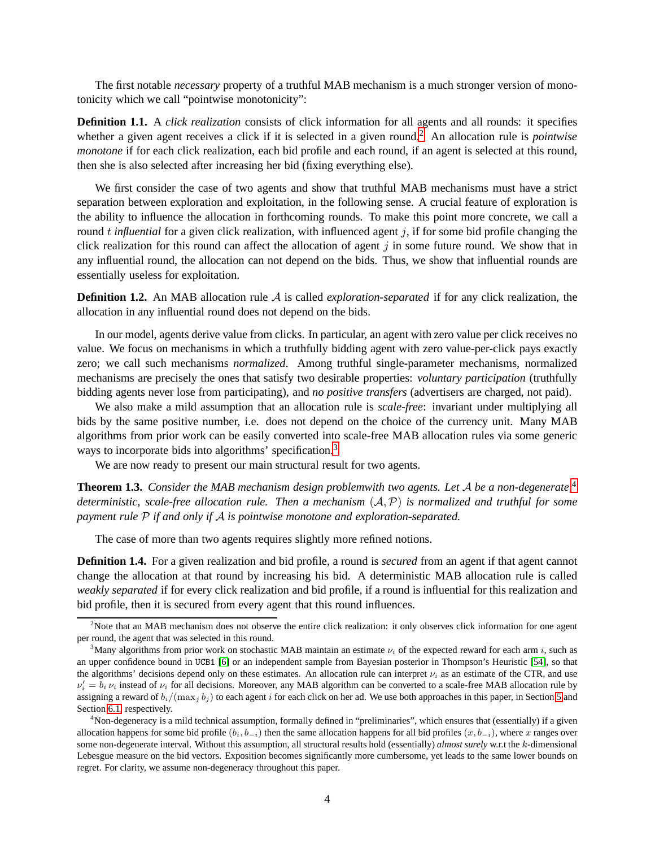The first notable *necessary* property of a truthful MAB mechanism is a much stronger version of monotonicity which we call "pointwise monotonicity":

<span id="page-3-4"></span>**Definition 1.1.** A *click realization* consists of click information for all agents and all rounds: it specifies whether a given agent receives a click if it is selected in a given round.<sup>[2](#page-3-0)</sup> An allocation rule is *pointwise monotone* if for each click realization, each bid profile and each round, if an agent is selected at this round, then she is also selected after increasing her bid (fixing everything else).

We first consider the case of two agents and show that truthful MAB mechanisms must have a strict separation between exploration and exploitation, in the following sense. A crucial feature of exploration is the ability to influence the allocation in forthcoming rounds. To make this point more concrete, we call a round t *influential* for a given click realization, with influenced agent j, if for some bid profile changing the click realization for this round can affect the allocation of agent  $j$  in some future round. We show that in any influential round, the allocation can not depend on the bids. Thus, we show that influential rounds are essentially useless for exploitation.

**Definition 1.2.** An MAB allocation rule A is called *exploration-separated* if for any click realization, the allocation in any influential round does not depend on the bids.

In our model, agents derive value from clicks. In particular, an agent with zero value per click receives no value. We focus on mechanisms in which a truthfully bidding agent with zero value-per-click pays exactly zero; we call such mechanisms *normalized*. Among truthful single-parameter mechanisms, normalized mechanisms are precisely the ones that satisfy two desirable properties: *voluntary participation* (truthfully bidding agents never lose from participating), and *no positive transfers* (advertisers are charged, not paid).

We also make a mild assumption that an allocation rule is *scale-free*: invariant under multiplying all bids by the same positive number, i.e. does not depend on the choice of the currency unit. Many MAB algorithms from prior work can be easily converted into scale-free MAB allocation rules via some generic ways to incorporate bids into algorithms' specification.<sup>[3](#page-3-1)</sup>

We are now ready to present our main structural result for two agents.

<span id="page-3-3"></span>**Theorem 1.3.** *Consider the MAB mechanism design problemwith two agents. Let* <sup>A</sup> *be a non-degenerate,*[4](#page-3-2) *deterministic, scale-free allocation rule. Then a mechanism* (A,P) *is normalized and truthful for some payment rule* P *if and only if* A *is pointwise monotone and exploration-separated.*

The case of more than two agents requires slightly more refined notions.

**Definition 1.4.** For a given realization and bid profile, a round is *secured* from an agent if that agent cannot change the allocation at that round by increasing his bid. A deterministic MAB allocation rule is called *weakly separated* if for every click realization and bid profile, if a round is influential for this realization and bid profile, then it is secured from every agent that this round influences.

<span id="page-3-0"></span> $2$ Note that an MAB mechanism does not observe the entire click realization: it only observes click information for one agent per round, the agent that was selected in this round.

<span id="page-3-1"></span><sup>&</sup>lt;sup>3</sup>Many algorithms from prior work on stochastic MAB maintain an estimate  $\nu_i$  of the expected reward for each arm i, such as an upper confidence bound in UCB1 [\[6\]](#page-28-4) or an independent sample from Bayesian posterior in Thompson's Heuristic [\[54\]](#page-30-4), so that the algorithms' decisions depend only on these estimates. An allocation rule can interpret  $\nu_i$  as an estimate of the CTR, and use  $\nu'_i = b_i \nu_i$  instead of  $\nu_i$  for all decisions. Moreover, any MAB algorithm can be converted to a scale-free MAB allocation rule by assigning a reward of  $b_i/(\max_i b_i)$  to each agent i for each click on her ad. We use both approaches in this paper, in Section [5](#page-21-0) and Section [6.1,](#page-23-0) respectively.

<span id="page-3-2"></span><sup>4</sup>Non-degeneracy is a mild technical assumption, formally defined in "preliminaries", which ensures that (essentially) if a given allocation happens for some bid profile  $(b_i, b_{-i})$  then the same allocation happens for all bid profiles  $(x, b_{-i})$ , where x ranges over some non-degenerate interval. Without this assumption, all structural results hold (essentially) *almost surely* w.r.t the k-dimensional Lebesgue measure on the bid vectors. Exposition becomes significantly more cumbersome, yet leads to the same lower bounds on regret. For clarity, we assume non-degeneracy throughout this paper.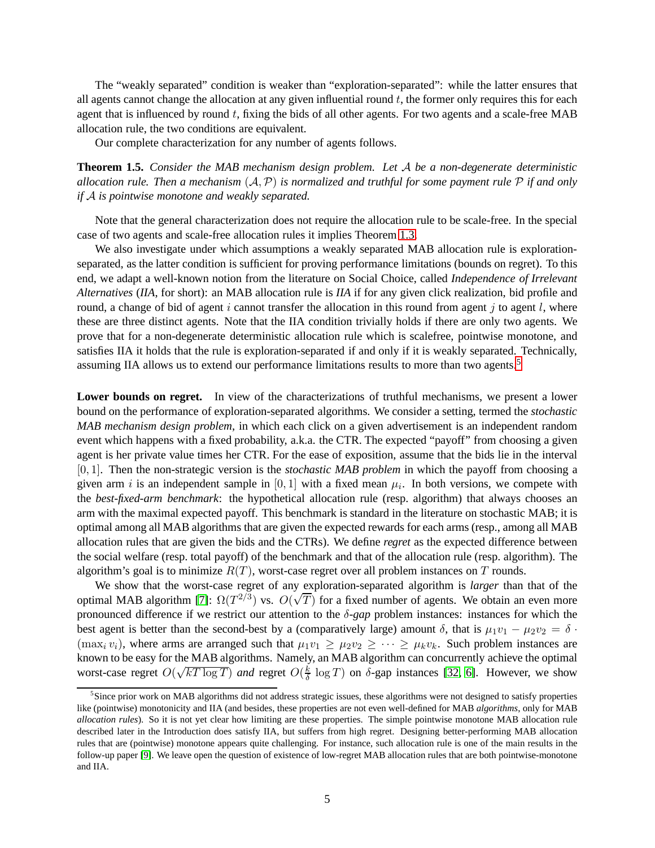The "weakly separated" condition is weaker than "exploration-separated": while the latter ensures that all agents cannot change the allocation at any given influential round  $t$ , the former only requires this for each agent that is influenced by round  $t$ , fixing the bids of all other agents. For two agents and a scale-free MAB allocation rule, the two conditions are equivalent.

Our complete characterization for any number of agents follows.

<span id="page-4-1"></span>**Theorem 1.5.** *Consider the MAB mechanism design problem. Let* A *be a non-degenerate deterministic* allocation rule. Then a mechanism  $(A, P)$  is normalized and truthful for some payment rule P if and only *if* A *is pointwise monotone and weakly separated.*

Note that the general characterization does not require the allocation rule to be scale-free. In the special case of two agents and scale-free allocation rules it implies Theorem [1.3.](#page-3-3)

We also investigate under which assumptions a weakly separated MAB allocation rule is explorationseparated, as the latter condition is sufficient for proving performance limitations (bounds on regret). To this end, we adapt a well-known notion from the literature on Social Choice, called *Independence of Irrelevant Alternatives* (*IIA*, for short): an MAB allocation rule is *IIA* if for any given click realization, bid profile and round, a change of bid of agent i cannot transfer the allocation in this round from agent i to agent l, where these are three distinct agents. Note that the IIA condition trivially holds if there are only two agents. We prove that for a non-degenerate deterministic allocation rule which is scalefree, pointwise monotone, and satisfies IIA it holds that the rule is exploration-separated if and only if it is weakly separated. Technically, assuming IIA allows us to extend our performance limitations results to more than two agents.<sup>[5](#page-4-0)</sup>

**Lower bounds on regret.** In view of the characterizations of truthful mechanisms, we present a lower bound on the performance of exploration-separated algorithms. We consider a setting, termed the *stochastic MAB mechanism design problem*, in which each click on a given advertisement is an independent random event which happens with a fixed probability, a.k.a. the CTR. The expected "payoff" from choosing a given agent is her private value times her CTR. For the ease of exposition, assume that the bids lie in the interval [0, 1]. Then the non-strategic version is the *stochastic MAB problem* in which the payoff from choosing a given arm i is an independent sample in [0, 1] with a fixed mean  $\mu_i$ . In both versions, we compete with the *best-fixed-arm benchmark*: the hypothetical allocation rule (resp. algorithm) that always chooses an arm with the maximal expected payoff. This benchmark is standard in the literature on stochastic MAB; it is optimal among all MAB algorithms that are given the expected rewards for each arms (resp., among all MAB allocation rules that are given the bids and the CTRs). We define *regret* as the expected difference between the social welfare (resp. total payoff) of the benchmark and that of the allocation rule (resp. algorithm). The algorithm's goal is to minimize  $R(T)$ , worst-case regret over all problem instances on T rounds.

We show that the worst-case regret of any exploration-separated algorithm is *larger* than that of the optimal MAB algorithm [\[7\]](#page-28-5):  $\Omega(T^{2/3})$  vs.  $O(\sqrt{T})$  for a fixed number of agents. We obtain an even more pronounced difference if we restrict our attention to the  $\delta$ -*gap* problem instances: instances for which the best agent is better than the second-best by a (comparatively large) amount  $\delta$ , that is  $\mu_1v_1 - \mu_2v_2 = \delta$ .  $(\max_i v_i)$ , where arms are arranged such that  $\mu_1v_1 \geq \mu_2v_2 \geq \cdots \geq \mu_kv_k$ . Such problem instances are known to be easy for the MAB algorithms. Namely, an MAB algorithm can concurrently achieve the optimal worst-case regret  $O(\sqrt{kT \log T})$  *and* regret  $O(\frac{k}{\delta})$  $\frac{k}{\delta}$  log T) on  $\delta$ -gap instances [\[32,](#page-29-6) [6\]](#page-28-4). However, we show

<span id="page-4-0"></span><sup>&</sup>lt;sup>5</sup>Since prior work on MAB algorithms did not address strategic issues, these algorithms were not designed to satisfy properties like (pointwise) monotonicity and IIA (and besides, these properties are not even well-defined for MAB *algorithms*, only for MAB *allocation rules*). So it is not yet clear how limiting are these properties. The simple pointwise monotone MAB allocation rule described later in the Introduction does satisfy IIA, but suffers from high regret. Designing better-performing MAB allocation rules that are (pointwise) monotone appears quite challenging. For instance, such allocation rule is one of the main results in the follow-up paper [\[9\]](#page-28-0). We leave open the question of existence of low-regret MAB allocation rules that are both pointwise-monotone and IIA.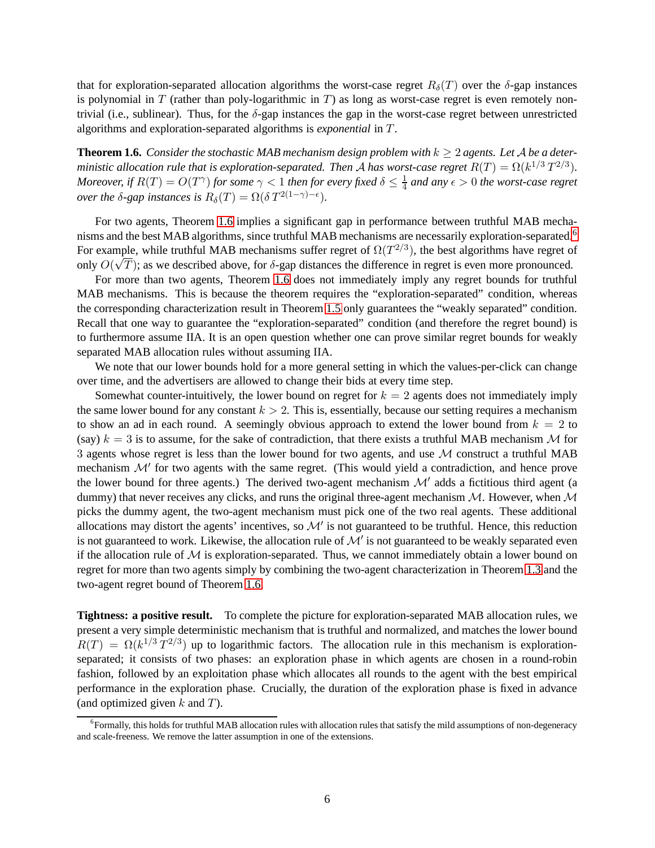that for exploration-separated allocation algorithms the worst-case regret  $R_{\delta}(T)$  over the  $\delta$ -gap instances is polynomial in  $T$  (rather than poly-logarithmic in  $T$ ) as long as worst-case regret is even remotely nontrivial (i.e., sublinear). Thus, for the  $\delta$ -gap instances the gap in the worst-case regret between unrestricted algorithms and exploration-separated algorithms is *exponential* in T.

<span id="page-5-0"></span>**Theorem 1.6.** *Consider the stochastic MAB mechanism design problem with*  $k \geq 2$  *agents. Let A be a deterministic allocation rule that is exploration-separated. Then A has worst-case regret*  $R(T) = \Omega(k^{1/3} T^{2/3})$ . *Moreover, if*  $R(T) = O(T^\gamma)$  *for some*  $\gamma < 1$  *then for every fixed*  $\delta \leq \frac{1}{4}$  $\frac{1}{4}$  and any  $\epsilon > 0$  the worst-case regret *over the*  $\delta$ -gap instances is  $R_{\delta}(T) = \Omega(\delta T^{2(1-\gamma)-\epsilon}).$ 

For two agents, Theorem [1.6](#page-5-0) implies a significant gap in performance between truthful MAB mechanisms and the best MAB algorithms, since truthful MAB mechanisms are necessarily exploration-separated.[6](#page-5-1) For example, while truthful MAB mechanisms suffer regret of  $\Omega(T^{2/3})$ , the best algorithms have regret of only  $O(\sqrt{T})$ ; as we described above, for  $\delta$ -gap distances the difference in regret is even more pronounced.

For more than two agents, Theorem [1.6](#page-5-0) does not immediately imply any regret bounds for truthful MAB mechanisms. This is because the theorem requires the "exploration-separated" condition, whereas the corresponding characterization result in Theorem [1.5](#page-4-1) only guarantees the "weakly separated" condition. Recall that one way to guarantee the "exploration-separated" condition (and therefore the regret bound) is to furthermore assume IIA. It is an open question whether one can prove similar regret bounds for weakly separated MAB allocation rules without assuming IIA.

We note that our lower bounds hold for a more general setting in which the values-per-click can change over time, and the advertisers are allowed to change their bids at every time step.

Somewhat counter-intuitively, the lower bound on regret for  $k = 2$  agents does not immediately imply the same lower bound for any constant  $k > 2$ . This is, essentially, because our setting requires a mechanism to show an ad in each round. A seemingly obvious approach to extend the lower bound from  $k = 2$  to (say)  $k = 3$  is to assume, for the sake of contradiction, that there exists a truthful MAB mechanism M for 3 agents whose regret is less than the lower bound for two agents, and use  $M$  construct a truthful MAB mechanism  $\mathcal{M}'$  for two agents with the same regret. (This would yield a contradiction, and hence prove the lower bound for three agents.) The derived two-agent mechanism  $\mathcal{M}'$  adds a fictitious third agent (a dummy) that never receives any clicks, and runs the original three-agent mechanism  $M$ . However, when  $M$ picks the dummy agent, the two-agent mechanism must pick one of the two real agents. These additional allocations may distort the agents' incentives, so  $\mathcal{M}'$  is not guaranteed to be truthful. Hence, this reduction is not guaranteed to work. Likewise, the allocation rule of  $\mathcal{M}'$  is not guaranteed to be weakly separated even if the allocation rule of  $\mathcal M$  is exploration-separated. Thus, we cannot immediately obtain a lower bound on regret for more than two agents simply by combining the two-agent characterization in Theorem [1.3](#page-3-3) and the two-agent regret bound of Theorem [1.6.](#page-5-0)

**Tightness: a positive result.** To complete the picture for exploration-separated MAB allocation rules, we present a very simple deterministic mechanism that is truthful and normalized, and matches the lower bound  $R(T) = \Omega(k^{1/3} T^{2/3})$  up to logarithmic factors. The allocation rule in this mechanism is explorationseparated; it consists of two phases: an exploration phase in which agents are chosen in a round-robin fashion, followed by an exploitation phase which allocates all rounds to the agent with the best empirical performance in the exploration phase. Crucially, the duration of the exploration phase is fixed in advance (and optimized given  $k$  and  $T$ ).

<span id="page-5-1"></span><sup>&</sup>lt;sup>6</sup>Formally, this holds for truthful MAB allocation rules with allocation rules that satisfy the mild assumptions of non-degeneracy and scale-freeness. We remove the latter assumption in one of the extensions.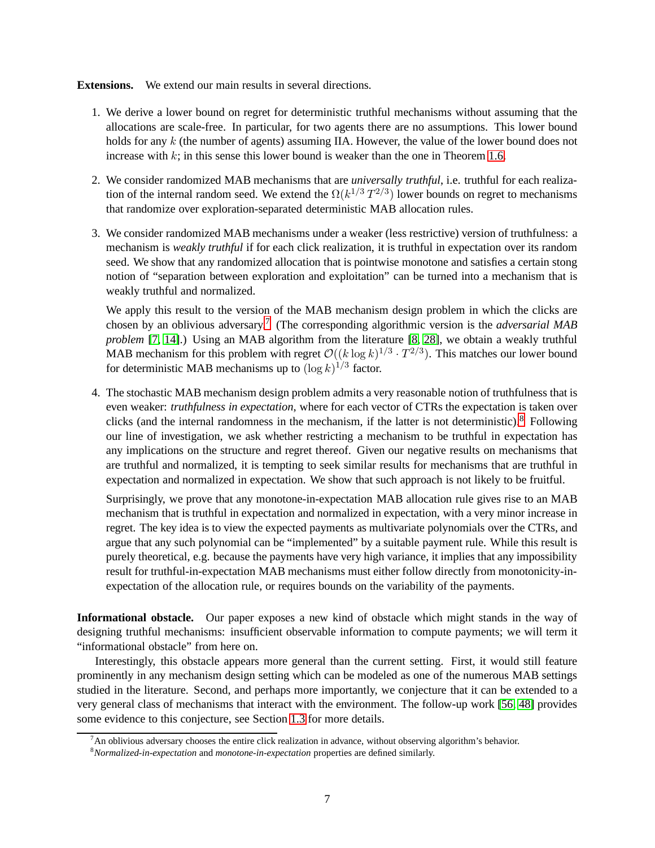**Extensions.** We extend our main results in several directions.

- 1. We derive a lower bound on regret for deterministic truthful mechanisms without assuming that the allocations are scale-free. In particular, for two agents there are no assumptions. This lower bound holds for any k (the number of agents) assuming IIA. However, the value of the lower bound does not increase with  $k$ ; in this sense this lower bound is weaker than the one in Theorem [1.6.](#page-5-0)
- 2. We consider randomized MAB mechanisms that are *universally truthful*, i.e. truthful for each realization of the internal random seed. We extend the  $\Omega(k^{1/3}T^{2/3})$  lower bounds on regret to mechanisms that randomize over exploration-separated deterministic MAB allocation rules.
- 3. We consider randomized MAB mechanisms under a weaker (less restrictive) version of truthfulness: a mechanism is *weakly truthful* if for each click realization, it is truthful in expectation over its random seed. We show that any randomized allocation that is pointwise monotone and satisfies a certain stong notion of "separation between exploration and exploitation" can be turned into a mechanism that is weakly truthful and normalized.

We apply this result to the version of the MAB mechanism design problem in which the clicks are chosen by an oblivious adversary.[7](#page-6-0) (The corresponding algorithmic version is the *adversarial MAB problem* [\[7,](#page-28-5) [14\]](#page-28-8).) Using an MAB algorithm from the literature [\[8,](#page-28-9) [28\]](#page-29-7), we obtain a weakly truthful MAB mechanism for this problem with regret  $\mathcal{O}((k \log k)^{1/3} \cdot T^{2/3})$ . This matches our lower bound for deterministic MAB mechanisms up to  $(\log k)^{1/3}$  factor.

4. The stochastic MAB mechanism design problem admits a very reasonable notion of truthfulness that is even weaker: *truthfulness in expectation*, where for each vector of CTRs the expectation is taken over clicks (and the internal randomness in the mechanism, if the latter is not deterministic).[8](#page-6-1) Following our line of investigation, we ask whether restricting a mechanism to be truthful in expectation has any implications on the structure and regret thereof. Given our negative results on mechanisms that are truthful and normalized, it is tempting to seek similar results for mechanisms that are truthful in expectation and normalized in expectation. We show that such approach is not likely to be fruitful.

Surprisingly, we prove that any monotone-in-expectation MAB allocation rule gives rise to an MAB mechanism that is truthful in expectation and normalized in expectation, with a very minor increase in regret. The key idea is to view the expected payments as multivariate polynomials over the CTRs, and argue that any such polynomial can be "implemented" by a suitable payment rule. While this result is purely theoretical, e.g. because the payments have very high variance, it implies that any impossibility result for truthful-in-expectation MAB mechanisms must either follow directly from monotonicity-inexpectation of the allocation rule, or requires bounds on the variability of the payments.

**Informational obstacle.** Our paper exposes a new kind of obstacle which might stands in the way of designing truthful mechanisms: insufficient observable information to compute payments; we will term it "informational obstacle" from here on.

Interestingly, this obstacle appears more general than the current setting. First, it would still feature prominently in any mechanism design setting which can be modeled as one of the numerous MAB settings studied in the literature. Second, and perhaps more importantly, we conjecture that it can be extended to a very general class of mechanisms that interact with the environment. The follow-up work [\[56,](#page-30-0) [48\]](#page-30-1) provides some evidence to this conjecture, see Section [1.3](#page-8-0) for more details.

 $^7$ An oblivious adversary chooses the entire click realization in advance, without observing algorithm's behavior.

<span id="page-6-1"></span><span id="page-6-0"></span><sup>8</sup>*Normalized-in-expectation* and *monotone-in-expectation* properties are defined similarly.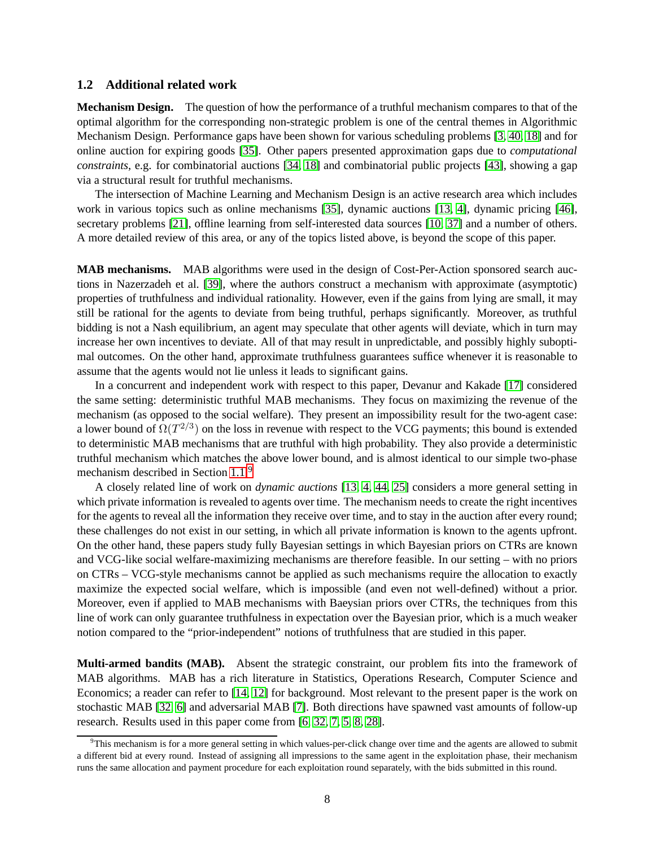### <span id="page-7-1"></span>**1.2 Additional related work**

**Mechanism Design.** The question of how the performance of a truthful mechanism compares to that of the optimal algorithm for the corresponding non-strategic problem is one of the central themes in Algorithmic Mechanism Design. Performance gaps have been shown for various scheduling problems [\[3,](#page-28-7) [40,](#page-29-0) [18\]](#page-28-10) and for online auction for expiring goods [\[35\]](#page-29-8). Other papers presented approximation gaps due to *computational constraints*, e.g. for combinatorial auctions [\[34,](#page-29-9) [18\]](#page-28-10) and combinatorial public projects [\[43\]](#page-29-10), showing a gap via a structural result for truthful mechanisms.

The intersection of Machine Learning and Mechanism Design is an active research area which includes work in various topics such as online mechanisms [\[35\]](#page-29-8), dynamic auctions [\[13,](#page-28-11) [4\]](#page-28-12), dynamic pricing [\[46\]](#page-29-11), secretary problems [\[21\]](#page-28-13), offline learning from self-interested data sources [\[10,](#page-28-14) [37\]](#page-29-12) and a number of others. A more detailed review of this area, or any of the topics listed above, is beyond the scope of this paper.

**MAB mechanisms.** MAB algorithms were used in the design of Cost-Per-Action sponsored search auctions in Nazerzadeh et al. [\[39\]](#page-29-13), where the authors construct a mechanism with approximate (asymptotic) properties of truthfulness and individual rationality. However, even if the gains from lying are small, it may still be rational for the agents to deviate from being truthful, perhaps significantly. Moreover, as truthful bidding is not a Nash equilibrium, an agent may speculate that other agents will deviate, which in turn may increase her own incentives to deviate. All of that may result in unpredictable, and possibly highly suboptimal outcomes. On the other hand, approximate truthfulness guarantees suffice whenever it is reasonable to assume that the agents would not lie unless it leads to significant gains.

In a concurrent and independent work with respect to this paper, Devanur and Kakade [\[17\]](#page-28-15) considered the same setting: deterministic truthful MAB mechanisms. They focus on maximizing the revenue of the mechanism (as opposed to the social welfare). They present an impossibility result for the two-agent case: a lower bound of  $\Omega(T^{2/3})$  on the loss in revenue with respect to the VCG payments; this bound is extended to deterministic MAB mechanisms that are truthful with high probability. They also provide a deterministic truthful mechanism which matches the above lower bound, and is almost identical to our simple two-phase mechanism described in Section [1.1.](#page-2-0)[9](#page-7-0)

A closely related line of work on *dynamic auctions* [\[13,](#page-28-11) [4,](#page-28-12) [44,](#page-29-14) [25\]](#page-29-15) considers a more general setting in which private information is revealed to agents over time. The mechanism needs to create the right incentives for the agents to reveal all the information they receive over time, and to stay in the auction after every round; these challenges do not exist in our setting, in which all private information is known to the agents upfront. On the other hand, these papers study fully Bayesian settings in which Bayesian priors on CTRs are known and VCG-like social welfare-maximizing mechanisms are therefore feasible. In our setting – with no priors on CTRs – VCG-style mechanisms cannot be applied as such mechanisms require the allocation to exactly maximize the expected social welfare, which is impossible (and even not well-defined) without a prior. Moreover, even if applied to MAB mechanisms with Baeysian priors over CTRs, the techniques from this line of work can only guarantee truthfulness in expectation over the Bayesian prior, which is a much weaker notion compared to the "prior-independent" notions of truthfulness that are studied in this paper.

**Multi-armed bandits (MAB).** Absent the strategic constraint, our problem fits into the framework of MAB algorithms. MAB has a rich literature in Statistics, Operations Research, Computer Science and Economics; a reader can refer to [\[14,](#page-28-8) [12\]](#page-28-16) for background. Most relevant to the present paper is the work on stochastic MAB [\[32,](#page-29-6) [6\]](#page-28-4) and adversarial MAB [\[7\]](#page-28-5). Both directions have spawned vast amounts of follow-up research. Results used in this paper come from [\[6,](#page-28-4) [32,](#page-29-6) [7,](#page-28-5) [5,](#page-28-17) [8,](#page-28-9) [28\]](#page-29-7).

<span id="page-7-0"></span> $9$ This mechanism is for a more general setting in which values-per-click change over time and the agents are allowed to submit a different bid at every round. Instead of assigning all impressions to the same agent in the exploitation phase, their mechanism runs the same allocation and payment procedure for each exploitation round separately, with the bids submitted in this round.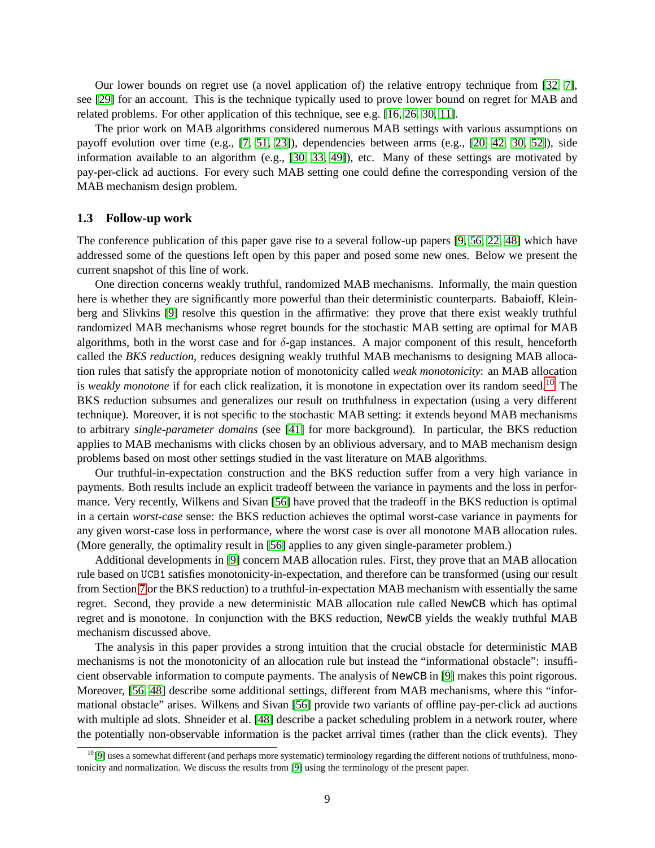Our lower bounds on regret use (a novel application of) the relative entropy technique from [\[32,](#page-29-6) [7\]](#page-28-5), see [\[29\]](#page-29-16) for an account. This is the technique typically used to prove lower bound on regret for MAB and related problems. For other application of this technique, see e.g. [\[16,](#page-28-6) [26,](#page-29-17) [30,](#page-29-18) [11\]](#page-28-18).

The prior work on MAB algorithms considered numerous MAB settings with various assumptions on payoff evolution over time (e.g., [\[7,](#page-28-5) [51,](#page-30-5) [23\]](#page-28-19)), dependencies between arms (e.g., [\[20,](#page-28-20) [42,](#page-29-19) [30,](#page-29-18) [52\]](#page-30-6)), side information available to an algorithm (e.g., [\[30,](#page-29-18) [33,](#page-29-20) [49\]](#page-30-7)), etc. Many of these settings are motivated by pay-per-click ad auctions. For every such MAB setting one could define the corresponding version of the MAB mechanism design problem.

### <span id="page-8-0"></span>**1.3 Follow-up work**

The conference publication of this paper gave rise to a several follow-up papers [\[9,](#page-28-0) [56,](#page-30-0) [22,](#page-28-1) [48\]](#page-30-1) which have addressed some of the questions left open by this paper and posed some new ones. Below we present the current snapshot of this line of work.

One direction concerns weakly truthful, randomized MAB mechanisms. Informally, the main question here is whether they are significantly more powerful than their deterministic counterparts. Babaioff, Kleinberg and Slivkins [\[9\]](#page-28-0) resolve this question in the affirmative: they prove that there exist weakly truthful randomized MAB mechanisms whose regret bounds for the stochastic MAB setting are optimal for MAB algorithms, both in the worst case and for  $\delta$ -gap instances. A major component of this result, henceforth called the *BKS reduction*, reduces designing weakly truthful MAB mechanisms to designing MAB allocation rules that satisfy the appropriate notion of monotonicity called *weak monotonicity*: an MAB allocation is *weakly monotone* if for each click realization, it is monotone in expectation over its random seed.<sup>[10](#page-8-1)</sup> The BKS reduction subsumes and generalizes our result on truthfulness in expectation (using a very different technique). Moreover, it is not specific to the stochastic MAB setting: it extends beyond MAB mechanisms to arbitrary *single-parameter domains* (see [\[41\]](#page-29-1) for more background). In particular, the BKS reduction applies to MAB mechanisms with clicks chosen by an oblivious adversary, and to MAB mechanism design problems based on most other settings studied in the vast literature on MAB algorithms.

Our truthful-in-expectation construction and the BKS reduction suffer from a very high variance in payments. Both results include an explicit tradeoff between the variance in payments and the loss in performance. Very recently, Wilkens and Sivan [\[56\]](#page-30-0) have proved that the tradeoff in the BKS reduction is optimal in a certain *worst-case* sense: the BKS reduction achieves the optimal worst-case variance in payments for any given worst-case loss in performance, where the worst case is over all monotone MAB allocation rules. (More generally, the optimality result in [\[56\]](#page-30-0) applies to any given single-parameter problem.)

Additional developments in [\[9\]](#page-28-0) concern MAB allocation rules. First, they prove that an MAB allocation rule based on UCB1 satisfies monotonicity-in-expectation, and therefore can be transformed (using our result from Section [7](#page-24-0) or the BKS reduction) to a truthful-in-expectation MAB mechanism with essentially the same regret. Second, they provide a new deterministic MAB allocation rule called NewCB which has optimal regret and is monotone. In conjunction with the BKS reduction, NewCB yields the weakly truthful MAB mechanism discussed above.

The analysis in this paper provides a strong intuition that the crucial obstacle for deterministic MAB mechanisms is not the monotonicity of an allocation rule but instead the "informational obstacle": insufficient observable information to compute payments. The analysis of NewCB in [\[9\]](#page-28-0) makes this point rigorous. Moreover, [\[56,](#page-30-0) [48\]](#page-30-1) describe some additional settings, different from MAB mechanisms, where this "informational obstacle" arises. Wilkens and Sivan [\[56\]](#page-30-0) provide two variants of offline pay-per-click ad auctions with multiple ad slots. Shneider et al. [\[48\]](#page-30-1) describe a packet scheduling problem in a network router, where the potentially non-observable information is the packet arrival times (rather than the click events). They

<span id="page-8-1"></span> $10$ [\[9\]](#page-28-0) uses a somewhat different (and perhaps more systematic) terminology regarding the different notions of truthfulness, monotonicity and normalization. We discuss the results from [\[9\]](#page-28-0) using the terminology of the present paper.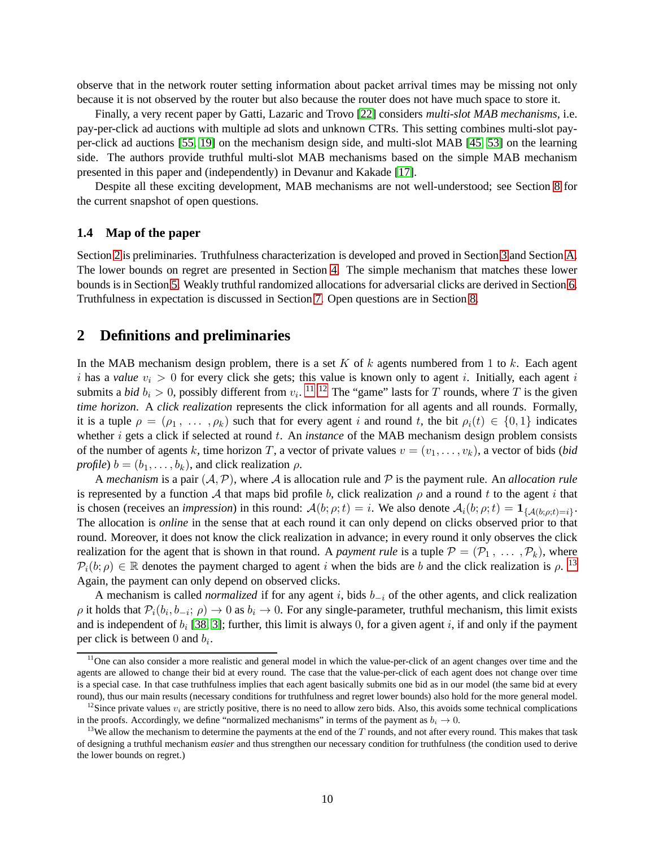observe that in the network router setting information about packet arrival times may be missing not only because it is not observed by the router but also because the router does not have much space to store it.

Finally, a very recent paper by Gatti, Lazaric and Trovo [\[22\]](#page-28-1) considers *multi-slot MAB mechanisms*, i.e. pay-per-click ad auctions with multiple ad slots and unknown CTRs. This setting combines multi-slot payper-click ad auctions [\[55,](#page-30-3) [19\]](#page-28-2) on the mechanism design side, and multi-slot MAB [\[45,](#page-29-21) [53\]](#page-30-8) on the learning side. The authors provide truthful multi-slot MAB mechanisms based on the simple MAB mechanism presented in this paper and (independently) in Devanur and Kakade [\[17\]](#page-28-15).

Despite all these exciting development, MAB mechanisms are not well-understood; see Section [8](#page-26-0) for the current snapshot of open questions.

#### **1.4 Map of the paper**

Section [2](#page-9-0) is preliminaries. Truthfulness characterization is developed and proved in Section [3](#page-10-0) and Section [A.](#page-30-9) The lower bounds on regret are presented in Section [4.](#page-17-0) The simple mechanism that matches these lower bounds is in Section [5.](#page-21-0) Weakly truthful randomized allocations for adversarial clicks are derived in Section [6.](#page-22-0) Truthfulness in expectation is discussed in Section [7.](#page-24-0) Open questions are in Section [8.](#page-26-0)

## <span id="page-9-0"></span>**2 Definitions and preliminaries**

In the MAB mechanism design problem, there is a set  $K$  of  $k$  agents numbered from 1 to  $k$ . Each agent i has a *value*  $v_i > 0$  for every click she gets; this value is known only to agent i. Initially, each agent i submits a *bid*  $b_i > 0$ , possibly different from  $v_i$ . <sup>[11](#page-9-1) [12](#page-9-2)</sup> The "game" lasts for T rounds, where T is the given *time horizon*. A *click realization* represents the click information for all agents and all rounds. Formally, it is a tuple  $\rho = (\rho_1, \ldots, \rho_k)$  such that for every agent i and round t, the bit  $\rho_i(t) \in \{0, 1\}$  indicates whether *i* gets a click if selected at round *t*. An *instance* of the MAB mechanism design problem consists of the number of agents k, time horizon T, a vector of private values  $v = (v_1, \ldots, v_k)$ , a vector of bids (*bid profile*)  $b = (b_1, \ldots, b_k)$ , and click realization  $\rho$ .

A *mechanism* is a pair  $(A, P)$ , where A is allocation rule and P is the payment rule. An *allocation rule* is represented by a function A that maps bid profile b, click realization  $\rho$  and a round t to the agent i that is chosen (receives an *impression*) in this round:  $A(b; \rho; t) = i$ . We also denote  $A_i(b; \rho; t) = \mathbf{1}_{\{A(b; \rho; t) = i\}}$ . The allocation is *online* in the sense that at each round it can only depend on clicks observed prior to that round. Moreover, it does not know the click realization in advance; in every round it only observes the click realization for the agent that is shown in that round. A *payment rule* is a tuple  $\mathcal{P} = (\mathcal{P}_1, \ldots, \mathcal{P}_k)$ , where  $P_i(b; \rho) \in \mathbb{R}$  denotes the payment charged to agent i when the bids are b and the click realization is  $\rho$ . <sup>[13](#page-9-3)</sup> Again, the payment can only depend on observed clicks.

A mechanism is called *normalized* if for any agent i, bids b−<sup>i</sup> of the other agents, and click realization  $\rho$  it holds that  $\mathcal{P}_i(b_i, b_{-i}; \rho) \to 0$  as  $b_i \to 0$ . For any single-parameter, truthful mechanism, this limit exists and is independent of  $b_i$  [\[38,](#page-29-5) [3\]](#page-28-7); further, this limit is always 0, for a given agent i, if and only if the payment per click is between 0 and  $b_i$ .

<span id="page-9-1"></span><sup>&</sup>lt;sup>11</sup>One can also consider a more realistic and general model in which the value-per-click of an agent changes over time and the agents are allowed to change their bid at every round. The case that the value-per-click of each agent does not change over time is a special case. In that case truthfulness implies that each agent basically submits one bid as in our model (the same bid at every round), thus our main results (necessary conditions for truthfulness and regret lower bounds) also hold for the more general model.

<span id="page-9-2"></span><sup>&</sup>lt;sup>12</sup>Since private values  $v_i$  are strictly positive, there is no need to allow zero bids. Also, this avoids some technical complications in the proofs. Accordingly, we define "normalized mechanisms" in terms of the payment as  $b_i \rightarrow 0$ .

<span id="page-9-3"></span><sup>&</sup>lt;sup>13</sup>We allow the mechanism to determine the payments at the end of the  $T$  rounds, and not after every round. This makes that task of designing a truthful mechanism *easier* and thus strengthen our necessary condition for truthfulness (the condition used to derive the lower bounds on regret.)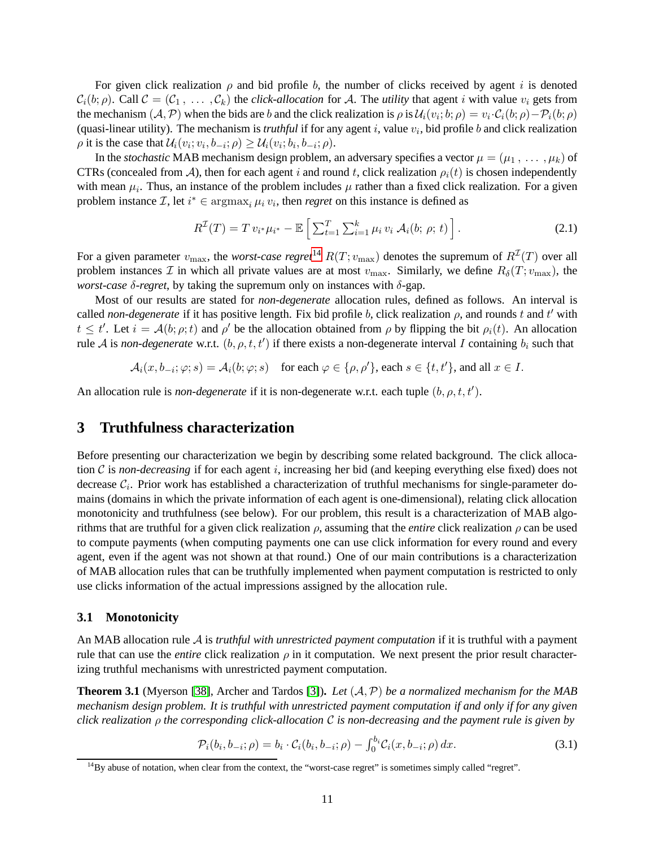For given click realization  $\rho$  and bid profile b, the number of clicks received by agent i is denoted  $C_i(b;\rho)$ . Call  $C = (C_1, \ldots, C_k)$  the *click-allocation* for A. The *utility* that agent i with value  $v_i$  gets from the mechanism  $(A, P)$  when the bids are b and the click realization is  $\rho$  is  $U_i(v_i; b; \rho) = v_i \cdot C_i(b; \rho) - P_i(b; \rho)$ (quasi-linear utility). The mechanism is *truthful* if for any agent  $i$ , value  $v_i$ , bid profile  $b$  and click realization  $\rho$  it is the case that  $\mathcal{U}_i(v_i; v_i, b_{-i}; \rho) \geq \mathcal{U}_i(v_i; b_i, b_{-i}; \rho)$ .

In the *stochastic* MAB mechanism design problem, an adversary specifies a vector  $\mu = (\mu_1, \ldots, \mu_k)$  of CTRs (concealed from A), then for each agent i and round t, click realization  $\rho_i(t)$  is chosen independently with mean  $\mu_i$ . Thus, an instance of the problem includes  $\mu$  rather than a fixed click realization. For a given problem instance  $\mathcal{I}$ , let  $i^* \in \text{argmax}_i \mu_i v_i$ , then *regret* on this instance is defined as

$$
R^{\mathcal{I}}(T) = T v_{i^*} \mu_{i^*} - \mathbb{E} \left[ \sum_{t=1}^T \sum_{i=1}^k \mu_i v_i \mathcal{A}_i(b; \rho; t) \right]. \tag{2.1}
$$

For a given parameter  $v_{\text{max}}$ , the *worst-case regret*<sup>[14](#page-10-1)</sup>  $R(T; v_{\text{max}})$  denotes the supremum of  $R^{T}(T)$  over all problem instances  $\mathcal I$  in which all private values are at most  $v_{\text{max}}$ . Similarly, we define  $R_\delta(T; v_{\text{max}})$ , the *worst-case* δ*-regret*, by taking the supremum only on instances with δ-gap.

Most of our results are stated for *non-degenerate* allocation rules, defined as follows. An interval is called *non-degenerate* if it has positive length. Fix bid profile b, click realization  $\rho$ , and rounds t and t' with  $t \leq t'$ . Let  $i = A(b; \rho; t)$  and  $\rho'$  be the allocation obtained from  $\rho$  by flipping the bit  $\rho_i(t)$ . An allocation rule A is *non-degenerate* w.r.t.  $(b, \rho, t, t')$  if there exists a non-degenerate interval I containing  $b_i$  such that

 $\mathcal{A}_i(x, b_{-i}; \varphi; s) = \mathcal{A}_i(b; \varphi; s)$  for each  $\varphi \in \{\rho, \rho'\}$ , each  $s \in \{t, t'\}$ , and all  $x \in I$ .

An allocation rule is *non-degenerate* if it is non-degenerate w.r.t. each tuple  $(b, \rho, t, t')$ .

### <span id="page-10-0"></span>**3 Truthfulness characterization**

Before presenting our characterization we begin by describing some related background. The click allocation C is *non-decreasing* if for each agent i, increasing her bid (and keeping everything else fixed) does not decrease  $C_i$ . Prior work has established a characterization of truthful mechanisms for single-parameter domains (domains in which the private information of each agent is one-dimensional), relating click allocation monotonicity and truthfulness (see below). For our problem, this result is a characterization of MAB algorithms that are truthful for a given click realization ρ, assuming that the *entire* click realization ρ can be used to compute payments (when computing payments one can use click information for every round and every agent, even if the agent was not shown at that round.) One of our main contributions is a characterization of MAB allocation rules that can be truthfully implemented when payment computation is restricted to only use clicks information of the actual impressions assigned by the allocation rule.

### **3.1 Monotonicity**

An MAB allocation rule A is *truthful with unrestricted payment computation* if it is truthful with a payment rule that can use the *entire* click realization  $\rho$  in it computation. We next present the prior result characterizing truthful mechanisms with unrestricted payment computation.

<span id="page-10-3"></span>**Theorem 3.1** (Myerson [\[38\]](#page-29-5), Archer and Tardos [\[3\]](#page-28-7))**.** *Let* (A,P) *be a normalized mechanism for the MAB mechanism design problem. It is truthful with unrestricted payment computation if and only if for any given click realization* ρ *the corresponding click-allocation* C *is non-decreasing and the payment rule is given by*

<span id="page-10-2"></span>
$$
\mathcal{P}_i(b_i, b_{-i}; \rho) = b_i \cdot \mathcal{C}_i(b_i, b_{-i}; \rho) - \int_0^{b_i} \mathcal{C}_i(x, b_{-i}; \rho) dx.
$$
\n(3.1)

<span id="page-10-1"></span> $14\text{By}$  abuse of notation, when clear from the context, the "worst-case regret" is sometimes simply called "regret".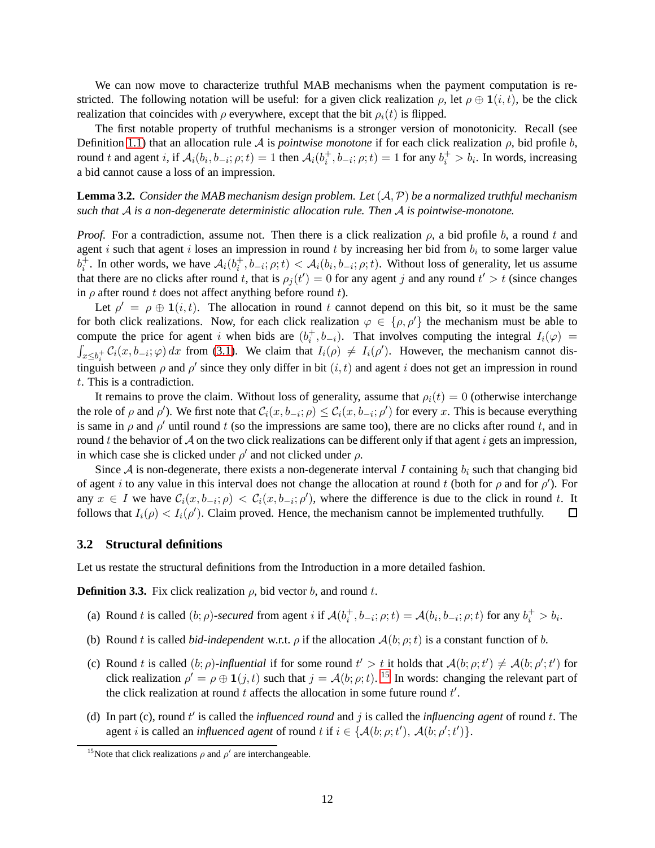We can now move to characterize truthful MAB mechanisms when the payment computation is restricted. The following notation will be useful: for a given click realization  $\rho$ , let  $\rho \oplus \mathbf{1}(i, t)$ , be the click realization that coincides with  $\rho$  everywhere, except that the bit  $\rho_i(t)$  is flipped.

The first notable property of truthful mechanisms is a stronger version of monotonicity. Recall (see Definition [1.1\)](#page-3-4) that an allocation rule A is *pointwise monotone* if for each click realization  $\rho$ , bid profile b, round t and agent i, if  $A_i(b_i, b_{-i}; \rho; t) = 1$  then  $A_i(b_i^+, b_{-i}; \rho; t) = 1$  for any  $b_i^+ > b_i$ . In words, increasing a bid cannot cause a loss of an impression.

<span id="page-11-1"></span>**Lemma 3.2.** *Consider the MAB mechanism design problem. Let* (A,P) *be a normalized truthful mechanism such that* A *is a non-degenerate deterministic allocation rule. Then* A *is pointwise-monotone.*

*Proof.* For a contradiction, assume not. Then there is a click realization  $\rho$ , a bid profile b, a round t and agent i such that agent i loses an impression in round t by increasing her bid from  $b_i$  to some larger value  $b_i^+$ . In other words, we have  $A_i(b_i^+, b_{-i}; \rho; t) < A_i(b_i, b_{-i}; \rho; t)$ . Without loss of generality, let us assume that there are no clicks after round t, that is  $\rho_j(t') = 0$  for any agent j and any round  $t' > t$  (since changes in  $\rho$  after round t does not affect anything before round t).

Let  $\rho' = \rho \oplus \mathbf{1}(i, t)$ . The allocation in round t cannot depend on this bit, so it must be the same for both click realizations. Now, for each click realization  $\varphi \in \{\rho, \rho'\}$  the mechanism must be able to compute the price for agent i when bids are  $(b_i^+, b_{-i})$ . That involves computing the integral  $I_i(\varphi)$  =  $\int_{x\leq b_i^+} C_i(x, b_{-i}; \varphi) dx$  from [\(3.1\)](#page-10-2). We claim that  $I_i(\rho) \neq I_i(\rho')$ . However, the mechanism cannot distinguish between  $\rho$  and  $\rho'$  since they only differ in bit  $(i, t)$  and agent i does not get an impression in round t. This is a contradiction.

It remains to prove the claim. Without loss of generality, assume that  $\rho_i(t) = 0$  (otherwise interchange the role of  $\rho$  and  $\rho'$ ). We first note that  $C_i(x, b_{-i}; \rho) \leq C_i(x, b_{-i}; \rho')$  for every x. This is because everything is same in  $\rho$  and  $\rho'$  until round t (so the impressions are same too), there are no clicks after round t, and in round t the behavior of A on the two click realizations can be different only if that agent i gets an impression, in which case she is clicked under  $\rho'$  and not clicked under  $\rho$ .

Since A is non-degenerate, there exists a non-degenerate interval I containing  $b_i$  such that changing bid of agent i to any value in this interval does not change the allocation at round t (both for  $\rho$  and for  $\rho'$ ). For any  $x \in I$  we have  $C_i(x, b_{-i}; \rho) < C_i(x, b_{-i}; \rho')$ , where the difference is due to the click in round t. It follows that  $I_i(\rho) < I_i(\rho')$ . Claim proved. Hence, the mechanism cannot be implemented truthfully. □

#### **3.2 Structural definitions**

Let us restate the structural definitions from the Introduction in a more detailed fashion.

<span id="page-11-2"></span>**Definition 3.3.** Fix click realization  $\rho$ , bid vector  $b$ , and round  $t$ .

- (a) Round t is called  $(b; \rho)$ -secured from agent i if  $\mathcal{A}(b_i^+, b_{-i}; \rho; t) = \mathcal{A}(b_i, b_{-i}; \rho; t)$  for any  $b_i^+ > b_i$ .
- (b) Round t is called *bid-independent* w.r.t.  $\rho$  if the allocation  $\mathcal{A}(b; \rho; t)$  is a constant function of b.
- (c) Round t is called  $(b; \rho)$ -influential if for some round  $t' > t$  it holds that  $\mathcal{A}(b; \rho; t') \neq \mathcal{A}(b; \rho'; t')$  for click realization  $\rho' = \rho \oplus \mathbf{1}(j, t)$  such that  $j = A(b; \rho; t)$ . <sup>[15](#page-11-0)</sup> In words: changing the relevant part of the click realization at round  $t$  affects the allocation in some future round  $t'$ .
- (d) In part (c), round  $t'$  is called the *influenced round* and  $j$  is called the *influencing agent* of round  $t$ . The agent *i* is called an *influenced agent* of round *t* if  $i \in \{A(b; \rho; t'), A(b; \rho'; t')\}$ .

<span id="page-11-0"></span><sup>&</sup>lt;sup>15</sup>Note that click realizations  $\rho$  and  $\rho'$  are interchangeable.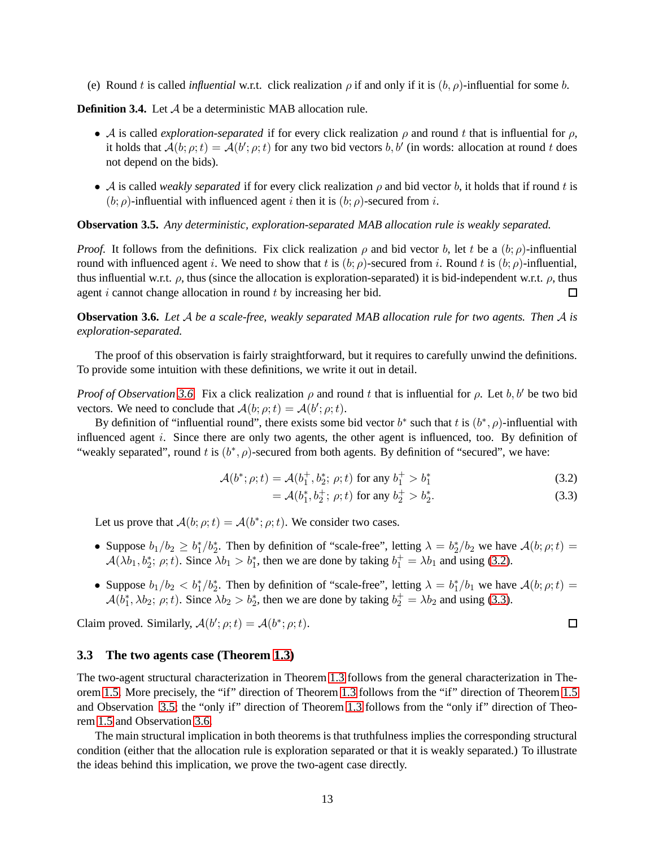(e) Round t is called *influential* w.r.t. click realization  $\rho$  if and only if it is  $(b, \rho)$ -influential for some b.

**Definition 3.4.** Let A be a deterministic MAB allocation rule.

- A is called *exploration-separated* if for every click realization  $\rho$  and round t that is influential for  $\rho$ , it holds that  $A(b; \rho; t) = A(b'; \rho; t)$  for any two bid vectors b, b' (in words: allocation at round t does not depend on the bids).
- A is called *weakly separated* if for every click realization  $\rho$  and bid vector b, it holds that if round t is  $(b; \rho)$ -influential with influenced agent *i* then it is  $(b; \rho)$ -secured from *i*.

<span id="page-12-3"></span>**Observation 3.5.** *Any deterministic, exploration-separated MAB allocation rule is weakly separated.*

*Proof.* It follows from the definitions. Fix click realization  $\rho$  and bid vector b, let t be a  $(b; \rho)$ -influential round with influenced agent i. We need to show that t is  $(b; \rho)$ -secured from i. Round t is  $(b; \rho)$ -influential, thus influential w.r.t.  $\rho$ , thus (since the allocation is exploration-separated) it is bid-independent w.r.t.  $\rho$ , thus agent  $i$  cannot change allocation in round  $t$  by increasing her bid.  $\Box$ 

<span id="page-12-0"></span>**Observation 3.6.** *Let* A *be a scale-free, weakly separated MAB allocation rule for two agents. Then* A *is exploration-separated.*

The proof of this observation is fairly straightforward, but it requires to carefully unwind the definitions. To provide some intuition with these definitions, we write it out in detail.

*Proof of Observation* [3.6.](#page-12-0) Fix a click realization  $\rho$  and round t that is influential for  $\rho$ . Let  $b, b'$  be two bid vectors. We need to conclude that  $\mathcal{A}(b; \rho; t) = \mathcal{A}(b'; \rho; t)$ .

By definition of "influential round", there exists some bid vector  $b^*$  such that t is  $(b^*, \rho)$ -influential with influenced agent  $i$ . Since there are only two agents, the other agent is influenced, too. By definition of "weakly separated", round t is  $(b^*, \rho)$ -secured from both agents. By definition of "secured", we have:

$$
\mathcal{A}(b^*; \rho; t) = \mathcal{A}(b_1^+, b_2^*; \rho; t) \text{ for any } b_1^+ > b_1^*
$$
\n(3.2)

$$
= \mathcal{A}(b_1^*, b_2^+; \rho; t) \text{ for any } b_2^+ > b_2^*.
$$
 (3.3)

<span id="page-12-2"></span><span id="page-12-1"></span> $\Box$ 

Let us prove that  $A(b; \rho; t) = A(b^*; \rho; t)$ . We consider two cases.

- Suppose  $b_1/b_2 \geq b_1^*/b_2^*$ . Then by definition of "scale-free", letting  $\lambda = b_2^*/b_2$  we have  $\mathcal{A}(b;\rho;t)$  $\mathcal{A}(\lambda b_1, b_2^*; \rho; t)$ . Since  $\lambda b_1 > b_1^*$ , then we are done by taking  $b_1^+ = \lambda b_1$  and using [\(3.2\)](#page-12-1).
- Suppose  $b_1/b_2 < b_1^*/b_2^*$ . Then by definition of "scale-free", letting  $\lambda = b_1^*/b_1$  we have  $\mathcal{A}(b; \rho; t)$  $\mathcal{A}(b_1^*, \lambda b_2; \rho; t)$ . Since  $\lambda b_2 > b_2^*$ , then we are done by taking  $b_2^+ = \lambda b_2$  and using [\(3.3\)](#page-12-2).

Claim proved. Similarly,  $A(b'; \rho; t) = A(b^*; \rho; t)$ .

#### **3.3 The two agents case (Theorem [1.3\)](#page-3-3)**

The two-agent structural characterization in Theorem [1.3](#page-3-3) follows from the general characterization in Theorem [1.5.](#page-4-1) More precisely, the "if" direction of Theorem [1.3](#page-3-3) follows from the "if" direction of Theorem [1.5](#page-4-1) and Observation [3.5;](#page-12-3) the "only if" direction of Theorem [1.3](#page-3-3) follows from the "only if" direction of Theorem [1.5](#page-4-1) and Observation [3.6.](#page-12-0)

The main structural implication in both theorems is that truthfulness implies the corresponding structural condition (either that the allocation rule is exploration separated or that it is weakly separated.) To illustrate the ideas behind this implication, we prove the two-agent case directly.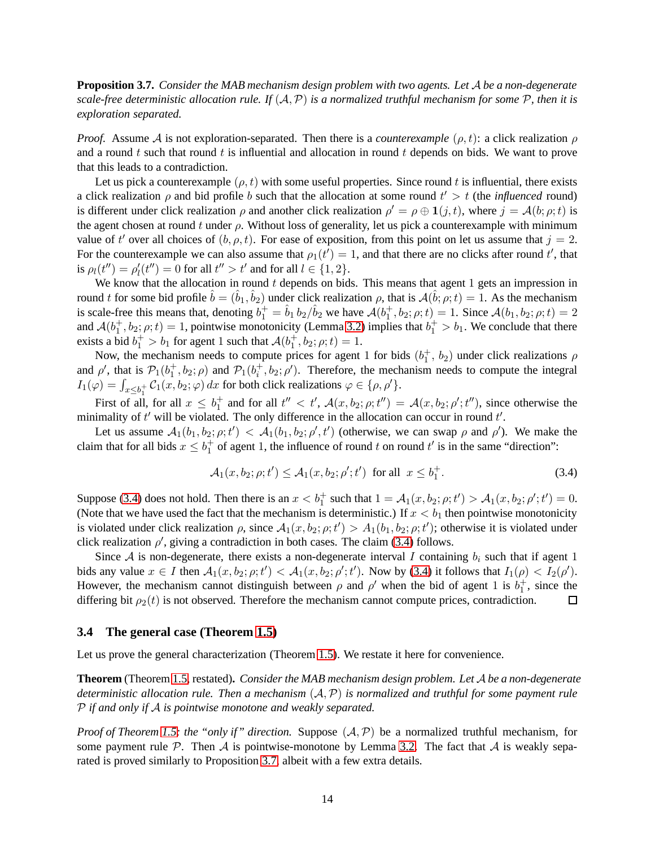<span id="page-13-1"></span>**Proposition 3.7.** *Consider the MAB mechanism design problem with two agents. Let* A *be a non-degenerate scale-free deterministic allocation rule. If* (A,P) *is a normalized truthful mechanism for some* P*, then it is exploration separated.*

*Proof.* Assume A is not exploration-separated. Then there is a *counterexample* ( $\rho$ , t): a click realization  $\rho$ and a round  $t$  such that round  $t$  is influential and allocation in round  $t$  depends on bids. We want to prove that this leads to a contradiction.

Let us pick a counterexample  $(\rho, t)$  with some useful properties. Since round t is influential, there exists a click realization  $\rho$  and bid profile b such that the allocation at some round  $t' > t$  (the *influenced* round) is different under click realization  $\rho$  and another click realization  $\rho' = \rho \oplus \mathbf{1}(j, t)$ , where  $j = \mathcal{A}(b; \rho; t)$  is the agent chosen at round t under  $\rho$ . Without loss of generality, let us pick a counterexample with minimum value of t' over all choices of  $(b, \rho, t)$ . For ease of exposition, from this point on let us assume that  $j = 2$ . For the counterexample we can also assume that  $\rho_1(t') = 1$ , and that there are no clicks after round t', that is  $\rho_l(t'') = \rho'_l(t'') = 0$  for all  $t'' > t'$  and for all  $l \in \{1, 2\}$ .

We know that the allocation in round  $t$  depends on bids. This means that agent 1 gets an impression in round t for some bid profile  $\hat{b} = (\hat{b}_1, \hat{b}_2)$  under click realization  $\rho$ , that is  $\mathcal{A}(\hat{b}; \rho; t) = 1$ . As the mechanism is scale-free this means that, denoting  $b_1^+ = \hat{b}_1 b_2/\hat{b}_2$  we have  $\mathcal{A}(b_1^+, b_2; \rho; t) = 1$ . Since  $\mathcal{A}(b_1, b_2; \rho; t) = 2$ and  $\mathcal{A}(b_1^+, b_2; \rho; t) = 1$ , pointwise monotonicity (Lemma [3.2\)](#page-11-1) implies that  $b_1^+ > b_1$ . We conclude that there exists a bid  $b_1^+ > b_1$  for agent 1 such that  $\mathcal{A}(b_1^+, b_2; \rho; t) = 1$ .

Now, the mechanism needs to compute prices for agent 1 for bids  $(b_1^+, b_2)$  under click realizations  $\rho$ and  $\rho'$ , that is  $\mathcal{P}_1(b_1^+, b_2; \rho)$  and  $\mathcal{P}_1(b_i^+, b_2; \rho')$ . Therefore, the mechanism needs to compute the integral  $I_1(\varphi) = \int_{x \leq b_1^+} C_1(x, b_2; \varphi) dx$  for both click realizations  $\varphi \in {\rho, \rho'}$ .

First of all, for all  $x \leq b_1^+$  and for all  $t'' < t'$ ,  $\mathcal{A}(x, b_2; \rho; t'') = \mathcal{A}(x, b_2; \rho'; t'')$ , since otherwise the minimality of  $t'$  will be violated. The only difference in the allocation can occur in round  $t'$ .

Let us assume  $A_1(b_1, b_2; \rho; t') < A_1(b_1, b_2; \rho', t')$  (otherwise, we can swap  $\rho$  and  $\rho'$ ). We make the claim that for all bids  $x \leq b_1^+$  of agent 1, the influence of round t on round t' is in the same "direction":

<span id="page-13-0"></span>
$$
\mathcal{A}_1(x, b_2; \rho; t') \le \mathcal{A}_1(x, b_2; \rho'; t') \text{ for all } x \le b_1^+.
$$
 (3.4)

Suppose [\(3.4\)](#page-13-0) does not hold. Then there is an  $x < b_1^+$  such that  $1 = A_1(x, b_2; \rho; t') > A_1(x, b_2; \rho'; t') = 0$ . (Note that we have used the fact that the mechanism is deterministic.) If  $x < b<sub>1</sub>$  then pointwise monotonicity is violated under click realization  $\rho$ , since  $A_1(x, b_2; \rho; t') > A_1(b_1, b_2; \rho; t')$ ; otherwise it is violated under click realization  $\rho'$ , giving a contradiction in both cases. The claim [\(3.4\)](#page-13-0) follows.

Since A is non-degenerate, there exists a non-degenerate interval I containing  $b_i$  such that if agent 1 bids any value  $x \in I$  then  $\mathcal{A}_1(x, b_2; \rho; t') < \mathcal{A}_1(x, b_2; \rho'; t')$ . Now by [\(3.4\)](#page-13-0) it follows that  $I_1(\rho) < I_2(\rho')$ . However, the mechanism cannot distinguish between  $\rho$  and  $\rho'$  when the bid of agent 1 is  $b_1^+$ , since the differing bit  $\rho_2(t)$  is not observed. Therefore the mechanism cannot compute prices, contradiction.  $\Box$ 

#### **3.4 The general case (Theorem [1.5\)](#page-4-1)**

Let us prove the general characterization (Theorem [1.5\)](#page-4-1). We restate it here for convenience.

**Theorem** (Theorem [1.5,](#page-4-1) restated)**.** *Consider the MAB mechanism design problem. Let* A *be a non-degenerate deterministic allocation rule. Then a mechanism* (A,P) *is normalized and truthful for some payment rule* P *if and only if* A *is pointwise monotone and weakly separated.*

*Proof of Theorem [1.5:](#page-4-1) the "only if" direction.* Suppose (A,P) be a normalized truthful mechanism, for some payment rule  $\mathcal P$ . Then  $\mathcal A$  is pointwise-monotone by Lemma [3.2.](#page-11-1) The fact that  $\mathcal A$  is weakly separated is proved similarly to Proposition [3.7,](#page-13-1) albeit with a few extra details.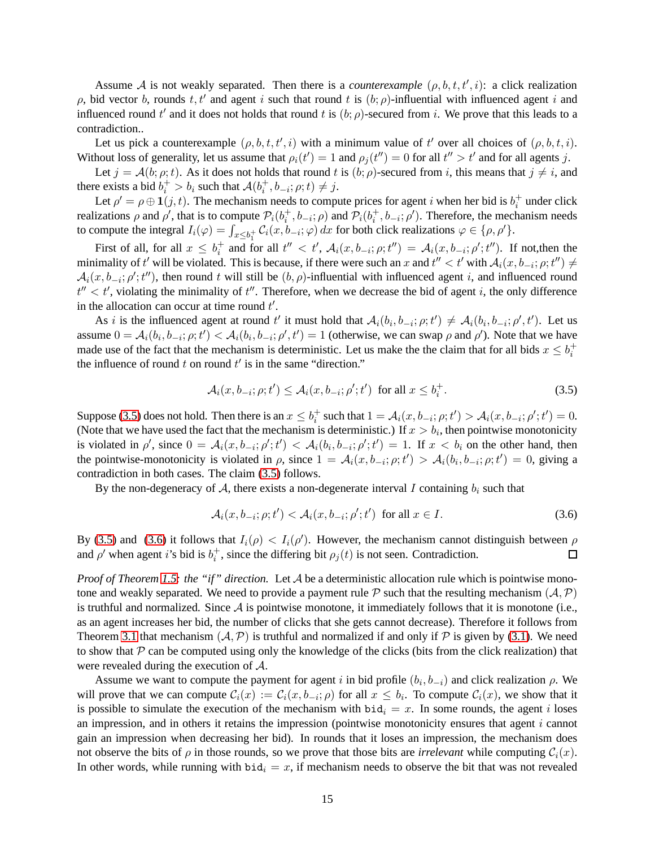Assume A is not weakly separated. Then there is a *counterexample*  $(\rho, b, t, t', i)$ : a click realization  $\rho$ , bid vector b, rounds t, t' and agent i such that round t is  $(b; \rho)$ -influential with influenced agent i and influenced round t' and it does not holds that round t is  $(b; \rho)$ -secured from i. We prove that this leads to a contradiction..

Let us pick a counterexample  $(\rho, b, t, t', i)$  with a minimum value of  $t'$  over all choices of  $(\rho, b, t, i)$ . Without loss of generality, let us assume that  $\rho_i(t') = 1$  and  $\rho_j(t'') = 0$  for all  $t'' > t'$  and for all agents j.

Let  $j = A(b; \rho; t)$ . As it does not holds that round t is  $(b; \rho)$ -secured from i, this means that  $j \neq i$ , and there exists a bid  $b_i^+ > b_i$  such that  $\mathcal{A}(b_i^+, b_{-i}; \rho; t) \neq j$ .

Let  $\rho' = \rho \oplus \mathbf{1}(j, t)$ . The mechanism needs to compute prices for agent i when her bid is  $b_i^+$  under click realizations  $\rho$  and  $\rho'$ , that is to compute  $\mathcal{P}_i(b_i^+, b_{-i}; \rho)$  and  $\mathcal{P}_i(b_i^+, b_{-i}; \rho')$ . Therefore, the mechanism needs to compute the integral  $I_i(\varphi) = \int_{x \leq b_1^+} C_i(x, b_{-i}; \varphi) dx$  for both click realizations  $\varphi \in {\rho, \rho'}$ .

First of all, for all  $x \leq b_i^+$  and for all  $t'' < t'$ ,  $\mathcal{A}_i(x, b_{-i}; \rho; t'') = \mathcal{A}_i(x, b_{-i}; \rho'; t'')$ . If not, then the minimality of t' will be violated. This is because, if there were such an x and  $t'' < t'$  with  $A_i(x, b_{-i}; \rho; t'') \neq$  $\mathcal{A}_i(x, b_{-i}; \rho'; t'')$ , then round t will still be  $(b, \rho)$ -influential with influenced agent i, and influenced round  $t'' < t'$ , violating the minimality of  $t''$ . Therefore, when we decrease the bid of agent *i*, the only difference in the allocation can occur at time round  $t'$ .

As i is the influenced agent at round t' it must hold that  $A_i(b_i, b_{-i}; \rho; t') \neq A_i(b_i, b_{-i}; \rho', t')$ . Let us assume  $0 = A_i(b_i, b_{-i}; \rho; t') < A_i(b_i, b_{-i}; \rho', t') = 1$  (otherwise, we can swap  $\rho$  and  $\rho'$ ). Note that we have made use of the fact that the mechanism is deterministic. Let us make the the claim that for all bids  $x \leq b_i^+$ the influence of round  $t$  on round  $t'$  is in the same "direction."

<span id="page-14-0"></span>
$$
\mathcal{A}_i(x, b_{-i}; \rho; t') \le \mathcal{A}_i(x, b_{-i}; \rho'; t') \text{ for all } x \le b_i^+.
$$
\n(3.5)

Suppose [\(3.5\)](#page-14-0) does not hold. Then there is an  $x \leq b_i^+$  such that  $1 = A_i(x, b_{-i}; \rho; t') > A_i(x, b_{-i}; \rho'; t') = 0$ . (Note that we have used the fact that the mechanism is deterministic.) If  $x > b_i$ , then pointwise monotonicity is violated in  $\rho'$ , since  $0 = A_i(x, b_{-i}; \rho'; t') < A_i(b_i, b_{-i}; \rho'; t') = 1$ . If  $x < b_i$  on the other hand, then the pointwise-monotonicity is violated in  $\rho$ , since  $1 = A_i(x, b_{-i}; \rho; t') > A_i(b_i, b_{-i}; \rho; t') = 0$ , giving a contradiction in both cases. The claim [\(3.5\)](#page-14-0) follows.

By the non-degeneracy of A, there exists a non-degenerate interval I containing  $b_i$  such that

<span id="page-14-1"></span>
$$
\mathcal{A}_i(x, b_{-i}; \rho; t') < \mathcal{A}_i(x, b_{-i}; \rho'; t') \text{ for all } x \in I. \tag{3.6}
$$

By [\(3.5\)](#page-14-0) and [\(3.6\)](#page-14-1) it follows that  $I_i(\rho) < I_i(\rho')$ . However, the mechanism cannot distinguish between  $\rho$ and  $\rho'$  when agent *i*'s bid is  $b_i^+$ , since the differing bit  $\rho_j(t)$  is not seen. Contradiction.  $\Box$ 

*Proof of Theorem [1.5:](#page-4-1) the "if" direction.* Let A be a deterministic allocation rule which is pointwise monotone and weakly separated. We need to provide a payment rule P such that the resulting mechanism  $(A, P)$ is truthful and normalized. Since  $A$  is pointwise monotone, it immediately follows that it is monotone (i.e., as an agent increases her bid, the number of clicks that she gets cannot decrease). Therefore it follows from Theorem [3.1](#page-10-3) that mechanism  $(A, \mathcal{P})$  is truthful and normalized if and only if  $\mathcal P$  is given by [\(3.1\)](#page-10-2). We need to show that  $\mathcal P$  can be computed using only the knowledge of the clicks (bits from the click realization) that were revealed during the execution of A.

Assume we want to compute the payment for agent i in bid profile  $(b_i, b_{-i})$  and click realization  $\rho$ . We will prove that we can compute  $C_i(x) := C_i(x, b_{-i}; \rho)$  for all  $x \leq b_i$ . To compute  $C_i(x)$ , we show that it is possible to simulate the execution of the mechanism with bid $i = x$ . In some rounds, the agent i loses an impression, and in others it retains the impression (pointwise monotonicity ensures that agent i cannot gain an impression when decreasing her bid). In rounds that it loses an impression, the mechanism does not observe the bits of  $\rho$  in those rounds, so we prove that those bits are *irrelevant* while computing  $C_i(x)$ . In other words, while running with  $bid_i = x$ , if mechanism needs to observe the bit that was not revealed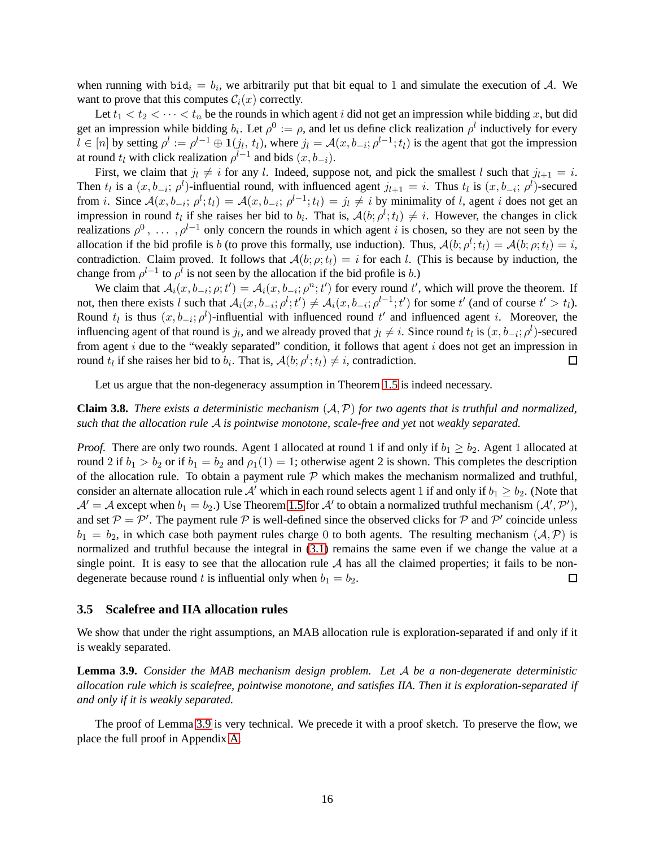when running with  $bid_i = b_i$ , we arbitrarily put that bit equal to 1 and simulate the execution of A. We want to prove that this computes  $C_i(x)$  correctly.

Let  $t_1 < t_2 < \cdots < t_n$  be the rounds in which agent i did not get an impression while bidding x, but did get an impression while bidding  $b_i$ . Let  $\rho^0 := \rho$ , and let us define click realization  $\rho^l$  inductively for every  $l \in [n]$  by setting  $\rho^l := \rho^{l-1} \oplus \mathbf{1}(j_l, t_l)$ , where  $j_l = \mathcal{A}(x, b_{-i}; \rho^{l-1}; t_l)$  is the agent that got the impression at round  $t_l$  with click realization  $\rho^{l-1}$  and bids  $(x, b_{-i})$ .

First, we claim that  $j_l \neq i$  for any l. Indeed, suppose not, and pick the smallest l such that  $j_{l+1} = i$ . Then  $t_l$  is a  $(x, b_{-i}; \rho^l)$ -influential round, with influenced agent  $j_{l+1} = i$ . Thus  $t_l$  is  $(x, b_{-i}; \rho^l)$ -secured from *i*. Since  $\mathcal{A}(x, b_{-i}; \rho^l; t_l) = \mathcal{A}(x, b_{-i}; \rho^{l-1}; t_l) = j_l \neq i$  by minimality of *l*, agent *i* does not get an impression in round  $t_l$  if she raises her bid to  $b_i$ . That is,  $\mathcal{A}(b; \rho^l; t_l) \neq i$ . However, the changes in click realizations  $\rho^0$ , ...,  $\rho^{l-1}$  only concern the rounds in which agent i is chosen, so they are not seen by the allocation if the bid profile is b (to prove this formally, use induction). Thus,  $A(b; \rho^l; t_l) = A(b; \rho; t_l) = i$ , contradiction. Claim proved. It follows that  $A(b; \rho; t_1) = i$  for each l. (This is because by induction, the change from  $\rho^{l-1}$  to  $\rho^l$  is not seen by the allocation if the bid profile is *b*.)

We claim that  $A_i(x, b_{-i}; \rho; t') = A_i(x, b_{-i}; \rho^n; t')$  for every round t', which will prove the theorem. If not, then there exists l such that  $A_i(x, b_{-i}; \rho^l; t') \neq A_i(x, b_{-i}; \rho^{l-1}; t')$  for some  $t'$  (and of course  $t' > t_l$ ). Round  $t_l$  is thus  $(x, b_{-i}; \rho^l)$ -influential with influenced round  $t'$  and influenced agent i. Moreover, the influencing agent of that round is  $j_l$ , and we already proved that  $j_l \neq i$ . Since round  $t_l$  is  $(x, b_{-i}; \rho^l)$ -secured from agent  $i$  due to the "weakly separated" condition, it follows that agent  $i$  does not get an impression in round  $t_l$  if she raises her bid to  $b_i$ . That is,  $\mathcal{A}(b; \rho^l; t_l) \neq i$ , contradiction.  $\Box$ 

Let us argue that the non-degeneracy assumption in Theorem [1.5](#page-4-1) is indeed necessary.

### **Claim 3.8.** *There exists a deterministic mechanism* (A,P) *for two agents that is truthful and normalized, such that the allocation rule* A *is pointwise monotone, scale-free and yet* not *weakly separated.*

*Proof.* There are only two rounds. Agent 1 allocated at round 1 if and only if  $b_1 \geq b_2$ . Agent 1 allocated at round 2 if  $b_1 > b_2$  or if  $b_1 = b_2$  and  $\rho_1(1) = 1$ ; otherwise agent 2 is shown. This completes the description of the allocation rule. To obtain a payment rule  $P$  which makes the mechanism normalized and truthful, consider an alternate allocation rule A' which in each round selects agent 1 if and only if  $b_1 \geq b_2$ . (Note that  $A' = A$  except when  $b_1 = b_2$ .) Use Theorem [1.5](#page-4-1) for  $A'$  to obtain a normalized truthful mechanism  $(A', P')$ , and set  $P = P'$ . The payment rule P is well-defined since the observed clicks for P and P' coincide unless  $b_1 = b_2$ , in which case both payment rules charge 0 to both agents. The resulting mechanism  $(A, \mathcal{P})$  is normalized and truthful because the integral in [\(3.1\)](#page-10-2) remains the same even if we change the value at a single point. It is easy to see that the allocation rule A has all the claimed properties; it fails to be non-<br>degenerate because round t is influential only when  $b_1 = b_2$ . degenerate because round t is influential only when  $b_1 = b_2$ .

#### **3.5 Scalefree and IIA allocation rules**

We show that under the right assumptions, an MAB allocation rule is exploration-separated if and only if it is weakly separated.

<span id="page-15-0"></span>**Lemma 3.9.** *Consider the MAB mechanism design problem. Let* A *be a non-degenerate deterministic allocation rule which is scalefree, pointwise monotone, and satisfies IIA. Then it is exploration-separated if and only if it is weakly separated.*

The proof of Lemma [3.9](#page-15-0) is very technical. We precede it with a proof sketch. To preserve the flow, we place the full proof in Appendix [A.](#page-30-9)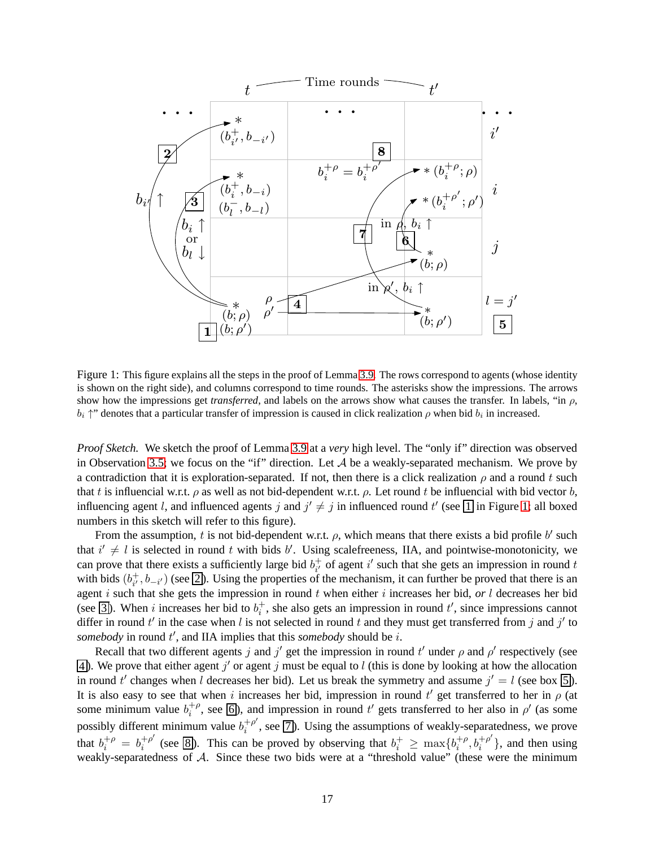

<span id="page-16-0"></span>Figure 1: This figure explains all the steps in the proof of Lemma [3.9.](#page-15-0) The rows correspond to agents (whose identity is shown on the right side), and columns correspond to time rounds. The asterisks show the impressions. The arrows show how the impressions get *transferred*, and labels on the arrows show what causes the transfer. In labels, "in  $\rho$ ,  $b_i \uparrow$ " denotes that a particular transfer of impression is caused in click realization  $\rho$  when bid  $b_i$  in increased.

*Proof Sketch.* We sketch the proof of Lemma [3.9](#page-15-0) at a *very* high level. The "only if" direction was observed in Observation [3.5;](#page-12-3) we focus on the "if" direction. Let A be a weakly-separated mechanism. We prove by a contradiction that it is exploration-separated. If not, then there is a click realization  $\rho$  and a round t such that t is influencial w.r.t.  $\rho$  as well as not bid-dependent w.r.t.  $\rho$ . Let round t be influencial with bid vector b, influencing agent l, and influenced agents j and  $j' \neq j$  in influenced round  $t'$  (see  $\boxed{1}$  in Figure [1;](#page-16-0) all boxed numbers in this sketch will refer to this figure).

From the assumption, t is not bid-dependent w.r.t.  $\rho$ , which means that there exists a bid profile b' such that  $i' \neq l$  is selected in round t with bids b'. Using scalefreeness, IIA, and pointwise-monotonicity, we can prove that there exists a sufficiently large bid  $b_{i'}^{+}$ <sup>+</sup> of agent i' such that she gets an impression in round t with bids  $(b_{i'}^+)$  $_{i'}^+$ ,  $b_{-i'}$ ) (see  $\boxed{2}$ ). Using the properties of the mechanism, it can further be proved that there is an agent i such that she gets the impression in round t when either i increases her bid, *or* l decreases her bid (see  $\boxed{3}$ ). When i increases her bid to  $b_i^+$ , she also gets an impression in round t', since impressions cannot differ in round  $t'$  in the case when l is not selected in round t and they must get transferred from j and j' to somebody in round t', and IIA implies that this *somebody* should be i.

Recall that two different agents j and j' get the impression in round t' under  $\rho$  and  $\rho'$  respectively (see  $\overline{4}$ ). We prove that either agent j' or agent j must be equal to l (this is done by looking at how the allocation in round t' changes when l decreases her bid). Let us break the symmetry and assume  $j' = l$  (see box  $\boxed{5}$ ). It is also easy to see that when i increases her bid, impression in round  $t'$  get transferred to her in  $\rho$  (at some minimum value  $b_i^{+\rho}$ <sup>+ρ</sup>, see **6**), and impression in round t' gets transferred to her also in  $\rho'$  (as some possibly different minimum value  $b_i^{+\rho'}$  $i^{\dagger \rho}$ , see  $\boxed{7}$ ). Using the assumptions of weakly-separatedness, we prove that  $b_i^{+\rho} = b_i^{+\rho'}$  $i^{+p'}$  (see  $\boxed{8}$ ). This can be proved by observing that  $b_i^+ \ge \max\{b_i^{+p}\}$  $i^{+\rho}, b_i^{+\rho'}$  $i^{+\rho}$ }, and then using weakly-separatedness of A. Since these two bids were at a "threshold value" (these were the minimum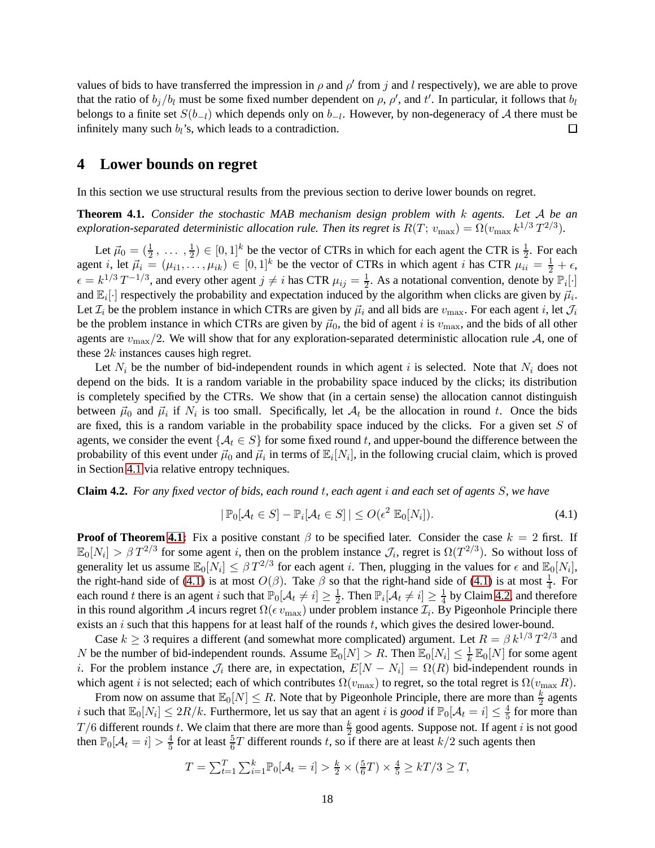values of bids to have transferred the impression in  $\rho$  and  $\rho'$  from j and l respectively), we are able to prove that the ratio of  $b_j/b_l$  must be some fixed number dependent on  $\rho$ ,  $\rho'$ , and  $t'$ . In particular, it follows that  $b_l$ belongs to a finite set  $S(b_{-l})$  which depends only on  $b_{-l}$ . However, by non-degeneracy of A there must be infinitely many such  $b_i$ 's, which leads to a contradiction.

## <span id="page-17-0"></span>**4 Lower bounds on regret**

In this section we use structural results from the previous section to derive lower bounds on regret.

<span id="page-17-1"></span>**Theorem 4.1.** *Consider the stochastic MAB mechanism design problem with* k *agents. Let* A *be an exploration-separated deterministic allocation rule. Then its regret is*  $R(T; v_{\text{max}}) = \Omega(v_{\text{max}} k^{1/3} T^{2/3})$ .

Let  $\vec{\mu}_0 = (\frac{1}{2}, \ \ldots \ , \frac{1}{2})$  $(\frac{1}{2}) \in [0,1]^k$  be the vector of CTRs in which for each agent the CTR is  $\frac{1}{2}$ . For each agent i, let  $\vec{\mu}_i = (\mu_{i1}, \dots, \mu_{ik}) \in [0, 1]^k$  be the vector of CTRs in which agent i has CTR  $\mu_{ii} = \frac{1}{2} + \epsilon$ ,  $\epsilon = k^{1/3} T^{-1/3}$ , and every other agent  $j \neq i$  has CTR  $\mu_{ij} = \frac{1}{2}$  $\frac{1}{2}$ . As a notational convention, denote by  $\mathbb{P}_{i}[\cdot]$ and  $\mathbb{E}_i[\cdot]$  respectively the probability and expectation induced by the algorithm when clicks are given by  $\vec{\mu}_i$ . Let  $\mathcal{I}_i$  be the problem instance in which CTRs are given by  $\vec{\mu}_i$  and all bids are  $v_{\text{max}}$ . For each agent i, let  $\mathcal{J}_i$ be the problem instance in which CTRs are given by  $\vec{\mu}_0$ , the bid of agent i is  $v_{\text{max}}$ , and the bids of all other agents are  $v_{\text{max}}/2$ . We will show that for any exploration-separated deterministic allocation rule A, one of these 2k instances causes high regret.

Let  $N_i$  be the number of bid-independent rounds in which agent i is selected. Note that  $N_i$  does not depend on the bids. It is a random variable in the probability space induced by the clicks; its distribution is completely specified by the CTRs. We show that (in a certain sense) the allocation cannot distinguish between  $\vec{\mu}_0$  and  $\vec{\mu}_i$  if  $N_i$  is too small. Specifically, let  $\mathcal{A}_t$  be the allocation in round t. Once the bids are fixed, this is a random variable in the probability space induced by the clicks. For a given set  $S$  of agents, we consider the event  $\{A_t \in S\}$  for some fixed round t, and upper-bound the difference between the probability of this event under  $\vec{\mu}_0$  and  $\vec{\mu}_i$  in terms of  $\mathbb{E}_i[N_i]$ , in the following crucial claim, which is proved in Section [4.1](#page-18-0) via relative entropy techniques.

<span id="page-17-3"></span>**Claim 4.2.** *For any fixed vector of bids, each round* t*, each agent* i *and each set of agents* S*, we have*

<span id="page-17-2"></span>
$$
|\mathbb{P}_0[\mathcal{A}_t \in S] - \mathbb{P}_i[\mathcal{A}_t \in S]| \le O(\epsilon^2 \mathbb{E}_0[N_i]).
$$
\n(4.1)

**Proof of Theorem [4.1:](#page-17-1)** Fix a positive constant  $\beta$  to be specified later. Consider the case  $k = 2$  first. If  $\mathbb{E}_0[N_i] > \beta T^{2/3}$  for some agent i, then on the problem instance  $\mathcal{J}_i$ , regret is  $\Omega(T^{2/3})$ . So without loss of generality let us assume  $\mathbb{E}_0[N_i] \leq \beta T^{2/3}$  for each agent *i*. Then, plugging in the values for  $\epsilon$  and  $\mathbb{E}_0[N_i]$ , the right-hand side of [\(4.1\)](#page-17-2) is at most  $O(\beta)$ . Take  $\beta$  so that the right-hand side of (4.1) is at most  $\frac{1}{4}$ . For each round t there is an agent i such that  $\mathbb{P}_0[\mathcal{A}_t \neq i] \geq \frac{1}{2}$ . Then  $\mathbb{P}_i[\mathcal{A}_t \neq i] \geq \frac{1}{4}$  by Claim [4.2,](#page-17-3) and therefore in this round algorithm A incurs regret  $\Omega(\epsilon v_{\text{max}})$  under problem instance  $\mathcal{I}_i$ . By Pigeonhole Principle there exists an  $i$  such that this happens for at least half of the rounds  $t$ , which gives the desired lower-bound.

Case  $k \ge 3$  requires a different (and somewhat more complicated) argument. Let  $R = \beta k^{1/3} T^{2/3}$  and N be the number of bid-independent rounds. Assume  $\mathbb{E}_0[N] > R$ . Then  $\mathbb{E}_0[N_i] \leq \frac{1}{k}$  $\frac{1}{k}$   $\mathbb{E}_0[N]$  for some agent i. For the problem instance  $\mathcal{J}_i$  there are, in expectation,  $E[N - N_i] = \Omega(R)$  bid-independent rounds in which agent i is not selected; each of which contributes  $\Omega(v_{\text{max}})$  to regret, so the total regret is  $\Omega(v_{\text{max}} R)$ .

From now on assume that  $\mathbb{E}_0[N] \leq R$ . Note that by Pigeonhole Principle, there are more than  $\frac{k}{2}$  agents i such that  $\mathbb{E}_0[N_i] \leq 2R/k$ . Furthermore, let us say that an agent i is *good* if  $\mathbb{P}_0[\mathcal{A}_t = i] \leq \frac{4}{5}$  $\frac{4}{5}$  for more than  $T/6$  different rounds t. We claim that there are more than  $\frac{k}{2}$  good agents. Suppose not. If agent i is not good then  $\mathbb{P}_0[\mathcal{A}_t = i] > \frac{4}{5}$  $\frac{4}{5}$  for at least  $\frac{5}{6}T$  different rounds t, so if there are at least  $k/2$  such agents then

$$
T = \sum_{t=1}^{T} \sum_{i=1}^{k} \mathbb{P}_{0}[\mathcal{A}_{t} = i] > \frac{k}{2} \times (\frac{5}{6}T) \times \frac{4}{5} \ge kT/3 \ge T,
$$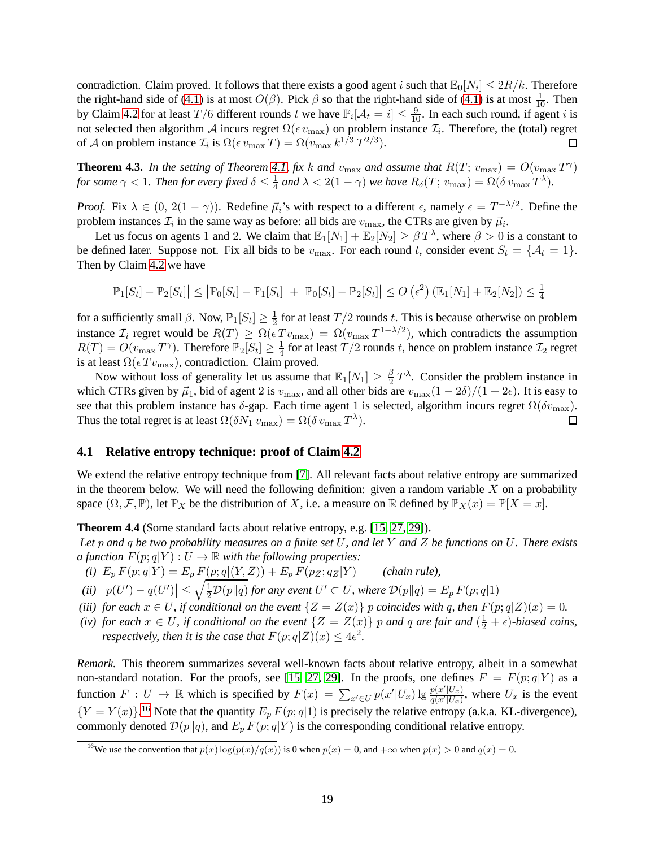contradiction. Claim proved. It follows that there exists a good agent i such that  $\mathbb{E}_0[N_i] \leq 2R/k$ . Therefore the right-hand side of [\(4.1\)](#page-17-2) is at most  $O(\beta)$ . Pick  $\beta$  so that the right-hand side of (4.1) is at most  $\frac{1}{10}$ . Then by Claim [4.2](#page-17-3) for at least  $T/6$  different rounds t we have  $\mathbb{P}_i[\mathcal{A}_t = i] \leq \frac{9}{10}$ . In each such round, if agent i is not selected then algorithm A incurs regret  $\Omega(\epsilon v_{\text{max}})$  on problem instance  $\mathcal{I}_i$ . Therefore, the (total) regret of A on problem instance  $\mathcal{I}_i$  is  $\Omega(\epsilon v_{\text{max}} T) = \Omega(v_{\text{max}} k^{1/3} T^{2/3}).$  $\Box$ 

<span id="page-18-7"></span>**Theorem 4.3.** In the setting of Theorem [4.1,](#page-17-1) fix k and  $v_{\text{max}}$  and assume that  $R(T; v_{\text{max}}) = O(v_{\text{max}} T^{\gamma})$ for some  $\gamma < 1$ . Then for every fixed  $\delta \leq \frac{1}{4}$  $\frac{1}{4}$  and  $\lambda < 2(1 - \gamma)$  we have  $R_{\delta}(T; v_{\text{max}}) = \Omega(\delta v_{\text{max}} T^{\lambda}).$ 

*Proof.* Fix  $\lambda \in (0, 2(1 - \gamma))$ . Redefine  $\vec{\mu}_i$ 's with respect to a different  $\epsilon$ , namely  $\epsilon = T^{-\lambda/2}$ . Define the problem instances  $\mathcal{I}_i$  in the same way as before: all bids are  $v_{\text{max}}$ , the CTRs are given by  $\vec{\mu}_i$ .

Let us focus on agents 1 and 2. We claim that  $\mathbb{E}_1[N_1] + \mathbb{E}_2[N_2] \ge \beta T^{\lambda}$ , where  $\beta > 0$  is a constant to be defined later. Suppose not. Fix all bids to be  $v_{\text{max}}$ . For each round t, consider event  $S_t = \{A_t = 1\}$ . Then by Claim [4.2](#page-17-3) we have

$$
\left| \mathbb{P}_{1}[S_{t}] - \mathbb{P}_{2}[S_{t}] \right| \leq \left| \mathbb{P}_{0}[S_{t}] - \mathbb{P}_{1}[S_{t}] \right| + \left| \mathbb{P}_{0}[S_{t}] - \mathbb{P}_{2}[S_{t}] \right| \leq O\left(\epsilon^{2}\right) \left( \mathbb{E}_{1}[N_{1}] + \mathbb{E}_{2}[N_{2}] \right) \leq \frac{1}{4}
$$

for a sufficiently small  $\beta$ . Now,  $\mathbb{P}_1[S_t] \geq \frac{1}{2}$  $\frac{1}{2}$  for at least  $T/2$  rounds t. This is because otherwise on problem instance  $\mathcal{I}_i$  regret would be  $R(T) \geq \Omega(\epsilon T v_{\text{max}}) = \Omega(v_{\text{max}} T^{1-\lambda/2})$ , which contradicts the assumption  $R(T) = O(v_{\text{max}} T^{\gamma})$ . Therefore  $\mathbb{P}_2[S_t] \geq \frac{1}{4}$  $\frac{1}{4}$  for at least  $T/2$  rounds t, hence on problem instance  $\mathcal{I}_2$  regret is at least  $\Omega(\epsilon T v_{\text{max}})$ , contradiction. Claim proved.

Now without loss of generality let us assume that  $\mathbb{E}_1[N_1] \geq \frac{\beta}{2}$  $\frac{\beta}{2}T^{\lambda}$ . Consider the problem instance in which CTRs given by  $\vec{\mu}_1$ , bid of agent 2 is  $v_{\text{max}}$ , and all other bids are  $v_{\text{max}}(1 - 2\delta)/(1 + 2\epsilon)$ . It is easy to see that this problem instance has  $\delta$ -gap. Each time agent 1 is selected, algorithm incurs regret  $\Omega(\delta v_{\text{max}})$ . Thus the total regret is at least  $\Omega(\delta N_1 v_{\text{max}}) = \Omega(\delta v_{\text{max}} T^{\lambda}).$ □

#### <span id="page-18-0"></span>**4.1 Relative entropy technique: proof of Claim [4.2](#page-17-3)**

We extend the relative entropy technique from [\[7\]](#page-28-5). All relevant facts about relative entropy are summarized in the theorem below. We will need the following definition: given a random variable  $X$  on a probability space  $(\Omega, \mathcal{F}, \mathbb{P})$ , let  $\mathbb{P}_X$  be the distribution of X, i.e. a measure on R defined by  $\mathbb{P}_X(x) = \mathbb{P}[X = x]$ .

<span id="page-18-2"></span>**Theorem 4.4** (Some standard facts about relative entropy, e.g. [\[15,](#page-28-21) [27,](#page-29-22) [29\]](#page-29-16))**.**

*Let* p *and* q *be two probability measures on a finite set* U*, and let* Y *and* Z *be functions on* U*. There exists a function*  $F(p; q|Y) : U \to \mathbb{R}$  *with the following properties:* 

- <span id="page-18-6"></span><span id="page-18-3"></span>*(i)*  $E_p F(p; q | Y) = E_p F(p; q | (Y, Z)) + E_p F(p_Z; q_Z | Y)$  *(chain rule),*
- (*ii*)  $|p(U') q(U')| \le$  $\sqrt{\frac{1}{2}\mathcal{D}(p||q)}$  for any event  $U' \subset U$ , where  $\mathcal{D}(p||q) = E_p F(p;q|1)$
- <span id="page-18-5"></span><span id="page-18-4"></span>*(iii) for each*  $x \in U$ *, if conditional on the event*  $\{Z = Z(x)\}\$  *p coincides with q, then*  $F(p; q|Z)(x) = 0$ *.*
- *(iv) for each*  $x \in U$ , *if conditional on the event*  $\{Z = Z(x)\}$  *p and q are fair and*  $(\frac{1}{2} + \epsilon)$ *-biased coins, respectively, then it is the case that*  $F(p; q|Z)(x) \leq 4\epsilon^2$ .

*Remark.* This theorem summarizes several well-known facts about relative entropy, albeit in a somewhat non-standard notation. For the proofs, see [\[15,](#page-28-21) [27,](#page-29-22) [29\]](#page-29-16). In the proofs, one defines  $F = F(p; q|Y)$  as a function  $F: U \to \mathbb{R}$  which is specified by  $F(x) = \sum_{x' \in U} p(x'|U_x) \lg \frac{p(x'|U_x)}{q(x'|U_x)}$  $\frac{p(x'|U_x)}{q(x'|U_x)}$ , where  $U_x$  is the event  ${Y = Y(x)}$ .<sup>[16](#page-18-1)</sup> Note that the quantity  $E_p F(p; q|1)$  is precisely the relative entropy (a.k.a. KL-divergence), commonly denoted  $\mathcal{D}(p||q)$ , and  $E_p F(p; q|Y)$  is the corresponding conditional relative entropy.

<span id="page-18-1"></span><sup>&</sup>lt;sup>16</sup>We use the convention that  $p(x) \log(p(x)/q(x))$  is 0 when  $p(x) = 0$ , and  $+\infty$  when  $p(x) > 0$  and  $q(x) = 0$ .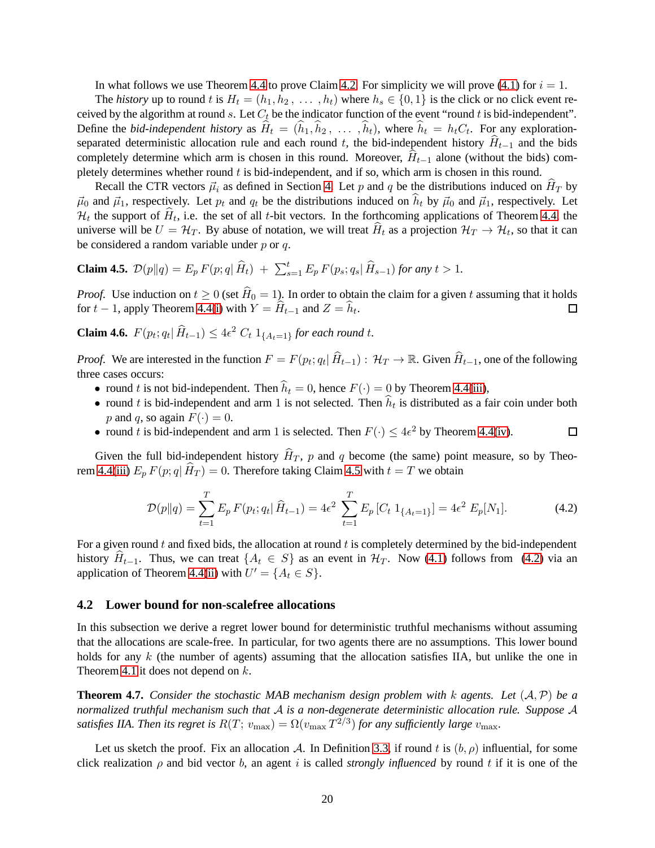In what follows we use Theorem [4.4](#page-18-2) to prove Claim [4.2.](#page-17-3) For simplicity we will prove [\(4.1\)](#page-17-2) for  $i = 1$ .

The *history* up to round t is  $H_t = (h_1, h_2, \ldots, h_t)$  where  $h_s \in \{0, 1\}$  is the click or no click event received by the algorithm at round s. Let  $C_t$  be the indicator function of the event "round t is bid-independent". Define the *bid-independent history* as  $H_t = (h_1, h_2, \ldots, h_t)$ , where  $h_t = h_tC_t$ . For any explorationseparated deterministic allocation rule and each round t, the bid-independent history  $H_{t-1}$  and the bids completely determine which arm is chosen in this round. Moreover,  $H_{t-1}$  alone (without the bids) completely determines whether round  $t$  is bid-independent, and if so, which arm is chosen in this round.

Recall the CTR vectors  $\vec{\mu}_i$  as defined in Section [4.](#page-17-0) Let p and q be the distributions induced on  $H_T$  by  $\vec{\mu}_0$  and  $\vec{\mu}_1$ , respectively. Let  $p_t$  and  $q_t$  be the distributions induced on  $\hat{h}_t$  by  $\vec{\mu}_0$  and  $\vec{\mu}_1$ , respectively. Let  $\mathcal{H}_t$  the support of  $H_t$ , i.e. the set of all t-bit vectors. In the forthcoming applications of Theorem [4.4,](#page-18-2) the universe will be  $U = H_T$ . By abuse of notation, we will treat  $H_t$  as a projection  $H_T \to H_t$ , so that it can be considered a random variable under  $p$  or  $q$ .

<span id="page-19-0"></span>**Claim 4.5.** 
$$
\mathcal{D}(p||q) = E_p F(p; q|\hat{H}_t) + \sum_{s=1}^t E_p F(p_s; q_s|\hat{H}_{s-1})
$$
 for any  $t > 1$ .

*Proof.* Use induction on  $t \ge 0$  (set  $\hat{H}_0 = 1$ ). In order to obtain the claim for a given t assuming that it holds for  $t - 1$ , apply Theorem 4.4(i) with  $Y = \hat{H}_{t-1}$  and  $Z = \hat{h}_t$ . for  $t - 1$ , apply Theorem [4.4](#page-18-2)[\(i\)](#page-18-3) with  $Y = H_{t-1}$  and  $Z = h_t$ .

**Claim 4.6.**  $F(p_t; q_t | \hat{H}_{t-1}) \leq 4\epsilon^2 C_t 1_{\{A_t=1\}}$  *for each round t.* 

*Proof.* We are interested in the function  $F = F(p_t; q_t | \hat{H}_{t-1}) : \mathcal{H}_T \to \mathbb{R}$ . Given  $\hat{H}_{t-1}$ , one of the following three cases occurs:

- round t is not bid-independent. Then  $\hat{h}_t = 0$ , hence  $F(\cdot) = 0$  by Theorem [4.4\(](#page-18-2)[iii\)](#page-18-4),
- round t is bid-independent and arm 1 is not selected. Then  $h_t$  is distributed as a fair coin under both p and q, so again  $F(\cdot) = 0$ .
- round t is bid-independent and arm 1 is selected. Then  $F(\cdot) \le 4\epsilon^2$  by Theorem [4.4](#page-18-2)[\(iv\)](#page-18-5).  $\Box$

Given the full bid-independent history  $\hat{H}_T$ , p and q become (the same) point measure, so by Theo-rem [4.4](#page-18-2)[\(iii\)](#page-18-4)  $E_p F(p; q | \hat{H}_T ) = 0$ . Therefore taking Claim [4.5](#page-19-0) with  $t = T$  we obtain

<span id="page-19-1"></span>
$$
\mathcal{D}(p||q) = \sum_{t=1}^{T} E_p F(p_t; q_t | \hat{H}_{t-1}) = 4\epsilon^2 \sum_{t=1}^{T} E_p [C_t \ 1_{\{A_t=1\}}] = 4\epsilon^2 \ E_p [N_1]. \tag{4.2}
$$

For a given round  $t$  and fixed bids, the allocation at round  $t$  is completely determined by the bid-independent history  $H_{t-1}$ . Thus, we can treat  $\{A_t \in S\}$  as an event in  $\mathcal{H}_T$ . Now [\(4.1\)](#page-17-2) follows from [\(4.2\)](#page-19-1) via an application of Theorem [4.4](#page-18-2)[\(ii\)](#page-18-6) with  $U' = \{A_t \in S\}.$ 

#### **4.2 Lower bound for non-scalefree allocations**

In this subsection we derive a regret lower bound for deterministic truthful mechanisms without assuming that the allocations are scale-free. In particular, for two agents there are no assumptions. This lower bound holds for any  $k$  (the number of agents) assuming that the allocation satisfies IIA, but unlike the one in Theorem [4.1](#page-17-1) it does not depend on  $k$ .

<span id="page-19-2"></span>**Theorem 4.7.** *Consider the stochastic MAB mechanism design problem with* k *agents. Let* (A,P) *be a normalized truthful mechanism such that* A *is a non-degenerate deterministic allocation rule. Suppose* A satisfies IIA. Then its regret is  $R(T; v_{\text{max}}) = \Omega(v_{\text{max}} T^{2/3})$  for any sufficiently large  $v_{\text{max}}$ .

Let us sketch the proof. Fix an allocation A. In Definition [3.3,](#page-11-2) if round t is  $(b, \rho)$  influential, for some click realization  $\rho$  and bid vector b, an agent i is called *strongly influenced* by round t if it is one of the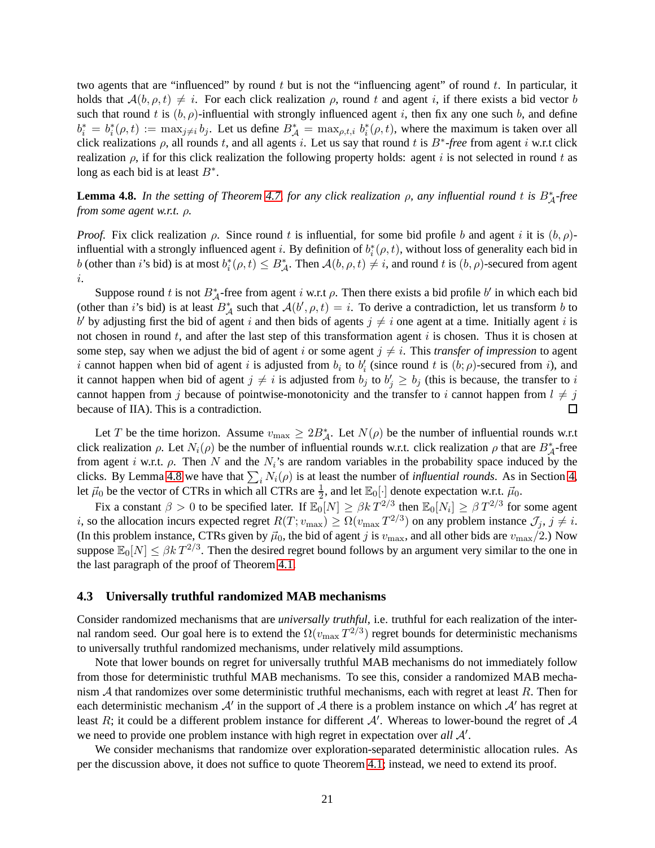two agents that are "influenced" by round t but is not the "influencing agent" of round t. In particular, it holds that  $A(b, \rho, t) \neq i$ . For each click realization  $\rho$ , round t and agent i, if there exists a bid vector b such that round t is  $(b, \rho)$ -influential with strongly influenced agent i, then fix any one such b, and define  $b_i^* = b_i^*(\rho, t) := \max_{j \neq i} b_j$ . Let us define  $B_A^* = \max_{\rho, t, i} b_i^*(\rho, t)$ , where the maximum is taken over all click realizations  $\rho$ , all rounds t, and all agents i. Let us say that round t is  $B^*$ -free from agent i w.r.t click realization  $\rho$ , if for this click realization the following property holds: agent i is not selected in round t as long as each bid is at least  $B^*$ .

<span id="page-20-0"></span>**Lemma 4.8.** *In the setting of Theorem [4.7,](#page-19-2) for any click realization* ρ*, any influential round* t *is* B<sup>∗</sup> <sup>A</sup>*-free from some agent w.r.t.* ρ*.*

*Proof.* Fix click realization  $\rho$ . Since round t is influential, for some bid profile b and agent i it is  $(b, \rho)$ influential with a strongly influenced agent *i*. By definition of  $b_i^*(\rho, t)$ , without loss of generality each bid in b (other than i's bid) is at most  $b_i^*(\rho, t) \leq B_{\mathcal{A}}^*$ . Then  $\mathcal{A}(b, \rho, t) \neq i$ , and round t is  $(b, \rho)$ -secured from agent i.

Suppose round t is not  $B^*_{\mathcal{A}}$ -free from agent i w.r.t  $\rho$ . Then there exists a bid profile b' in which each bid (other than i's bid) is at least  $B^*_{\mathcal{A}}$  such that  $\mathcal{A}(b', \rho, t) = i$ . To derive a contradiction, let us transform b to b' by adjusting first the bid of agent i and then bids of agents  $j \neq i$  one agent at a time. Initially agent i is not chosen in round  $t$ , and after the last step of this transformation agent  $i$  is chosen. Thus it is chosen at some step, say when we adjust the bid of agent i or some agent  $j \neq i$ . This *transfer of impression* to agent i cannot happen when bid of agent i is adjusted from  $b_i$  to  $b'_i$  (since round t is  $(b; \rho)$ -secured from i), and it cannot happen when bid of agent  $j \neq i$  is adjusted from  $b_j$  to  $b'_j \geq b_j$  (this is because, the transfer to i cannot happen from j because of pointwise-monotonicity and the transfer to i cannot happen from  $l \neq j$ <br>because of IIA). This is a contradiction. because of IIA). This is a contradiction.

Let T be the time horizon. Assume  $v_{\text{max}} \ge 2B_A^*$ . Let  $N(\rho)$  be the number of influential rounds w.r.t click realization  $\rho$ . Let  $N_i(\rho)$  be the number of influential rounds w.r.t. click realization  $\rho$  that are  $B^*_{\mathcal{A}}$ -free from agent i w.r.t.  $\rho$ . Then N and the N<sub>i</sub>'s are random variables in the probability space induced by the clicks. By Lemma [4.8](#page-20-0) we have that  $\sum_i N_i(\rho)$  is at least the number of *influential rounds*. As in Section [4,](#page-17-0) let  $\vec{\mu}_0$  be the vector of CTRs in which all CTRs are  $\frac{1}{2}$ , and let  $\mathbb{E}_0[\cdot]$  denote expectation w.r.t.  $\vec{\mu}_0$ .

Fix a constant  $\beta > 0$  to be specified later. If  $\mathbb{E}_0[N] \geq \beta k T^{2/3}$  then  $\mathbb{E}_0[N_i] \geq \beta T^{2/3}$  for some agent i, so the allocation incurs expected regret  $R(T; v_{\text{max}}) \ge \Omega(v_{\text{max}} T^{2/3})$  on any problem instance  $\mathcal{J}_j$ ,  $j \ne i$ . (In this problem instance, CTRs given by  $\vec{\mu}_0$ , the bid of agent j is  $v_{\text{max}}$ , and all other bids are  $v_{\text{max}}/2$ .) Now suppose  $\mathbb{E}_0[N] \le \beta k T^{2/3}$ . Then the desired regret bound follows by an argument very similar to the one in the last paragraph of the proof of Theorem [4.1.](#page-17-1)

#### **4.3 Universally truthful randomized MAB mechanisms**

Consider randomized mechanisms that are *universally truthful*, i.e. truthful for each realization of the internal random seed. Our goal here is to extend the  $\Omega(v_{\rm max} T^{2/3})$  regret bounds for deterministic mechanisms to universally truthful randomized mechanisms, under relatively mild assumptions.

Note that lower bounds on regret for universally truthful MAB mechanisms do not immediately follow from those for deterministic truthful MAB mechanisms. To see this, consider a randomized MAB mechanism  $A$  that randomizes over some deterministic truthful mechanisms, each with regret at least R. Then for each deterministic mechanism  $A'$  in the support of A there is a problem instance on which  $A'$  has regret at least R; it could be a different problem instance for different  $A'$ . Whereas to lower-bound the regret of  $A$ we need to provide one problem instance with high regret in expectation over *all* <sup>A</sup>′ .

We consider mechanisms that randomize over exploration-separated deterministic allocation rules. As per the discussion above, it does not suffice to quote Theorem [4.1;](#page-17-1) instead, we need to extend its proof.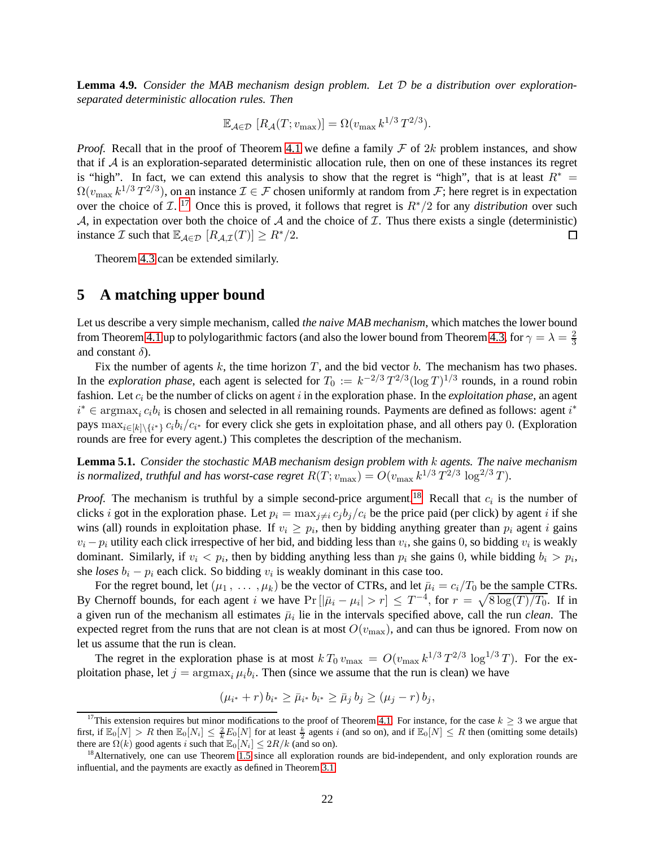**Lemma 4.9.** *Consider the MAB mechanism design problem. Let* D *be a distribution over explorationseparated deterministic allocation rules. Then*

$$
\mathbb{E}_{\mathcal{A}\in\mathcal{D}}\left[R_{\mathcal{A}}(T;v_{\text{max}})\right] = \Omega(v_{\text{max}}\,k^{1/3}\,T^{2/3}).
$$

*Proof.* Recall that in the proof of Theorem [4.1](#page-17-1) we define a family  $\mathcal F$  of  $2k$  problem instances, and show that if  $A$  is an exploration-separated deterministic allocation rule, then on one of these instances its regret is "high". In fact, we can extend this analysis to show that the regret is "high", that is at least  $R^* =$  $\Omega(v_{\text{max}} k^{1/3} T^{2/3})$ , on an instance  $\mathcal{I} \in \mathcal{F}$  chosen uniformly at random from  $\mathcal{F}$ ; here regret is in expectation over the choice of  $\mathcal{I}$ . <sup>[17](#page-21-1)</sup> Once this is proved, it follows that regret is  $R^*/2$  for any *distribution* over such A, in expectation over both the choice of A and the choice of T. Thus there exists a single (deterministic) instance T such that  $\mathbb{E}_{A \in \mathcal{D}} [R_A \tau(T)] > R^*/2$ . instance  $\mathcal I$  such that  $\mathbb{E}_{\mathcal A \in \mathcal D}$   $[R_{\mathcal A, \mathcal I}(T)] \geq R^*/2$ .

Theorem [4.3](#page-18-7) can be extended similarly.

## <span id="page-21-0"></span>**5 A matching upper bound**

Let us describe a very simple mechanism, called *the naive MAB mechanism*, which matches the lower bound from Theorem [4.1](#page-17-1) up to polylogarithmic factors (and also the lower bound from Theorem [4.3,](#page-18-7) for  $\gamma=\lambda=\frac{2}{3}$ and constant  $\delta$ ).

Fix the number of agents  $k$ , the time horizon  $T$ , and the bid vector  $b$ . The mechanism has two phases. In the *exploration phase*, each agent is selected for  $T_0 := k^{-2/3} T^{2/3} (\log T)^{1/3}$  rounds, in a round robin fashion. Let  $c_i$  be the number of clicks on agent i in the exploration phase. In the *exploitation phase*, an agent  $i^* \in \text{argmax}_i c_i b_i$  is chosen and selected in all remaining rounds. Payments are defined as follows: agent  $i^*$ pays  $\max_{i \in [k] \setminus \{i^*\}} c_i b_i/c_{i^*}$  for every click she gets in exploitation phase, and all others pay 0. (Exploration rounds are free for every agent.) This completes the description of the mechanism.

**Lemma 5.1.** *Consider the stochastic MAB mechanism design problem with* k *agents. The naive mechanism* is normalized, truthful and has worst-case regret  $R(T; v_{\text{max}}) = O(v_{\text{max}} k^{1/3} T^{2/3} \log^{2/3} T)$ .

*Proof.* The mechanism is truthful by a simple second-price argument.<sup>[18](#page-21-2)</sup> Recall that  $c_i$  is the number of clicks i got in the exploration phase. Let  $p_i = \max_{i \neq i} c_i b_i/c_i$  be the price paid (per click) by agent i if she wins (all) rounds in exploitation phase. If  $v_i \geq p_i$ , then by bidding anything greater than  $p_i$  agent i gains  $v_i - p_i$  utility each click irrespective of her bid, and bidding less than  $v_i$ , she gains 0, so bidding  $v_i$  is weakly dominant. Similarly, if  $v_i < p_i$ , then by bidding anything less than  $p_i$  she gains 0, while bidding  $b_i > p_i$ , she *loses*  $b_i - p_i$  each click. So bidding  $v_i$  is weakly dominant in this case too.

For the regret bound, let  $(\mu_1, \ldots, \mu_k)$  be the vector of CTRs, and let  $\bar{\mu}_i = c_i/T_0$  be the sample CTRs. By Chernoff bounds, for each agent i we have  $Pr\left[|\bar{\mu}_i - \mu_i| > r\right] \leq T^{-4}$ , for  $r = \sqrt{8 \log(T)/T_0}$ . If in a given run of the mechanism all estimates  $\bar{\mu}_i$  lie in the intervals specified above, call the run *clean*. The expected regret from the runs that are not clean is at most  $O(v_{\text{max}})$ , and can thus be ignored. From now on let us assume that the run is clean.

The regret in the exploration phase is at most  $kT_0 v_{\text{max}} = O(v_{\text{max}} k^{1/3} T^{2/3} \log^{1/3} T)$ . For the exploitation phase, let  $j = \argmax_i \mu_i b_i$ . Then (since we assume that the run is clean) we have

$$
(\mu_{i^*} + r) b_{i^*} \geq \bar{\mu}_{i^*} b_{i^*} \geq \bar{\mu}_j b_j \geq (\mu_j - r) b_j,
$$

<span id="page-21-1"></span><sup>&</sup>lt;sup>17</sup>This extension requires but minor modifications to the proof of Theorem [4.1.](#page-17-1) For instance, for the case  $k \geq 3$  we argue that first, if  $\mathbb{E}_0[N] > R$  then  $\mathbb{E}_0[N_i] \leq \frac{2}{k} E_0[N]$  for at least  $\frac{k}{2}$  agents i (and so on), and if  $\mathbb{E}_0[N] \leq R$  then (omitting some details) there are  $\Omega(k)$  good agents i such that  $\mathbb{E}_0[N_i] \leq 2R/k$  (and so on).

<span id="page-21-2"></span><sup>&</sup>lt;sup>18</sup>Alternatively, one can use Theorem [1.5](#page-4-1) since all exploration rounds are bid-independent, and only exploration rounds are influential, and the payments are exactly as defined in Theorem [3.1.](#page-10-3)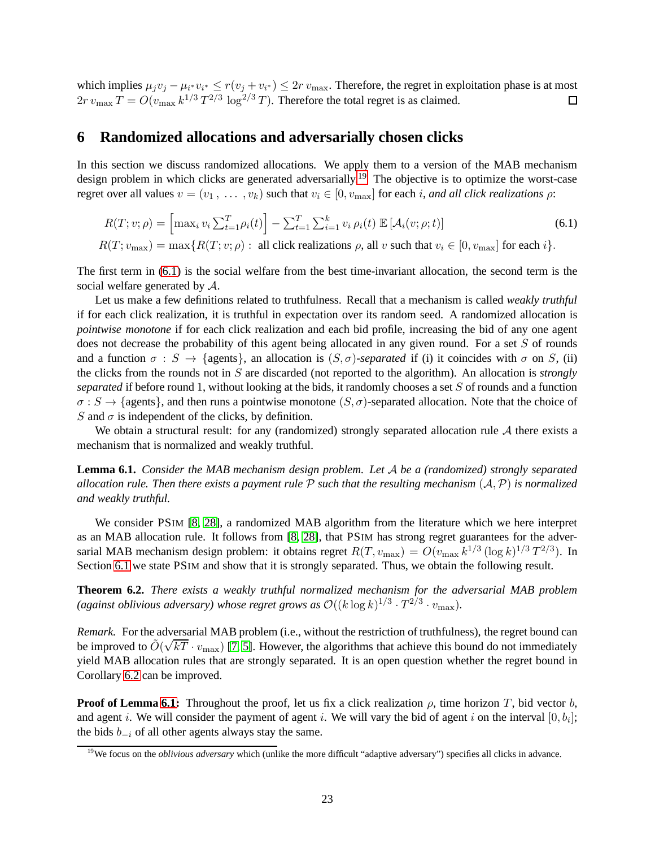which implies  $\mu_j v_j - \mu_{i^*} v_{i^*} \le r(v_j + v_{i^*}) \le 2r v_{\text{max}}$ . Therefore, the regret in exploitation phase is at most  $2r v_{\text{max}} T = O(v_{\text{max}} k^{1/3} T^{2/3} \log^{2/3} T)$ . Therefore the total regret is as claimed.

## <span id="page-22-0"></span>**6 Randomized allocations and adversarially chosen clicks**

In this section we discuss randomized allocations. We apply them to a version of the MAB mechanism design problem in which clicks are generated adversarially.<sup>[19](#page-22-1)</sup> The objective is to optimize the worst-case regret over all values  $v = (v_1, \ldots, v_k)$  such that  $v_i \in [0, v_{\text{max}}]$  for each i, and all click realizations  $\rho$ :

<span id="page-22-2"></span>
$$
R(T; v; \rho) = \left[ \max_i v_i \sum_{t=1}^T \rho_i(t) \right] - \sum_{t=1}^T \sum_{i=1}^k v_i \rho_i(t) \mathbb{E} \left[ \mathcal{A}_i(v; \rho; t) \right] \tag{6.1}
$$

 $R(T; v_{\text{max}}) = \max\{R(T; v; \rho) : \text{ all click realizations } \rho, \text{ all } v \text{ such that } v_i \in [0, v_{\text{max}}] \text{ for each } i\}.$ 

The first term in [\(6.1\)](#page-22-2) is the social welfare from the best time-invariant allocation, the second term is the social welfare generated by A.

Let us make a few definitions related to truthfulness. Recall that a mechanism is called *weakly truthful* if for each click realization, it is truthful in expectation over its random seed. A randomized allocation is *pointwise monotone* if for each click realization and each bid profile, increasing the bid of any one agent does not decrease the probability of this agent being allocated in any given round. For a set  $S$  of rounds and a function  $\sigma : S \to \{$ agents $\}$ , an allocation is  $(S, \sigma)$ -separated if (i) it coincides with  $\sigma$  on S, (ii) the clicks from the rounds not in S are discarded (not reported to the algorithm). An allocation is *strongly separated* if before round 1, without looking at the bids, it randomly chooses a set S of rounds and a function  $\sigma : S \to \{\text{agents}\},$  and then runs a pointwise monotone  $(S, \sigma)$ -separated allocation. Note that the choice of S and  $\sigma$  is independent of the clicks, by definition.

We obtain a structural result: for any (randomized) strongly separated allocation rule  $A$  there exists a mechanism that is normalized and weakly truthful.

<span id="page-22-4"></span>**Lemma 6.1.** *Consider the MAB mechanism design problem. Let* A *be a (randomized) strongly separated allocation rule. Then there exists a payment rule* P *such that the resulting mechanism* (A,P) *is normalized and weakly truthful.*

We consider PSIM [\[8,](#page-28-9) [28\]](#page-29-7), a randomized MAB algorithm from the literature which we here interpret as an MAB allocation rule. It follows from [\[8,](#page-28-9) [28\]](#page-29-7), that PSIM has strong regret guarantees for the adversarial MAB mechanism design problem: it obtains regret  $R(T, v_{\text{max}}) = O(v_{\text{max}} k^{1/3} (\log k)^{1/3} T^{2/3})$ . In Section [6.1](#page-23-0) we state PSIM and show that it is strongly separated. Thus, we obtain the following result.

<span id="page-22-3"></span>**Theorem 6.2.** *There exists a weakly truthful normalized mechanism for the adversarial MAB problem* (against oblivious adversary) whose regret grows as  $\mathcal{O}((k \log k)^{1/3} \cdot T^{2/3} \cdot v_{\max})$ .

*Remark.* For the adversarial MAB problem (i.e., without the restriction of truthfulness), the regret bound can be improved to  $\tilde{O}(\sqrt{kT} \cdot v_{\text{max}})$  [\[7,](#page-28-5) [5\]](#page-28-17). However, the algorithms that achieve this bound do not immediately yield MAB allocation rules that are strongly separated. It is an open question whether the regret bound in Corollary [6.2](#page-22-3) can be improved.

**Proof of Lemma [6.1:](#page-22-4)** Throughout the proof, let us fix a click realization  $\rho$ , time horizon T, bid vector b, and agent i. We will consider the payment of agent i. We will vary the bid of agent i on the interval  $[0, b_i]$ ; the bids  $b_{-i}$  of all other agents always stay the same.

<span id="page-22-1"></span><sup>&</sup>lt;sup>19</sup>We focus on the *oblivious adversary* which (unlike the more difficult "adaptive adversary") specifies all clicks in advance.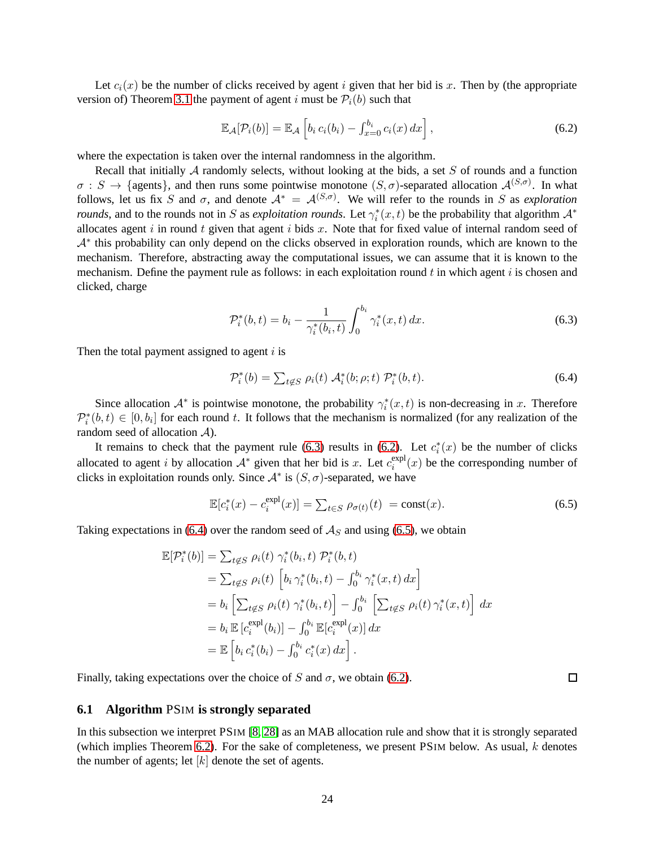Let  $c_i(x)$  be the number of clicks received by agent i given that her bid is x. Then by (the appropriate version of) Theorem [3.1](#page-10-3) the payment of agent i must be  $P_i(b)$  such that

<span id="page-23-2"></span>
$$
\mathbb{E}_{\mathcal{A}}[\mathcal{P}_i(b)] = \mathbb{E}_{\mathcal{A}}\left[b_i c_i(b_i) - \int_{x=0}^{b_i} c_i(x) dx\right],\tag{6.2}
$$

where the expectation is taken over the internal randomness in the algorithm.

Recall that initially  $A$  randomly selects, without looking at the bids, a set  $S$  of rounds and a function  $\sigma : S \to \{\text{agents}\},$  and then runs some pointwise monotone  $(S, \sigma)$ -separated allocation  $\mathcal{A}^{(S,\sigma)}$ . In what follows, let us fix S and  $\sigma$ , and denote  $\mathcal{A}^* = \mathcal{A}^{(S,\sigma)}$ . We will refer to the rounds in S as *exploration rounds*, and to the rounds not in S as *exploitation rounds*. Let  $\gamma_i^*(x,t)$  be the probability that algorithm  $\mathcal{A}^*$ allocates agent  $i$  in round  $t$  given that agent  $i$  bids  $x$ . Note that for fixed value of internal random seed of A∗ this probability can only depend on the clicks observed in exploration rounds, which are known to the mechanism. Therefore, abstracting away the computational issues, we can assume that it is known to the mechanism. Define the payment rule as follows: in each exploitation round  $t$  in which agent  $i$  is chosen and clicked, charge

<span id="page-23-1"></span>
$$
\mathcal{P}_i^*(b, t) = b_i - \frac{1}{\gamma_i^*(b_i, t)} \int_0^{b_i} \gamma_i^*(x, t) \, dx. \tag{6.3}
$$

Then the total payment assigned to agent  $i$  is

$$
\mathcal{P}_i^*(b) = \sum_{t \notin S} \rho_i(t) \mathcal{A}_i^*(b; \rho; t) \mathcal{P}_i^*(b, t). \tag{6.4}
$$

Since allocation  $A^*$  is pointwise monotone, the probability  $\gamma_i^*(x,t)$  is non-decreasing in x. Therefore  $\mathcal{P}_i^*(b,t) \in [0,b_i]$  for each round t. It follows that the mechanism is normalized (for any realization of the random seed of allocation  $A$ ).

It remains to check that the payment rule [\(6.3\)](#page-23-1) results in [\(6.2\)](#page-23-2). Let  $c_i^*(x)$  be the number of clicks It remains to check that the payment rule (0.5) results in (0.2). Let  $c_i$  allocated to agent *i* by allocation  $A^*$  given that her bid is x. Let  $c_i^{\text{expl}}(x)$  be  $e^{\exp i}_{i}(x)$  be the corresponding number of clicks in exploitation rounds only. Since  $A^*$  is  $(S, \sigma)$ -separated, we have

$$
\mathbb{E}[c_i^*(x) - c_i^{\text{expl}}(x)] = \sum_{t \in S} \rho_{\sigma(t)}(t) = \text{const}(x). \tag{6.5}
$$

Taking expectations in [\(6.4\)](#page-23-3) over the random seed of  $A<sub>S</sub>$  and using [\(6.5\)](#page-23-4), we obtain

$$
\mathbb{E}[\mathcal{P}_i^*(b)] = \sum_{t \notin S} \rho_i(t) \gamma_i^*(b_i, t) \mathcal{P}_i^*(b, t)
$$
  
\n
$$
= \sum_{t \notin S} \rho_i(t) \left[ b_i \gamma_i^*(b_i, t) - \int_0^{b_i} \gamma_i^*(x, t) dx \right]
$$
  
\n
$$
= b_i \left[ \sum_{t \notin S} \rho_i(t) \gamma_i^*(b_i, t) \right] - \int_0^{b_i} \left[ \sum_{t \notin S} \rho_i(t) \gamma_i^*(x, t) \right] dx
$$
  
\n
$$
= b_i \mathbb{E} [c_i^{\text{expl}}(b_i)] - \int_0^{b_i} \mathbb{E} [c_i^{\text{expl}}(x)] dx
$$
  
\n
$$
= \mathbb{E} \left[ b_i c_i^*(b_i) - \int_0^{b_i} c_i^*(x) dx \right].
$$

Finally, taking expectations over the choice of S and  $\sigma$ , we obtain [\(6.2\)](#page-23-2).

#### <span id="page-23-4"></span><span id="page-23-3"></span> $\Box$

### <span id="page-23-0"></span>**6.1 Algorithm** PSIM **is strongly separated**

In this subsection we interpret PSIM [\[8,](#page-28-9) [28\]](#page-29-7) as an MAB allocation rule and show that it is strongly separated (which implies Theorem [6.2\)](#page-22-3). For the sake of completeness, we present PSIM below. As usual,  $k$  denotes the number of agents; let  $[k]$  denote the set of agents.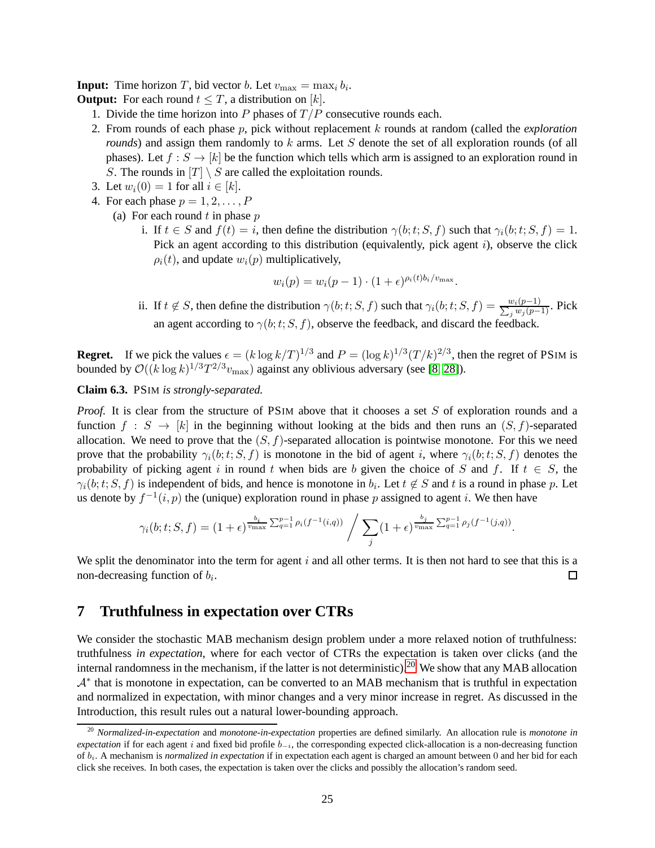**Input:** Time horizon T, bid vector b. Let  $v_{\text{max}} = \max_i b_i$ .

**Output:** For each round  $t \leq T$ , a distribution on [k].

- 1. Divide the time horizon into P phases of  $T/P$  consecutive rounds each.
- 2. From rounds of each phase p, pick without replacement k rounds at random (called the *exploration rounds*) and assign them randomly to k arms. Let S denote the set of all exploration rounds (of all phases). Let  $f : S \to [k]$  be the function which tells which arm is assigned to an exploration round in S. The rounds in  $|T| \setminus S$  are called the exploitation rounds.
- 3. Let  $w_i(0) = 1$  for all  $i \in [k]$ .
- 4. For each phase  $p = 1, 2, \ldots, P$ 
	- (a) For each round  $t$  in phase  $p$ 
		- i. If  $t \in S$  and  $f(t) = i$ , then define the distribution  $\gamma(b; t; S, f)$  such that  $\gamma_i(b; t; S, f) = 1$ . Pick an agent according to this distribution (equivalently, pick agent  $i$ ), observe the click  $\rho_i(t)$ , and update  $w_i(p)$  multiplicatively,

$$
w_i(p) = w_i(p-1) \cdot (1+\epsilon)^{\rho_i(t)b_i/v_{\max}}
$$

.

ii. If  $t \notin S$ , then define the distribution  $\gamma(b; t; S, f)$  such that  $\gamma_i(b; t; S, f) = \frac{w_i(p-1)}{\sum_j w_j(p-1)}$ . Pick an agent according to  $\gamma(b; t; S, f)$ , observe the feedback, and discard the feedback.

**Regret.** If we pick the values  $\epsilon = (k \log k/T)^{1/3}$  and  $P = (\log k)^{1/3} (T/k)^{2/3}$ , then the regret of PSIM is bounded by  $\mathcal{O}((k \log k)^{1/3} T^{2/3} v_{\text{max}})$  against any oblivious adversary (see [\[8,](#page-28-9) [28\]](#page-29-7)).

**Claim 6.3.** PSIM *is strongly-separated.*

*Proof.* It is clear from the structure of PSIM above that it chooses a set S of exploration rounds and a function  $f : S \to [k]$  in the beginning without looking at the bids and then runs an  $(S, f)$ -separated allocation. We need to prove that the  $(S, f)$ -separated allocation is pointwise monotone. For this we need prove that the probability  $\gamma_i(b; t; S, f)$  is monotone in the bid of agent i, where  $\gamma_i(b; t; S, f)$  denotes the probability of picking agent i in round t when bids are b given the choice of S and f. If  $t \in S$ , the  $\gamma_i(b; t; S, f)$  is independent of bids, and hence is monotone in  $b_i$ . Let  $t \notin S$  and  $t$  is a round in phase  $p$ . Let us denote by  $f^{-1}(i, p)$  the (unique) exploration round in phase p assigned to agent i. We then have

$$
\gamma_i(b;t;S,f) = (1+\epsilon)^{\frac{b_i}{v_{\max}}\sum_{q=1}^{p-1}\rho_i(f^{-1}(i,q))} / \sum_j (1+\epsilon)^{\frac{b_j}{v_{\max}}\sum_{q=1}^{p-1}\rho_j(f^{-1}(j,q))}.
$$

We split the denominator into the term for agent  $i$  and all other terms. It is then not hard to see that this is a non-decreasing function of  $b_i$ .  $\Box$ 

## <span id="page-24-0"></span>**7 Truthfulness in expectation over CTRs**

We consider the stochastic MAB mechanism design problem under a more relaxed notion of truthfulness: truthfulness *in expectation*, where for each vector of CTRs the expectation is taken over clicks (and the internal randomness in the mechanism, if the latter is not deterministic).<sup>[20](#page-24-1)</sup> We show that any MAB allocation A∗ that is monotone in expectation, can be converted to an MAB mechanism that is truthful in expectation and normalized in expectation, with minor changes and a very minor increase in regret. As discussed in the Introduction, this result rules out a natural lower-bounding approach.

<span id="page-24-1"></span><sup>20</sup> *Normalized-in-expectation* and *monotone-in-expectation* properties are defined similarly. An allocation rule is *monotone in expectation* if for each agent i and fixed bid profile b<sub>−i</sub>, the corresponding expected click-allocation is a non-decreasing function of bi. A mechanism is *normalized in expectation* if in expectation each agent is charged an amount between 0 and her bid for each click she receives. In both cases, the expectation is taken over the clicks and possibly the allocation's random seed.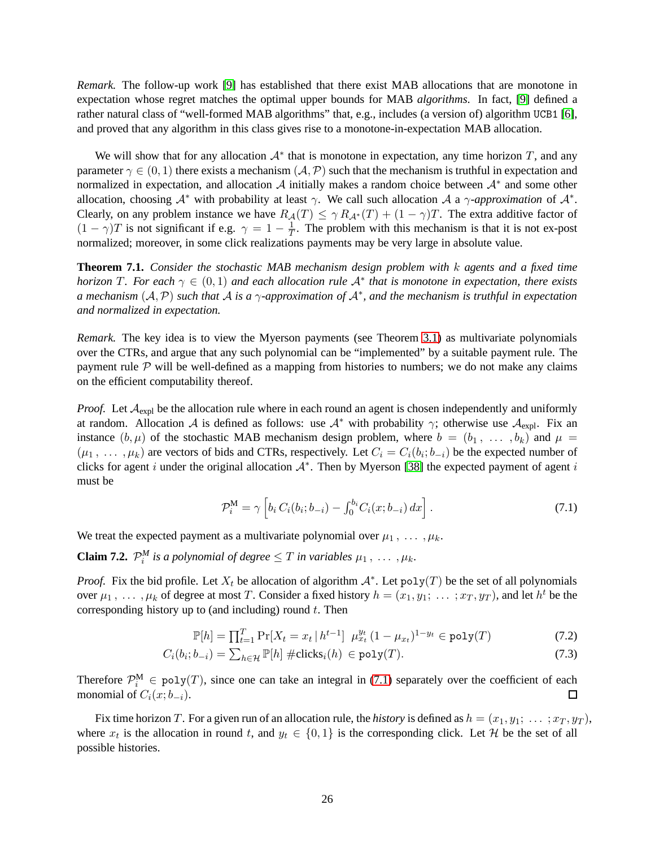*Remark.* The follow-up work [\[9\]](#page-28-0) has established that there exist MAB allocations that are monotone in expectation whose regret matches the optimal upper bounds for MAB *algorithms*. In fact, [\[9\]](#page-28-0) defined a rather natural class of "well-formed MAB algorithms" that, e.g., includes (a version of) algorithm UCB1 [\[6\]](#page-28-4), and proved that any algorithm in this class gives rise to a monotone-in-expectation MAB allocation.

We will show that for any allocation  $A^*$  that is monotone in expectation, any time horizon T, and any parameter  $\gamma \in (0, 1)$  there exists a mechanism  $(\mathcal{A}, \mathcal{P})$  such that the mechanism is truthful in expectation and normalized in expectation, and allocation  $A$  initially makes a random choice between  $A^*$  and some other allocation, choosing  $A^*$  with probability at least  $\gamma$ . We call such allocation A a  $\gamma$ -approximation of  $A^*$ . Clearly, on any problem instance we have  $R_{\mathcal{A}}(T) \leq \gamma R_{\mathcal{A}^*}(T) + (1 - \gamma)T$ . The extra additive factor of  $(1 - \gamma)T$  is not significant if e.g.  $\gamma = 1 - \frac{1}{T}$  $\frac{1}{T}$ . The problem with this mechanism is that it is not ex-post normalized; moreover, in some click realizations payments may be very large in absolute value.

**Theorem 7.1.** *Consider the stochastic MAB mechanism design problem with* k *agents and a fixed time horizon* T. For each  $\gamma \in (0,1)$  and each allocation rule  $\mathcal{A}^*$  that is monotone in expectation, there exists *a mechanism* (A,P) *such that* <sup>A</sup> *is a* <sup>γ</sup>*-approximation of* <sup>A</sup><sup>∗</sup> *, and the mechanism is truthful in expectation and normalized in expectation.*

*Remark.* The key idea is to view the Myerson payments (see Theorem [3.1\)](#page-10-3) as multivariate polynomials over the CTRs, and argue that any such polynomial can be "implemented" by a suitable payment rule. The payment rule  $P$  will be well-defined as a mapping from histories to numbers; we do not make any claims on the efficient computability thereof.

*Proof.* Let  $A_{\text{expl}}$  be the allocation rule where in each round an agent is chosen independently and uniformly at random. Allocation A is defined as follows: use  $A^*$  with probability  $\gamma$ ; otherwise use  $A_{\text{expl}}$ . Fix an instance  $(b, \mu)$  of the stochastic MAB mechanism design problem, where  $b = (b_1, \ldots, b_k)$  and  $\mu =$  $(\mu_1, \ldots, \mu_k)$  are vectors of bids and CTRs, respectively. Let  $C_i = C_i(b_i; b_{-i})$  be the expected number of clicks for agent i under the original allocation  $A^*$ . Then by Myerson [\[38\]](#page-29-5) the expected payment of agent i must be

<span id="page-25-0"></span>
$$
\mathcal{P}_i^{\mathbf{M}} = \gamma \left[ b_i \, C_i(b_i; b_{-i}) - \int_0^{b_i} C_i(x; b_{-i}) \, dx \right]. \tag{7.1}
$$

We treat the expected payment as a multivariate polynomial over  $\mu_1, \ldots, \mu_k$ .

**Claim 7.2.**  $\mathcal{P}_i^M$  is a polynomial of degree  $\leq T$  in variables  $\mu_1, \ldots, \mu_k$ .

*Proof.* Fix the bid profile. Let  $X_t$  be allocation of algorithm  $A^*$ . Let  $poly(T)$  be the set of all polynomials over  $\mu_1$ , ...,  $\mu_k$  of degree at most T. Consider a fixed history  $h = (x_1, y_1; \dots; x_T, y_T)$ , and let  $h^t$  be the corresponding history up to (and including) round  $t$ . Then

$$
\mathbb{P}[h] = \prod_{t=1}^{T} \Pr[X_t = x_t \, | \, h^{t-1}] \, \mu_{x_t}^{y_t} \, (1 - \mu_{x_t})^{1 - y_t} \in \text{poly}(T) \tag{7.2}
$$

$$
C_i(b_i; b_{-i}) = \sum_{h \in \mathcal{H}} \mathbb{P}[h] \neq \text{clicks}_i(h) \in \text{poly}(T). \tag{7.3}
$$

Therefore  $\mathcal{P}_i^{\mathbf{M}} \in \text{poly}(T)$ , since one can take an integral in [\(7.1\)](#page-25-0) separately over the coefficient of each monomial of  $C_i(x; b_{-i})$ .

Fix time horizon T. For a given run of an allocation rule, the *history* is defined as  $h = (x_1, y_1; \dots; x_T, y_T)$ , where  $x_t$  is the allocation in round t, and  $y_t \in \{0, 1\}$  is the corresponding click. Let H be the set of all possible histories.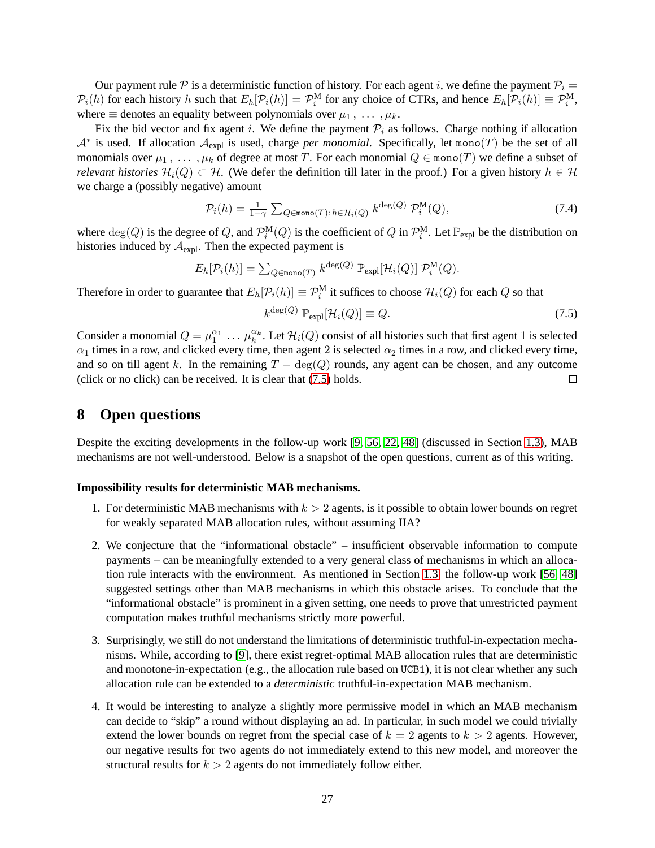Our payment rule P is a deterministic function of history. For each agent i, we define the payment  $P_i$  =  $P_i(h)$  for each history h such that  $E_h[P_i(h)] = P_i^M$  for any choice of CTRs, and hence  $E_h[P_i(h)] \equiv P_i^M$ , where  $\equiv$  denotes an equality between polynomials over  $\mu_1, \ldots, \mu_k$ .

Fix the bid vector and fix agent i. We define the payment  $P_i$  as follows. Charge nothing if allocation  $A^*$  is used. If allocation  $A_{\text{expl}}$  is used, charge *per monomial*. Specifically, let mono(T) be the set of all monomials over  $\mu_1, \ldots, \mu_k$  of degree at most T. For each monomial  $Q \in \text{mono}(T)$  we define a subset of *relevant histories*  $\mathcal{H}_i(Q) \subset \mathcal{H}$ . (We defer the definition till later in the proof.) For a given history  $h \in \mathcal{H}$ we charge a (possibly negative) amount

$$
\mathcal{P}_i(h) = \frac{1}{1-\gamma} \sum_{Q \in \text{mono}(T): h \in \mathcal{H}_i(Q)} k^{\deg(Q)} \mathcal{P}_i^{\mathbf{M}}(Q), \tag{7.4}
$$

where  $deg(Q)$  is the degree of Q, and  $\mathcal{P}_i^{\mathbf{M}}(Q)$  is the coefficient of Q in  $\mathcal{P}_i^{\mathbf{M}}$ . Let  $\mathbb{P}_{expl}$  be the distribution on histories induced by  $A_{\text{expl}}$ . Then the expected payment is

$$
E_h[\mathcal{P}_i(h)] = \sum_{Q \in \text{mono}(T)} k^{\deg(Q)} \, \mathbb{P}_{\text{expl}}[\mathcal{H}_i(Q)] \, \mathcal{P}_i^{\text{M}}(Q).
$$

Therefore in order to guarantee that  $E_h[\mathcal{P}_i(h)] \equiv \mathcal{P}_i^M$  it suffices to choose  $\mathcal{H}_i(Q)$  for each  $Q$  so that

<span id="page-26-1"></span>
$$
k^{\deg(Q)}\,\mathbb{P}_{\expl}[\mathcal{H}_i(Q)] \equiv Q.\tag{7.5}
$$

Consider a monomial  $Q = \mu_1^{\alpha_1} \dots \mu_k^{\alpha_k}$ . Let  $\mathcal{H}_i(Q)$  consist of all histories such that first agent 1 is selected  $\alpha_1$  times in a row, and clicked every time, then agent 2 is selected  $\alpha_2$  times in a row, and clicked every time, and so on till agent k. In the remaining  $T - \deg(Q)$  rounds, any agent can be chosen, and any outcome (click or no click) can be received. It is clear that (7.5) holds. (click or no click) can be received. It is clear that [\(7.5\)](#page-26-1) holds.

## <span id="page-26-0"></span>**8 Open questions**

Despite the exciting developments in the follow-up work [\[9,](#page-28-0) [56,](#page-30-0) [22,](#page-28-1) [48\]](#page-30-1) (discussed in Section [1.3\)](#page-8-0), MAB mechanisms are not well-understood. Below is a snapshot of the open questions, current as of this writing.

#### **Impossibility results for deterministic MAB mechanisms.**

- 1. For deterministic MAB mechanisms with  $k > 2$  agents, is it possible to obtain lower bounds on regret for weakly separated MAB allocation rules, without assuming IIA?
- 2. We conjecture that the "informational obstacle" insufficient observable information to compute payments – can be meaningfully extended to a very general class of mechanisms in which an allocation rule interacts with the environment. As mentioned in Section [1.3,](#page-8-0) the follow-up work [\[56,](#page-30-0) [48\]](#page-30-1) suggested settings other than MAB mechanisms in which this obstacle arises. To conclude that the "informational obstacle" is prominent in a given setting, one needs to prove that unrestricted payment computation makes truthful mechanisms strictly more powerful.
- 3. Surprisingly, we still do not understand the limitations of deterministic truthful-in-expectation mechanisms. While, according to [\[9\]](#page-28-0), there exist regret-optimal MAB allocation rules that are deterministic and monotone-in-expectation (e.g., the allocation rule based on UCB1), it is not clear whether any such allocation rule can be extended to a *deterministic* truthful-in-expectation MAB mechanism.
- 4. It would be interesting to analyze a slightly more permissive model in which an MAB mechanism can decide to "skip" a round without displaying an ad. In particular, in such model we could trivially extend the lower bounds on regret from the special case of  $k = 2$  agents to  $k > 2$  agents. However, our negative results for two agents do not immediately extend to this new model, and moreover the structural results for  $k > 2$  agents do not immediately follow either.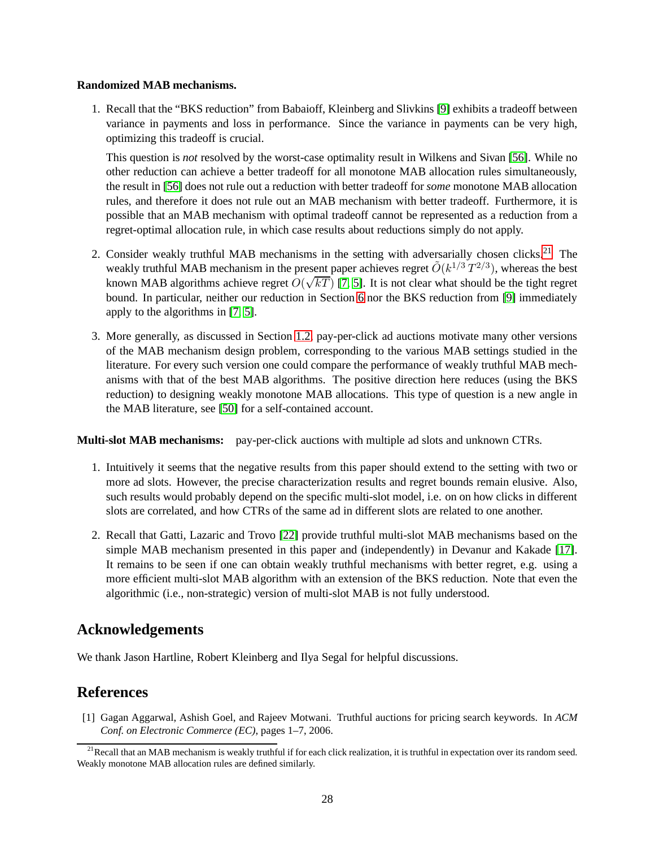### **Randomized MAB mechanisms.**

1. Recall that the "BKS reduction" from Babaioff, Kleinberg and Slivkins [\[9\]](#page-28-0) exhibits a tradeoff between variance in payments and loss in performance. Since the variance in payments can be very high, optimizing this tradeoff is crucial.

This question is *not* resolved by the worst-case optimality result in Wilkens and Sivan [\[56\]](#page-30-0). While no other reduction can achieve a better tradeoff for all monotone MAB allocation rules simultaneously, the result in [\[56\]](#page-30-0) does not rule out a reduction with better tradeoff for *some* monotone MAB allocation rules, and therefore it does not rule out an MAB mechanism with better tradeoff. Furthermore, it is possible that an MAB mechanism with optimal tradeoff cannot be represented as a reduction from a regret-optimal allocation rule, in which case results about reductions simply do not apply.

- 2. Consider weakly truthful MAB mechanisms in the setting with adversarially chosen clicks.<sup>[21](#page-27-1)</sup> The weakly truthful MAB mechanism in the present paper achieves regret  $\tilde{O}(k^{1/3}T^{2/3})$ , whereas the best known MAB algorithms achieve regret  $O(\sqrt{kT})$  [\[7,](#page-28-5) [5\]](#page-28-17). It is not clear what should be the tight regret bound. In particular, neither our reduction in Section [6](#page-22-0) nor the BKS reduction from [\[9\]](#page-28-0) immediately apply to the algorithms in [\[7,](#page-28-5) [5\]](#page-28-17).
- 3. More generally, as discussed in Section [1.2,](#page-7-1) pay-per-click ad auctions motivate many other versions of the MAB mechanism design problem, corresponding to the various MAB settings studied in the literature. For every such version one could compare the performance of weakly truthful MAB mechanisms with that of the best MAB algorithms. The positive direction here reduces (using the BKS reduction) to designing weakly monotone MAB allocations. This type of question is a new angle in the MAB literature, see [\[50\]](#page-30-10) for a self-contained account.

**Multi-slot MAB mechanisms:** pay-per-click auctions with multiple ad slots and unknown CTRs.

- 1. Intuitively it seems that the negative results from this paper should extend to the setting with two or more ad slots. However, the precise characterization results and regret bounds remain elusive. Also, such results would probably depend on the specific multi-slot model, i.e. on on how clicks in different slots are correlated, and how CTRs of the same ad in different slots are related to one another.
- 2. Recall that Gatti, Lazaric and Trovo [\[22\]](#page-28-1) provide truthful multi-slot MAB mechanisms based on the simple MAB mechanism presented in this paper and (independently) in Devanur and Kakade [\[17\]](#page-28-15). It remains to be seen if one can obtain weakly truthful mechanisms with better regret, e.g. using a more efficient multi-slot MAB algorithm with an extension of the BKS reduction. Note that even the algorithmic (i.e., non-strategic) version of multi-slot MAB is not fully understood.

# **Acknowledgements**

We thank Jason Hartline, Robert Kleinberg and Ilya Segal for helpful discussions.

# <span id="page-27-0"></span>**References**

[1] Gagan Aggarwal, Ashish Goel, and Rajeev Motwani. Truthful auctions for pricing search keywords. In *ACM Conf. on Electronic Commerce (EC)*, pages 1–7, 2006.

<span id="page-27-1"></span> $21$ Recall that an MAB mechanism is weakly truthful if for each click realization, it is truthful in expectation over its random seed. Weakly monotone MAB allocation rules are defined similarly.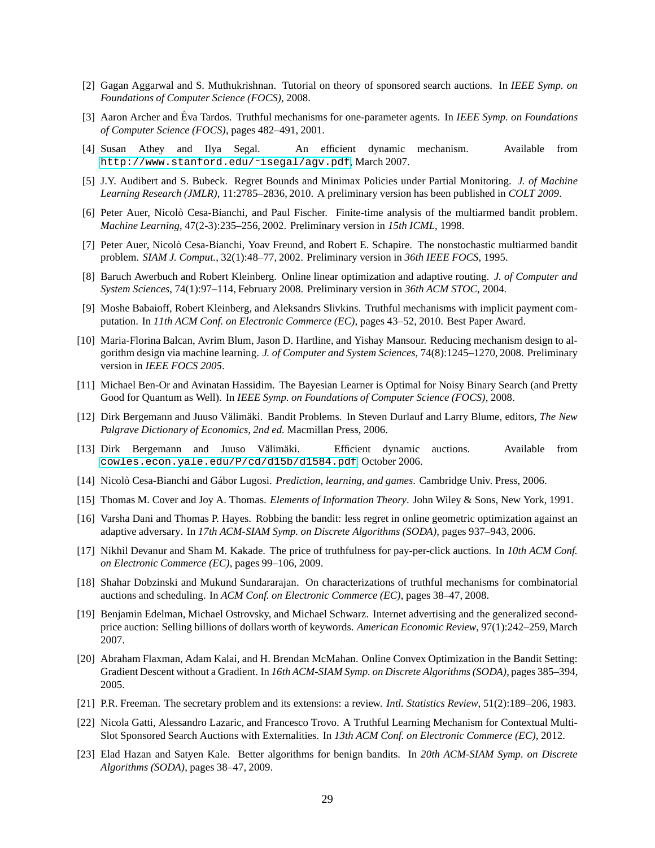- <span id="page-28-7"></span><span id="page-28-3"></span>[2] Gagan Aggarwal and S. Muthukrishnan. Tutorial on theory of sponsored search auctions. In *IEEE Symp. on Foundations of Computer Science (FOCS)*, 2008.
- <span id="page-28-12"></span>[3] Aaron Archer and Éva Tardos. Truthful mechanisms for one-parameter agents. In *IEEE Symp. on Foundations of Computer Science (FOCS)*, pages 482–491, 2001.
- <span id="page-28-17"></span>[4] Susan Athey and Ilya Segal. An efficient dynamic mechanism. Available from [http://www.stanford.edu/˜isegal/agv.pdf](http://www.stanford.edu/~isegal/agv.pdf), March 2007.
- [5] J.Y. Audibert and S. Bubeck. Regret Bounds and Minimax Policies under Partial Monitoring. *J. of Machine Learning Research (JMLR)*, 11:2785–2836, 2010. A preliminary version has been published in *COLT 2009*.
- <span id="page-28-4"></span>[6] Peter Auer, Nicolò Cesa-Bianchi, and Paul Fischer. Finite-time analysis of the multiarmed bandit problem. *Machine Learning*, 47(2-3):235–256, 2002. Preliminary version in *15th ICML*, 1998.
- <span id="page-28-5"></span>[7] Peter Auer, Nicolò Cesa-Bianchi, Yoav Freund, and Robert E. Schapire. The nonstochastic multiarmed bandit problem. *SIAM J. Comput.*, 32(1):48–77, 2002. Preliminary version in *36th IEEE FOCS*, 1995.
- <span id="page-28-9"></span><span id="page-28-0"></span>[8] Baruch Awerbuch and Robert Kleinberg. Online linear optimization and adaptive routing. *J. of Computer and System Sciences*, 74(1):97–114, February 2008. Preliminary version in *36th ACM STOC*, 2004.
- [9] Moshe Babaioff, Robert Kleinberg, and Aleksandrs Slivkins. Truthful mechanisms with implicit payment computation. In *11th ACM Conf. on Electronic Commerce (EC)*, pages 43–52, 2010. Best Paper Award.
- <span id="page-28-14"></span>[10] Maria-Florina Balcan, Avrim Blum, Jason D. Hartline, and Yishay Mansour. Reducing mechanism design to algorithm design via machine learning. *J. of Computer and System Sciences*, 74(8):1245–1270, 2008. Preliminary version in *IEEE FOCS 2005*.
- <span id="page-28-18"></span>[11] Michael Ben-Or and Avinatan Hassidim. The Bayesian Learner is Optimal for Noisy Binary Search (and Pretty Good for Quantum as Well). In *IEEE Symp. on Foundations of Computer Science (FOCS)*, 2008.
- <span id="page-28-16"></span>[12] Dirk Bergemann and Juuso Välimäki. Bandit Problems. In Steven Durlauf and Larry Blume, editors, *The New Palgrave Dictionary of Economics, 2nd ed.* Macmillan Press, 2006.
- <span id="page-28-11"></span><span id="page-28-8"></span>[13] Dirk Bergemann and Juuso Välimäki. Efficient dynamic auctions. Available from <cowles.econ.yale.edu/P/cd/d15b/d1584.pdf>, October 2006.
- <span id="page-28-21"></span>[14] Nicol`o Cesa-Bianchi and G´abor Lugosi. *Prediction, learning, and games*. Cambridge Univ. Press, 2006.
- <span id="page-28-6"></span>[15] Thomas M. Cover and Joy A. Thomas. *Elements of Information Theory*. John Wiley & Sons, New York, 1991.
- [16] Varsha Dani and Thomas P. Hayes. Robbing the bandit: less regret in online geometric optimization against an adaptive adversary. In *17th ACM-SIAM Symp. on Discrete Algorithms (SODA)*, pages 937–943, 2006.
- <span id="page-28-15"></span>[17] Nikhil Devanur and Sham M. Kakade. The price of truthfulness for pay-per-click auctions. In *10th ACM Conf. on Electronic Commerce (EC)*, pages 99–106, 2009.
- <span id="page-28-10"></span>[18] Shahar Dobzinski and Mukund Sundararajan. On characterizations of truthful mechanisms for combinatorial auctions and scheduling. In *ACM Conf. on Electronic Commerce (EC)*, pages 38–47, 2008.
- <span id="page-28-2"></span>[19] Benjamin Edelman, Michael Ostrovsky, and Michael Schwarz. Internet advertising and the generalized secondprice auction: Selling billions of dollars worth of keywords. *American Economic Review*, 97(1):242–259, March 2007.
- <span id="page-28-20"></span>[20] Abraham Flaxman, Adam Kalai, and H. Brendan McMahan. Online Convex Optimization in the Bandit Setting: Gradient Descent without a Gradient. In *16th ACM-SIAM Symp. on Discrete Algorithms (SODA)*, pages 385–394, 2005.
- <span id="page-28-13"></span><span id="page-28-1"></span>[21] P.R. Freeman. The secretary problem and its extensions: a review. *Intl. Statistics Review*, 51(2):189–206, 1983.
- [22] Nicola Gatti, Alessandro Lazaric, and Francesco Trovo. A Truthful Learning Mechanism for Contextual Multi-Slot Sponsored Search Auctions with Externalities. In *13th ACM Conf. on Electronic Commerce (EC)*, 2012.
- <span id="page-28-19"></span>[23] Elad Hazan and Satyen Kale. Better algorithms for benign bandits. In *20th ACM-SIAM Symp. on Discrete Algorithms (SODA)*, pages 38–47, 2009.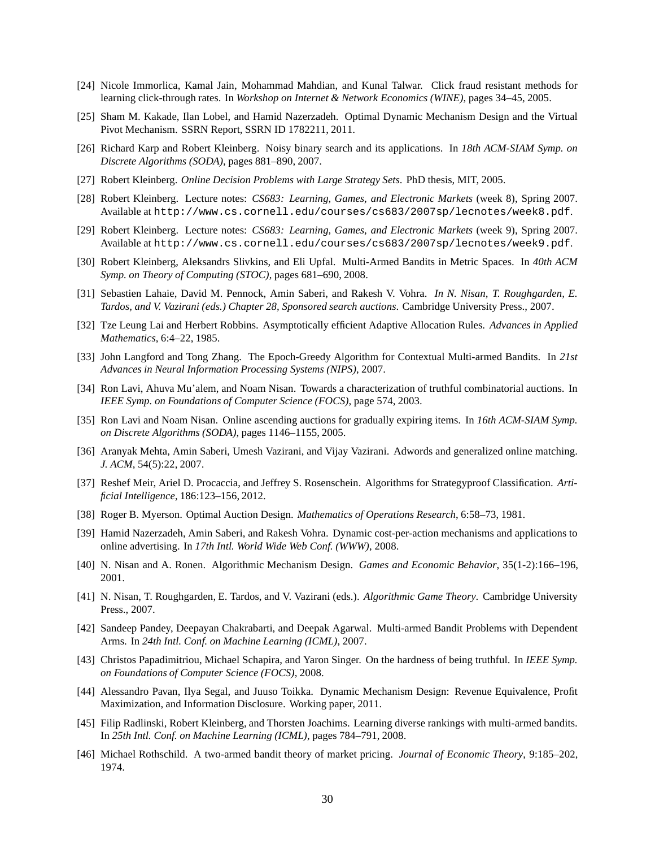- <span id="page-29-15"></span><span id="page-29-4"></span>[24] Nicole Immorlica, Kamal Jain, Mohammad Mahdian, and Kunal Talwar. Click fraud resistant methods for learning click-through rates. In *Workshop on Internet & Network Economics (WINE)*, pages 34–45, 2005.
- <span id="page-29-17"></span>[25] Sham M. Kakade, Ilan Lobel, and Hamid Nazerzadeh. Optimal Dynamic Mechanism Design and the Virtual Pivot Mechanism. SSRN Report, SSRN ID 1782211, 2011.
- <span id="page-29-22"></span>[26] Richard Karp and Robert Kleinberg. Noisy binary search and its applications. In *18th ACM-SIAM Symp. on Discrete Algorithms (SODA)*, pages 881–890, 2007.
- <span id="page-29-7"></span>[27] Robert Kleinberg. *Online Decision Problems with Large Strategy Sets*. PhD thesis, MIT, 2005.
- <span id="page-29-16"></span>[28] Robert Kleinberg. Lecture notes: *CS683: Learning, Games, and Electronic Markets* (week 8), Spring 2007. Available at http://www.cs.cornell.edu/courses/cs683/2007sp/lecnotes/week8.pdf.
- <span id="page-29-18"></span>[29] Robert Kleinberg. Lecture notes: *CS683: Learning, Games, and Electronic Markets* (week 9), Spring 2007. Available at http://www.cs.cornell.edu/courses/cs683/2007sp/lecnotes/week9.pdf.
- <span id="page-29-2"></span>[30] Robert Kleinberg, Aleksandrs Slivkins, and Eli Upfal. Multi-Armed Bandits in Metric Spaces. In *40th ACM Symp. on Theory of Computing (STOC)*, pages 681–690, 2008.
- [31] Sebastien Lahaie, David M. Pennock, Amin Saberi, and Rakesh V. Vohra. *In N. Nisan, T. Roughgarden, E. Tardos, and V. Vazirani (eds.) Chapter 28, Sponsored search auctions*. Cambridge University Press., 2007.
- <span id="page-29-20"></span><span id="page-29-6"></span>[32] Tze Leung Lai and Herbert Robbins. Asymptotically efficient Adaptive Allocation Rules. *Advances in Applied Mathematics*, 6:4–22, 1985.
- <span id="page-29-9"></span>[33] John Langford and Tong Zhang. The Epoch-Greedy Algorithm for Contextual Multi-armed Bandits. In *21st Advances in Neural Information Processing Systems (NIPS)*, 2007.
- [34] Ron Lavi, Ahuva Mu'alem, and Noam Nisan. Towards a characterization of truthful combinatorial auctions. In *IEEE Symp. on Foundations of Computer Science (FOCS)*, page 574, 2003.
- <span id="page-29-8"></span>[35] Ron Lavi and Noam Nisan. Online ascending auctions for gradually expiring items. In *16th ACM-SIAM Symp. on Discrete Algorithms (SODA)*, pages 1146–1155, 2005.
- <span id="page-29-3"></span>[36] Aranyak Mehta, Amin Saberi, Umesh Vazirani, and Vijay Vazirani. Adwords and generalized online matching. *J. ACM*, 54(5):22, 2007.
- <span id="page-29-12"></span>[37] Reshef Meir, Ariel D. Procaccia, and Jeffrey S. Rosenschein. Algorithms for Strategyproof Classification. *Artificial Intelligence*, 186:123–156, 2012.
- <span id="page-29-13"></span><span id="page-29-5"></span>[38] Roger B. Myerson. Optimal Auction Design. *Mathematics of Operations Research*, 6:58–73, 1981.
- [39] Hamid Nazerzadeh, Amin Saberi, and Rakesh Vohra. Dynamic cost-per-action mechanisms and applications to online advertising. In *17th Intl. World Wide Web Conf. (WWW)*, 2008.
- <span id="page-29-1"></span><span id="page-29-0"></span>[40] N. Nisan and A. Ronen. Algorithmic Mechanism Design. *Games and Economic Behavior*, 35(1-2):166–196, 2001.
- [41] N. Nisan, T. Roughgarden, E. Tardos, and V. Vazirani (eds.). *Algorithmic Game Theory*. Cambridge University Press., 2007.
- <span id="page-29-19"></span>[42] Sandeep Pandey, Deepayan Chakrabarti, and Deepak Agarwal. Multi-armed Bandit Problems with Dependent Arms. In *24th Intl. Conf. on Machine Learning (ICML)*, 2007.
- <span id="page-29-10"></span>[43] Christos Papadimitriou, Michael Schapira, and Yaron Singer. On the hardness of being truthful. In *IEEE Symp. on Foundations of Computer Science (FOCS)*, 2008.
- <span id="page-29-14"></span>[44] Alessandro Pavan, Ilya Segal, and Juuso Toikka. Dynamic Mechanism Design: Revenue Equivalence, Profit Maximization, and Information Disclosure. Working paper, 2011.
- <span id="page-29-21"></span>[45] Filip Radlinski, Robert Kleinberg, and Thorsten Joachims. Learning diverse rankings with multi-armed bandits. In *25th Intl. Conf. on Machine Learning (ICML)*, pages 784–791, 2008.
- <span id="page-29-11"></span>[46] Michael Rothschild. A two-armed bandit theory of market pricing. *Journal of Economic Theory*, 9:185–202, 1974.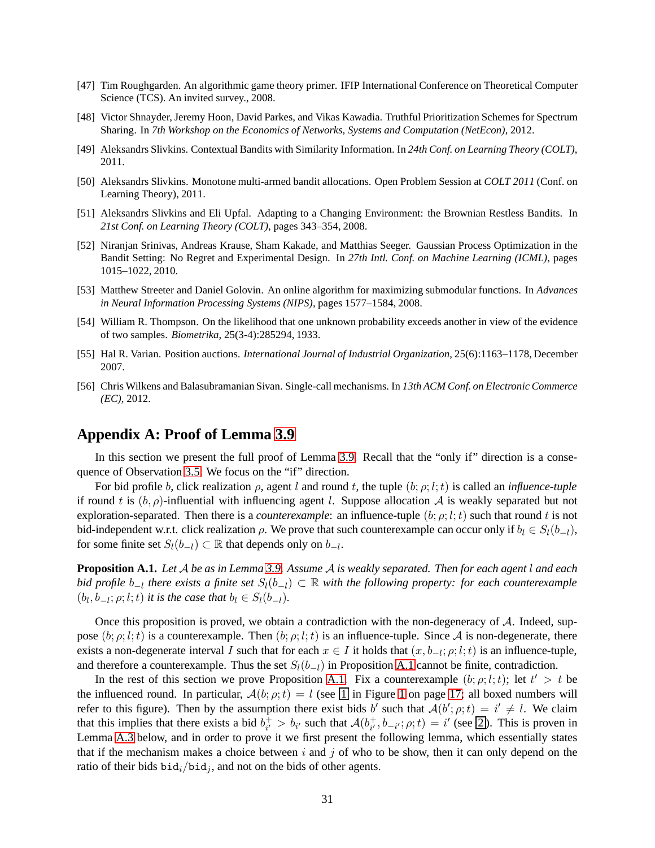- <span id="page-30-2"></span><span id="page-30-1"></span>[47] Tim Roughgarden. An algorithmic game theory primer. IFIP International Conference on Theoretical Computer Science (TCS). An invited survey., 2008.
- <span id="page-30-7"></span>[48] Victor Shnayder, Jeremy Hoon, David Parkes, and Vikas Kawadia. Truthful Prioritization Schemes for Spectrum Sharing. In *7th Workshop on the Economics of Networks, Systems and Computation (NetEcon)*, 2012.
- <span id="page-30-10"></span>[49] Aleksandrs Slivkins. Contextual Bandits with Similarity Information. In *24th Conf. on Learning Theory (COLT)*, 2011.
- <span id="page-30-5"></span>[50] Aleksandrs Slivkins. Monotone multi-armed bandit allocations. Open Problem Session at *COLT 2011* (Conf. on Learning Theory), 2011.
- <span id="page-30-6"></span>[51] Aleksandrs Slivkins and Eli Upfal. Adapting to a Changing Environment: the Brownian Restless Bandits. In *21st Conf. on Learning Theory (COLT)*, pages 343–354, 2008.
- [52] Niranjan Srinivas, Andreas Krause, Sham Kakade, and Matthias Seeger. Gaussian Process Optimization in the Bandit Setting: No Regret and Experimental Design. In *27th Intl. Conf. on Machine Learning (ICML)*, pages 1015–1022, 2010.
- <span id="page-30-8"></span><span id="page-30-4"></span>[53] Matthew Streeter and Daniel Golovin. An online algorithm for maximizing submodular functions. In *Advances in Neural Information Processing Systems (NIPS)*, pages 1577–1584, 2008.
- [54] William R. Thompson. On the likelihood that one unknown probability exceeds another in view of the evidence of two samples. *Biometrika*, 25(3-4):285294, 1933.
- <span id="page-30-3"></span><span id="page-30-0"></span>[55] Hal R. Varian. Position auctions. *International Journal of Industrial Organization*, 25(6):1163–1178, December 2007.
- <span id="page-30-9"></span>[56] Chris Wilkens and Balasubramanian Sivan. Single-call mechanisms. In *13th ACM Conf. on Electronic Commerce (EC)*, 2012.

## **Appendix A: Proof of Lemma [3.9](#page-15-0)**

In this section we present the full proof of Lemma [3.9.](#page-15-0) Recall that the "only if" direction is a consequence of Observation [3.5.](#page-12-3) We focus on the "if" direction.

For bid profile b, click realization  $\rho$ , agent l and round t, the tuple  $(b; \rho; l; t)$  is called an *influence-tuple* if round t is  $(b, \rho)$ -influential with influencing agent l. Suppose allocation A is weakly separated but not exploration-separated. Then there is a *counterexample*: an influence-tuple  $(b; \rho; l; t)$  such that round t is not bid-independent w.r.t. click realization  $\rho$ . We prove that such counterexample can occur only if  $b_l \in S_l(b_{-l}),$ for some finite set  $S_l(b_{-l}) \subset \mathbb{R}$  that depends only on  $b_{-l}$ .

<span id="page-30-11"></span>**Proposition A.1.** *Let* A *be as in Lemma [3.9.](#page-15-0) Assume* A *is weakly separated. Then for each agent* l *and each bid profile*  $b_{-l}$  there exists a finite set  $S_l(b_{-l}) \subset \mathbb{R}$  with the following property: for each counterexample  $(b_l, b_{-l}; \rho; l; t)$  *it is the case that*  $b_l \in S_l(b_{-l})$ *.* 

Once this proposition is proved, we obtain a contradiction with the non-degeneracy of  $A$ . Indeed, suppose  $(b; \rho; l; t)$  is a counterexample. Then  $(b; \rho; l; t)$  is an influence-tuple. Since A is non-degenerate, there exists a non-degenerate interval I such that for each  $x \in I$  it holds that  $(x, b_{-l}; \rho; l; t)$  is an influence-tuple, and therefore a counterexample. Thus the set  $S_l(b_{-l})$  in Proposition [A.1](#page-30-11) cannot be finite, contradiction.

In the rest of this section we prove Proposition [A.1.](#page-30-11) Fix a counterexample  $(b; \rho; l; t)$ ; let  $t' > t$  be the influenced round. In particular,  $A(b; \rho; t) = l$  (see  $\boxed{1}$  in Figure [1](#page-16-0) on page [17;](#page-16-0) all boxed numbers will refer to this figure). Then by the assumption there exist bids b' such that  $A(b'; \rho; t) = i' \neq l$ . We claim that this implies that there exists a bid  $b_{i'}^{+}$  $j_i^+ > b_{i'}$  such that  $\mathcal{A}(b_{i'}^+)$  $i<sub>i</sub><sup>+</sup>, b<sub>-i'</sub>; \rho; t) = i'$  (see  $\boxed{2}$ ). This is proven in Lemma [A.3](#page-31-0) below, and in order to prove it we first present the following lemma, which essentially states that if the mechanism makes a choice between i and j of who to be show, then it can only depend on the ratio of their bids  $\text{bid}_i/\text{bid}_i$ , and not on the bids of other agents.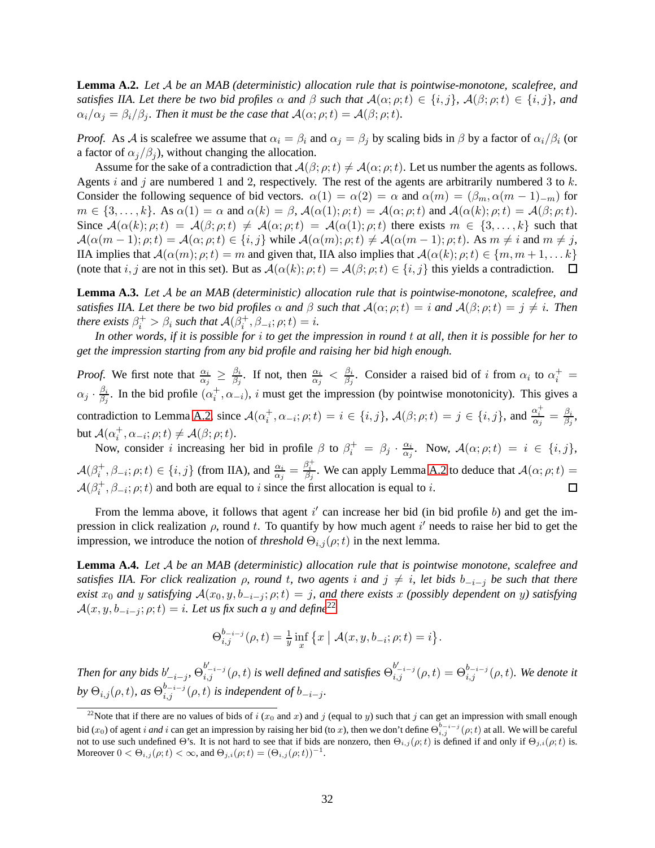<span id="page-31-1"></span>**Lemma A.2.** *Let* A *be an MAB (deterministic) allocation rule that is pointwise-monotone, scalefree, and satisfies IIA. Let there be two bid profiles*  $\alpha$  *and*  $\beta$  *such that*  $\mathcal{A}(\alpha;\rho;t) \in \{i,j\}$ ,  $\mathcal{A}(\beta;\rho;t) \in \{i,j\}$ , and  $\alpha_i/\alpha_j = \beta_i/\beta_j$ *. Then it must be the case that*  $\mathcal{A}(\alpha; \rho; t) = \mathcal{A}(\beta; \rho; t)$ *.* 

*Proof.* As A is scalefree we assume that  $\alpha_i = \beta_i$  and  $\alpha_j = \beta_j$  by scaling bids in  $\beta$  by a factor of  $\alpha_i/\beta_i$  (or a factor of  $\alpha_j/\beta_j$ ), without changing the allocation.

Assume for the sake of a contradiction that  $A(\beta; \rho; t) \neq A(\alpha; \rho; t)$ . Let us number the agents as follows. Agents i and j are numbered 1 and 2, respectively. The rest of the agents are arbitrarily numbered 3 to  $k$ . Consider the following sequence of bid vectors.  $\alpha(1) = \alpha(2) = \alpha$  and  $\alpha(m) = (\beta_m, \alpha(m-1)_{-m})$  for  $m \in \{3, \ldots, k\}.$  As  $\alpha(1) = \alpha$  and  $\alpha(k) = \beta$ ,  $\mathcal{A}(\alpha(1); \rho; t) = \mathcal{A}(\alpha; \rho; t)$  and  $\mathcal{A}(\alpha(k); \rho; t) = \mathcal{A}(\beta; \rho; t).$ Since  $A(\alpha(k); \rho; t) = A(\beta; \rho; t) \neq A(\alpha; \rho; t) = A(\alpha(1); \rho; t)$  there exists  $m \in \{3, ..., k\}$  such that  $\mathcal{A}(\alpha(m-1); \rho; t) = \mathcal{A}(\alpha; \rho; t) \in \{i, j\}$  while  $\mathcal{A}(\alpha(m); \rho; t) \neq \mathcal{A}(\alpha(m-1); \rho; t)$ . As  $m \neq i$  and  $m \neq j$ , IIA implies that  $\mathcal{A}(\alpha(m); \rho; t) = m$  and given that, IIA also implies that  $\mathcal{A}(\alpha(k); \rho; t) \in \{m, m+1, \dots k\}$ (note that i, j are not in this set). But as  $\mathcal{A}(\alpha(k); \rho; t) = \mathcal{A}(\beta; \rho; t) \in \{i, j\}$  this yields a contradiction.

<span id="page-31-0"></span>**Lemma A.3.** *Let* A *be an MAB (deterministic) allocation rule that is pointwise-monotone, scalefree, and satisfies IIA. Let there be two bid profiles*  $\alpha$  *and*  $\beta$  *such that*  $\mathcal{A}(\alpha;\rho;t) = i$  *and*  $\mathcal{A}(\beta;\rho;t) = j \neq i$ . Then *there exists*  $\beta_i^+ > \beta_i$  *such that*  $\mathcal{A}(\beta_i^+, \beta_{-i}; \rho; t) = i$ *.* 

*In other words, if it is possible for* i *to get the impression in round* t *at all, then it is possible for her to get the impression starting from any bid profile and raising her bid high enough.*

*Proof.* We first note that  $\frac{\alpha_i}{\alpha_j} \geq \frac{\beta_i}{\beta_j}$  $\frac{\beta_i}{\beta_j}$ . If not, then  $\frac{\alpha_i}{\alpha_j} < \frac{\beta_i}{\beta_j}$  $\frac{\beta_i}{\beta_j}$ . Consider a raised bid of *i* from  $\alpha_i$  to  $\alpha_i^+$  =  $\alpha_j\cdot\frac{\beta_i}{\beta_j}$  $\frac{\beta_i}{\beta_j}$ . In the bid profile  $(\alpha_i^+, \alpha_{-i})$ , *i* must get the impression (by pointwise monotonicity). This gives a contradiction to Lemma [A.2,](#page-31-1) since  $\mathcal{A}(\alpha_i^+, \alpha_{-i}; \rho; t) = i \in \{i, j\}$ ,  $\mathcal{A}(\beta; \rho; t) = j \in \{i, j\}$ , and  $\frac{\alpha_i^+}{\alpha_j} = \frac{\beta_i}{\beta_j}$  $\frac{\beta_i}{\beta_j},$ but  $\mathcal{A}(\alpha^+_i, \alpha_{-i}; \rho; t) \neq \mathcal{A}(\beta; \rho; t)$ .

Now, consider *i* increasing her bid in profile  $\beta$  to  $\beta_i^+ = \beta_j \cdot \frac{\alpha_i}{\alpha_j}$  $\frac{\alpha_i}{\alpha_j}$ . Now,  $\mathcal{A}(\alpha;\rho;t) = i \in \{i,j\},$  $\mathcal{A}(\beta_i^+, \beta_{-i}; \rho; t) \in \{i, j\}$  (from IIA), and  $\frac{\alpha_i}{\alpha_j} = \frac{\beta_i^+}{\beta_j}$ . We can apply Lemma [A.2](#page-31-1) to deduce that  $\mathcal{A}(\alpha; \rho; t) =$  $\mathcal{A}(\beta_i^+, \beta_{-i}; \rho; t)$  and both are equal to i since the first allocation is equal to i. □

From the lemma above, it follows that agent  $i'$  can increase her bid (in bid profile  $b$ ) and get the impression in click realization  $\rho$ , round t. To quantify by how much agent i' needs to raise her bid to get the impression, we introduce the notion of *threshold*  $\Theta_{i,j}(\rho;t)$  in the next lemma.

**Lemma A.4.** *Let* A *be an MAB (deterministic) allocation rule that is pointwise monotone, scalefree and satisfies IIA. For click realization*  $\rho$ *, round* t*, two agents* i and  $j \neq i$ *, let bids*  $b_{-i-j}$  *be such that there exist*  $x_0$  *and*  $y$  *satisfying*  $A(x_0, y, b_{-i-j}; \rho; t) = j$ *, and there exists*  $x$  *(possibly dependent on*  $y$ *) satisfying*  $\mathcal{A}(x, y, b_{-i-j}; \rho; t) = i$ . Let us fix such a y and define<sup>[22](#page-31-2)</sup>

$$
\Theta_{i,j}^{b_{-i-j}}(\rho,t) = \frac{1}{y} \inf_{x} \{ x \mid \mathcal{A}(x,y,b_{-i};\rho;t) = i \}.
$$

*Then for any bids*  $b'_{-i-j}$ ,  $\Theta_{i,j}^{b'_{-i-j}}(\rho,t)$  is well defined and satisfies  $\Theta_{i,j}^{b'_{-i-j}}(\rho,t) = \Theta_{i,j}^{b_{-i-j}}(\rho,t)$ . We denote it  $by \Theta_{i,j}(\rho, t)$ *, as*  $\Theta_{i,j}^{b_{-i-j}}(\rho, t)$  *is independent of*  $b_{-i-j}$ *.* 

<span id="page-31-2"></span><sup>&</sup>lt;sup>22</sup>Note that if there are no values of bids of i (x<sub>0</sub> and x) and j (equal to y) such that j can get an impression with small enough bid  $(x_0)$  of agent *i and i* can get an impression by raising her bid (to x), then we don't define  $\Theta_{i,j}^{b-i-j}(\rho;t)$  at all. We will be careful not to use such undefined Θ's. It is not hard to see that if bids are nonzero, then  $\Theta_{i,j}(\rho;t)$  is defined if and only if  $\Theta_{j,i}(\rho;t)$  is. Moreover  $0 < \Theta_{i,j}(\rho; t) < \infty$ , and  $\Theta_{j,i}(\rho; t) = (\Theta_{i,j}(\rho; t))^{-1}$ .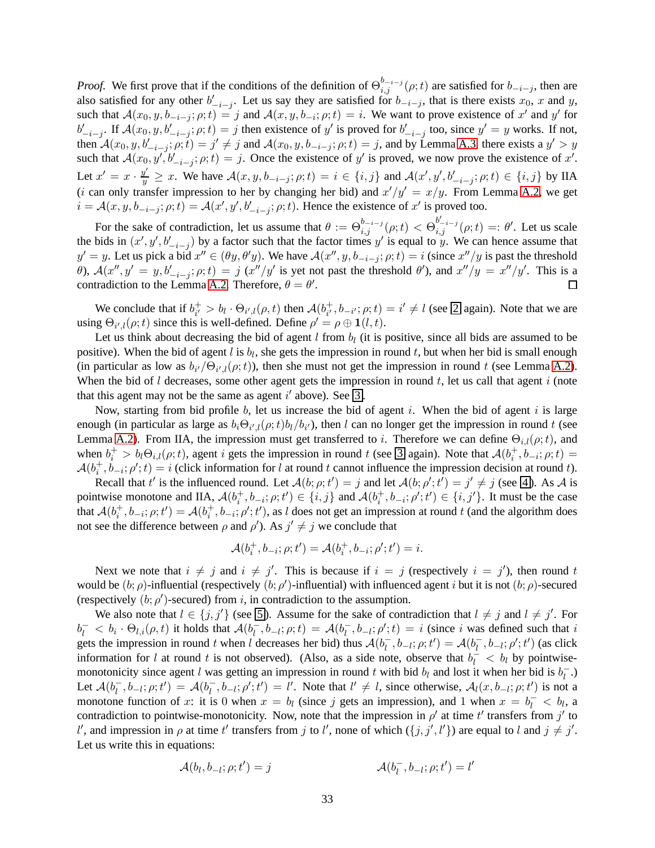*Proof.* We first prove that if the conditions of the definition of  $\Theta_{i,j}^{b_{i-1-j}}(\rho;t)$  are satisfied for  $b_{-i-j}$ , then are also satisfied for any other  $b'_{-i-j}$ . Let us say they are satisfied for  $b_{-i-j}$ , that is there exists  $x_0$ , x and y, such that  $\mathcal{A}(x_0, y, b_{-i-j}; \rho; t) = j$  and  $\mathcal{A}(x, y, b_{-i}; \rho; t) = i$ . We want to prove existence of x' and y' for  $b'_{-i-j}$ . If  $\mathcal{A}(x_0, y, b'_{-i-j}; \rho; t) = j$  then existence of y' is proved for  $b'_{-i-j}$  too, since  $y' = y$  works. If not, then  $\mathcal{A}(x_0, y, b'_{-i-j}; \rho; t) = j' \neq j$  and  $\mathcal{A}(x_0, y, b_{-i-j}; \rho; t) = j$ , and by Lemma [A.3,](#page-31-0) there exists a  $y' > y$ such that  $\mathcal{A}(x_0, y', b'_{-i-j}; \rho; t) = j$ . Once the existence of y' is proved, we now prove the existence of x'. Let  $x' = x \cdot \frac{y'}{y} \ge x$ . We have  $\mathcal{A}(x, y, b_{-i-j}; \rho; t) = i \in \{i, j\}$  and  $\mathcal{A}(x', y', b'_{-i-j}; \rho; t) \in \{i, j\}$  by IIA (*i* can only transfer impression to her by changing her bid) and  $x'/y' = x/y$ . From Lemma [A.2,](#page-31-1) we get  $i = A(x, y, b_{-i-j}; \rho; t) = A(x', y', b'_{-i-j}; \rho; t)$ . Hence the existence of x' is proved too.

For the sake of contradiction, let us assume that  $\theta := \Theta_{i,j}^{b_{-i-j}}(\rho;t) < \Theta_{i,j}^{b'_{-i-j}}(\rho;t) =: \theta'$ . Let us scale the bids in  $(x', y', b'_{-i-j})$  by a factor such that the factor times y' is equal to y. We can hence assume that  $y' = y$ . Let us pick a bid  $x'' \in (\theta y, \theta' y)$ . We have  $\mathcal{A}(x'', y, b_{-i-j}; \rho; t) = i$  (since  $x''/y$  is past the threshold θ),  $\mathcal{A}(x'', y' = y, b'_{-i-j}; \rho; t) = j(x''/y'$  is yet not past the threshold θ'), and  $x''/y = x''/y'$ . This is a contradiction to the Lemma [A.2.](#page-31-1) Therefore,  $\theta = \theta'$ .

We conclude that if  $b_{i'}^+$  $\theta_{i'}^+ > b_l \cdot \Theta_{i',l}(\rho, t)$  then  $\mathcal{A}(b_{i'}^+)$  $i_t^+$ ,  $b_{-i'}$ ;  $\rho$ ;  $t$ ) =  $i' \neq l$  (see  $\boxed{2}$  again). Note that we are using  $\Theta_{i',l}(\rho;t)$  since this is well-defined. Define  $\rho' = \rho \oplus \mathbf{1}(l,t)$ .

Let us think about decreasing the bid of agent l from  $b_l$  (it is positive, since all bids are assumed to be positive). When the bid of agent l is  $b_l$ , she gets the impression in round t, but when her bid is small enough (in particular as low as  $b_{i'}/\Theta_{i',l}(\rho;t)$ ), then she must not get the impression in round t (see Lemma [A.2\)](#page-31-1). When the bid of l decreases, some other agent gets the impression in round  $t$ , let us call that agent  $i$  (note that this agent may not be the same as agent  $i'$  above). See  $\boxed{3}$ .

Now, starting from bid profile b, let us increase the bid of agent i. When the bid of agent i is large enough (in particular as large as  $b_i \Theta_{i',l}(\rho;t) b_l/b_{i'}$ ), then l can no longer get the impression in round t (see Lemma [A.2\)](#page-31-1). From IIA, the impression must get transferred to i. Therefore we can define  $\Theta_{i,l}(\rho;t)$ , and when  $b_i^+ > b_i \Theta_{i,l}(\rho; t)$ , agent i gets the impression in round t (see  $\boxed{3}$  again). Note that  $\mathcal{A}(b_i^+, b_{-i}; \rho; t)$  $A(b_i^+, b_{-i}; \rho'; t) = i$  (click information for l at round t cannot influence the impression decision at round t).

Recall that t' is the influenced round. Let  $\mathcal{A}(b; \rho; t') = j$  and let  $\mathcal{A}(b; \rho'; t') = j' \neq j$  (see 4). As  $\mathcal{A}$  is pointwise monotone and IIA,  $\mathcal{A}(b_i^+, b_{-i}; \rho; t') \in \{i, j\}$  and  $\mathcal{A}(b_i^+, b_{-i}; \rho'; t') \in \{i, j'\}$ . It must be the case that  $A(b_i^+, b_{-i}; \rho; t') = A(b_i^+, b_{-i}; \rho'; t')$ , as l does not get an impression at round t (and the algorithm does not see the difference between  $\rho$  and  $\rho'$ ). As  $j' \neq j$  we conclude that

$$
\mathcal{A}(b_i^+, b_{-i}; \rho; t') = \mathcal{A}(b_i^+, b_{-i}; \rho'; t') = i.
$$

Next we note that  $i \neq j$  and  $i \neq j'$ . This is because if  $i = j$  (respectively  $i = j'$ ), then round t would be  $(b; \rho)$ -influential (respectively  $(b; \rho')$ -influential) with influenced agent i but it is not  $(b; \rho)$ -secured (respectively  $(b; \rho')$ -secured) from i, in contradiction to the assumption.

We also note that  $l \in \{j, j'\}$  (see  $\boxed{5}$ ). Assume for the sake of contradiction that  $l \neq j$  and  $l \neq j'$ . For  $b_l^- < b_i \cdot \Theta_{l,i}(\rho, t)$  it holds that  $\mathcal{A}(b_l^-)$  $\bar{l}_{l}^{-}, b_{-l}; \rho; t) = \mathcal{A}(b_{l}^{-})$  $\overline{\mathbf{a}}_l$ ,  $\mathbf{b}_{-l}$ ;  $\rho'$ ;  $\mathbf{t}$ ) = i (since i was defined such that i gets the impression in round t when l decreases her bid) thus  $\mathcal{A}(b_l^-)$  $\overline{l}_{l}^-, b_{-l}; \rho; t') = \mathcal{A}(b_l^-)$  $\overline{l}$ ,  $b_{-l}$ ;  $\rho'$ ;  $t'$ ) (as click information for l at round t is not observed). (Also, as a side note, observe that  $b_l^{\dagger} < b_l$  by pointwisemonotonicity since agent l was getting an impression in round t with bid  $b_l$  and lost it when her bid is  $b_l^ \bar{i}$ .) Let  $\mathcal{A}(b_l^-)$  $\bar{l}_l^-, b_{-l}^-, \rho; t') = A(b_l^-)$  $\overline{l}_l$ ,  $b_{-l}$ ;  $\rho'$ ;  $t'$ ) = l'. Note that  $l' \neq l$ , since otherwise,  $A_l(x, b_{-l}; \rho; t')$  is not a monotone function of x: it is 0 when  $x = b_l$  (since j gets an impression), and 1 when  $x = b_l^- < b_l$ , a contradiction to pointwise-monotonicity. Now, note that the impression in  $\rho'$  at time t' transfers from j' to l', and impression in  $\rho$  at time t' transfers from j to l', none of which  $(\{j, j', l'\})$  are equal to l and  $j \neq j'$ . Let us write this in equations:

$$
\mathcal{A}(b_l, b_{-l}; \rho; t') = j \qquad \qquad \mathcal{A}(b_l^-, b_{-l}; \rho; t') = l'
$$